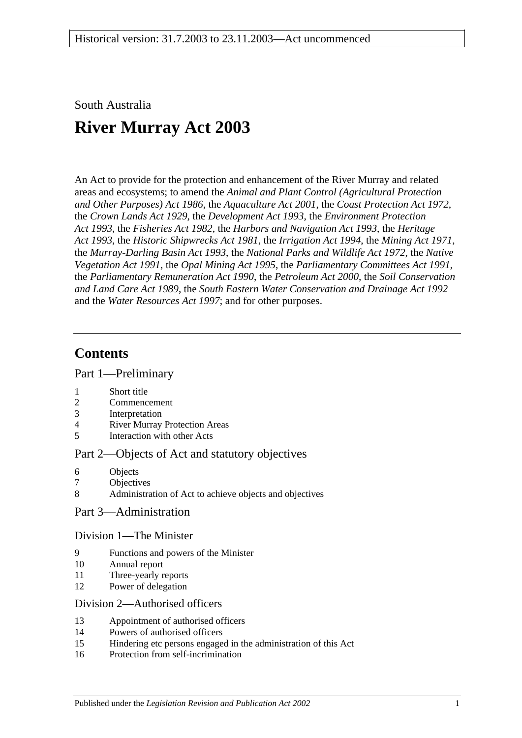## South Australia

# **River Murray Act 2003**

An Act to provide for the protection and enhancement of the River Murray and related areas and ecosystems; to amend the *[Animal and Plant Control \(Agricultural Protection](http://www.legislation.sa.gov.au/index.aspx?action=legref&type=act&legtitle=Animal%20and%20Plant%20Control%20(Agricultural%20Protection%20and%20Other%20Purposes)%20Act%201986)  [and Other Purposes\) Act](http://www.legislation.sa.gov.au/index.aspx?action=legref&type=act&legtitle=Animal%20and%20Plant%20Control%20(Agricultural%20Protection%20and%20Other%20Purposes)%20Act%201986) 1986*, the *[Aquaculture Act](http://www.legislation.sa.gov.au/index.aspx?action=legref&type=act&legtitle=Aquaculture%20Act%202001) 2001*, the *[Coast Protection Act](http://www.legislation.sa.gov.au/index.aspx?action=legref&type=act&legtitle=Coast%20Protection%20Act%201972) 1972*, the *[Crown Lands Act](http://www.legislation.sa.gov.au/index.aspx?action=legref&type=act&legtitle=Crown%20Lands%20Act%201929) 1929*, the *[Development Act](http://www.legislation.sa.gov.au/index.aspx?action=legref&type=act&legtitle=Development%20Act%201993) 1993*, the *[Environment Protection](http://www.legislation.sa.gov.au/index.aspx?action=legref&type=act&legtitle=Environment%20Protection%20Act%201993)  Act [1993](http://www.legislation.sa.gov.au/index.aspx?action=legref&type=act&legtitle=Environment%20Protection%20Act%201993)*, the *[Fisheries Act](http://www.legislation.sa.gov.au/index.aspx?action=legref&type=act&legtitle=Fisheries%20Act%201982) 1982*, the *[Harbors and Navigation Act](http://www.legislation.sa.gov.au/index.aspx?action=legref&type=act&legtitle=Harbors%20and%20Navigation%20Act%201993) 1993*, the *[Heritage](http://www.legislation.sa.gov.au/index.aspx?action=legref&type=act&legtitle=Heritage%20Act%201993)  Act [1993](http://www.legislation.sa.gov.au/index.aspx?action=legref&type=act&legtitle=Heritage%20Act%201993)*, the *[Historic Shipwrecks Act](http://www.legislation.sa.gov.au/index.aspx?action=legref&type=act&legtitle=Historic%20Shipwrecks%20Act%201981) 1981*, the *[Irrigation Act](http://www.legislation.sa.gov.au/index.aspx?action=legref&type=act&legtitle=Irrigation%20Act%201994) 1994*, the *[Mining Act](http://www.legislation.sa.gov.au/index.aspx?action=legref&type=act&legtitle=Mining%20Act%201971) 1971*, the *[Murray-Darling Basin Act](http://www.legislation.sa.gov.au/index.aspx?action=legref&type=act&legtitle=Murray-Darling%20Basin%20Act%201993) 1993*, the *[National Parks and Wildlife Act](http://www.legislation.sa.gov.au/index.aspx?action=legref&type=act&legtitle=National%20Parks%20and%20Wildlife%20Act%201972) 1972*, the *[Native](http://www.legislation.sa.gov.au/index.aspx?action=legref&type=act&legtitle=Native%20Vegetation%20Act%201991)  [Vegetation Act](http://www.legislation.sa.gov.au/index.aspx?action=legref&type=act&legtitle=Native%20Vegetation%20Act%201991) 1991*, the *[Opal Mining Act](http://www.legislation.sa.gov.au/index.aspx?action=legref&type=act&legtitle=Opal%20Mining%20Act%201995) 1995*, the *[Parliamentary Committees Act](http://www.legislation.sa.gov.au/index.aspx?action=legref&type=act&legtitle=Parliamentary%20Committees%20Act%201991) 1991*, the *[Parliamentary Remuneration Act](http://www.legislation.sa.gov.au/index.aspx?action=legref&type=act&legtitle=Parliamentary%20Remuneration%20Act%201990) 1990*, the *[Petroleum Act](http://www.legislation.sa.gov.au/index.aspx?action=legref&type=act&legtitle=Petroleum%20Act%202000) 2000*, the *[Soil Conservation](http://www.legislation.sa.gov.au/index.aspx?action=legref&type=act&legtitle=Soil%20Conservation%20and%20Land%20Care%20Act%201989)  [and Land Care Act](http://www.legislation.sa.gov.au/index.aspx?action=legref&type=act&legtitle=Soil%20Conservation%20and%20Land%20Care%20Act%201989) 1989*, the *[South Eastern Water Conservation and Drainage Act](http://www.legislation.sa.gov.au/index.aspx?action=legref&type=act&legtitle=South%20Eastern%20Water%20Conservation%20and%20Drainage%20Act%201992) 1992* and the *[Water Resources Act](http://www.legislation.sa.gov.au/index.aspx?action=legref&type=act&legtitle=Water%20Resources%20Act%201997) 1997*; and for other purposes.

## **Contents**

[Part 1—Preliminary](#page-2-0)

- 1 [Short title](#page-2-1)
- 2 [Commencement](#page-2-2)
- 3 [Interpretation](#page-2-3)
- 4 [River Murray Protection Areas](#page-6-0)
- 5 [Interaction with other Acts](#page-6-1)

#### [Part 2—Objects of Act and statutory objectives](#page-7-0)

- 6 [Objects](#page-7-1)
- 7 [Objectives](#page-8-0)
- 8 [Administration of Act to achieve objects and objectives](#page-9-0)

## [Part 3—Administration](#page-9-1)

#### [Division 1—The Minister](#page-9-2)

- 9 [Functions and powers of the Minister](#page-9-3)
- 10 [Annual report](#page-11-0)
- 11 [Three-yearly reports](#page-12-0)
- 12 [Power of delegation](#page-12-1)

#### [Division 2—Authorised officers](#page-12-2)

- 13 [Appointment of authorised officers](#page-12-3)
- 14 [Powers of authorised officers](#page-13-0)
- 15 [Hindering etc persons engaged in the administration of this Act](#page-15-0)
- 16 [Protection from self-incrimination](#page-15-1)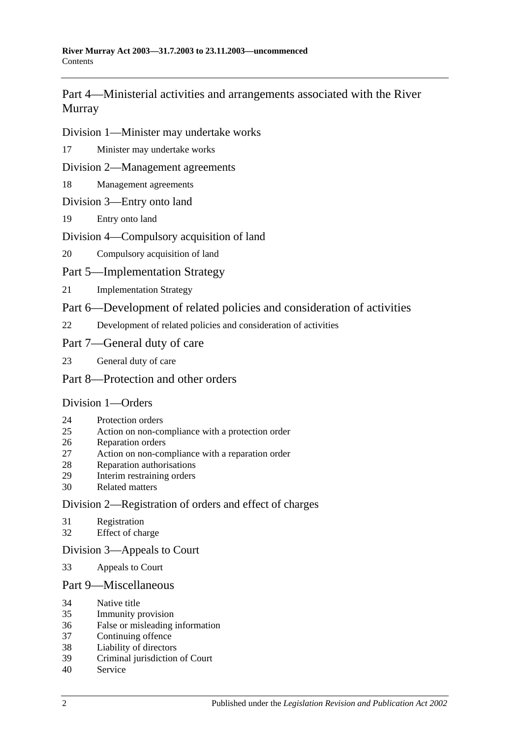## [Part 4—Ministerial activities and arrangements associated with the River](#page-15-2)  [Murray](#page-15-2)

### [Division 1—Minister may undertake works](#page-15-3)

[Minister may undertake works](#page-15-4)

#### [Division 2—Management agreements](#page-16-0)

[Management agreements](#page-16-1)

## [Division 3—Entry onto land](#page-18-0)

[Entry onto land](#page-18-1)

## [Division 4—Compulsory acquisition of land](#page-18-2)

[Compulsory acquisition of land](#page-18-3)

## [Part 5—Implementation Strategy](#page-19-0)

[Implementation Strategy](#page-19-1)

## [Part 6—Development of related policies and consideration of activities](#page-20-0)

[Development of related policies and consideration of activities](#page-20-1)

## [Part 7—General duty of care](#page-24-0)

[General duty of care](#page-24-1)

## [Part 8—Protection and other orders](#page-25-0)

## [Division 1—Orders](#page-25-1)

- [Protection orders](#page-25-2)
- [Action on non-compliance with a protection order](#page-27-0)
- [Reparation orders](#page-28-0)
- [Action on non-compliance with a reparation order](#page-29-0)
- [Reparation authorisations](#page-30-0)
- [Interim restraining orders](#page-31-0)
- [Related matters](#page-31-1)

## [Division 2—Registration of orders and effect of charges](#page-32-0)

- [Registration](#page-32-1)
- [Effect of charge](#page-33-0)

## [Division 3—Appeals to Court](#page-33-1)

[Appeals to Court](#page-33-2)

## [Part 9—Miscellaneous](#page-34-0)

- [Native title](#page-34-1)
- [Immunity provision](#page-34-2)
- [False or misleading information](#page-35-0)
- [Continuing offence](#page-35-1)
- [Liability of directors](#page-35-2)
- [Criminal jurisdiction of Court](#page-35-3)
- [Service](#page-35-4)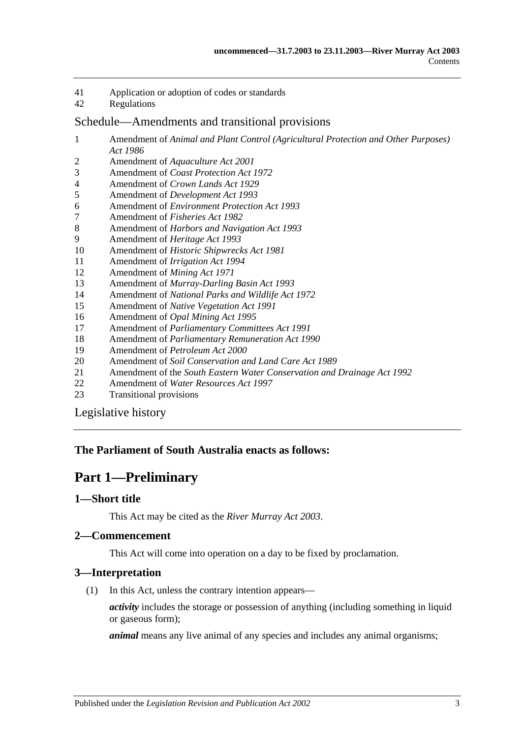- 41 [Application or adoption of codes or standards](#page-36-0)
- 42 [Regulations](#page-36-1)

#### [Schedule—Amendments and transitional provisions](#page-38-0)

- 1 Amendment of *[Animal and Plant Control \(Agricultural Protection and Other Purposes\)](#page-38-1)  Act [1986](#page-38-1)*
- 2 Amendment of *[Aquaculture Act](#page-40-0) 2001*
- 3 Amendment of *[Coast Protection Act](#page-40-1) 1972*
- 4 Amendment of *[Crown Lands Act](#page-41-0) 1929*
- 5 Amendment of *[Development Act](#page-42-0) 1993*
- 6 Amendment of *[Environment Protection Act](#page-45-0) 1993*
- 7 [Amendment of](#page-46-0) *Fisheries Act 1982*
- 8 Amendment of *[Harbors and Navigation Act](#page-47-0) 1993*
- 9 [Amendment of](#page-47-1) *Heritage Act 1993*
- 10 Amendment of *[Historic Shipwrecks Act](#page-48-0) 1981*
- 11 [Amendment of](#page-49-0) *Irrigation Act 1994*
- 12 [Amendment of](#page-50-0) *Mining Act 1971*
- 13 Amendment of *[Murray-Darling Basin Act](#page-55-0) 1993*
- 14 Amendment of *[National Parks and Wildlife Act](#page-55-1) 1972*
- 15 Amendment of *[Native Vegetation Act](#page-57-0) 1991*
- 16 Amendment of *[Opal Mining Act](#page-59-0) 1995*
- 17 Amendment of *[Parliamentary Committees Act](#page-59-1) 1991*
- 18 Amendment of *[Parliamentary Remuneration Act](#page-61-0) 1990*
- 19 [Amendment of](#page-61-1) *Petroleum Act 2000*
- 20 Amendment of *[Soil Conservation and Land Care Act](#page-62-0) 1989*
- 21 Amendment of the *[South Eastern Water Conservation and Drainage Act](#page-64-0) 1992*
- 22 Amendment of *[Water Resources Act](#page-65-0) 1997*
- 23 [Transitional provisions](#page-78-0)

[Legislative history](#page-80-0)

#### <span id="page-2-0"></span>**The Parliament of South Australia enacts as follows:**

## **Part 1—Preliminary**

#### <span id="page-2-1"></span>**1—Short title**

This Act may be cited as the *River Murray Act 2003*.

## <span id="page-2-2"></span>**2—Commencement**

This Act will come into operation on a day to be fixed by proclamation.

#### <span id="page-2-3"></span>**3—Interpretation**

(1) In this Act, unless the contrary intention appears—

*activity* includes the storage or possession of anything (including something in liquid or gaseous form);

*animal* means any live animal of any species and includes any animal organisms;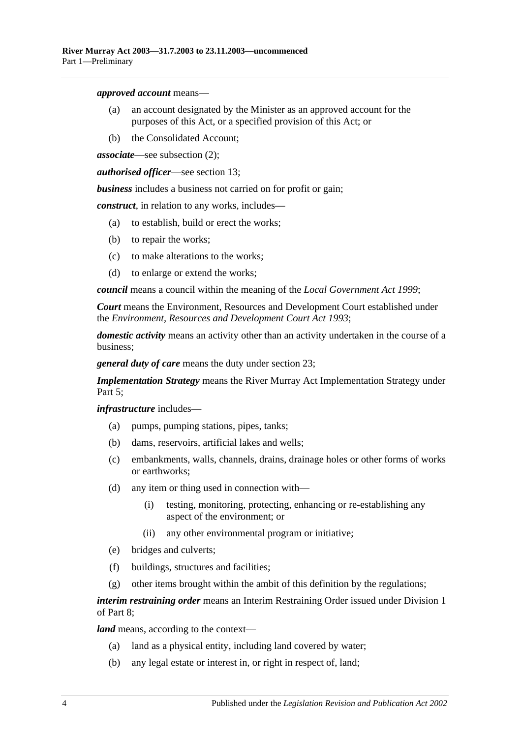*approved account* means—

- (a) an account designated by the Minister as an approved account for the purposes of this Act, or a specified provision of this Act; or
- (b) the Consolidated Account;

*associate*—see [subsection](#page-5-0) (2);

*authorised officer*—see [section](#page-12-3) 13;

*business* includes a business not carried on for profit or gain;

*construct*, in relation to any works, includes—

- (a) to establish, build or erect the works;
- (b) to repair the works;
- (c) to make alterations to the works;
- (d) to enlarge or extend the works;

*council* means a council within the meaning of the *[Local Government Act](http://www.legislation.sa.gov.au/index.aspx?action=legref&type=act&legtitle=Local%20Government%20Act%201999) 1999*;

*Court* means the Environment, Resources and Development Court established under the *[Environment, Resources and Development Court Act](http://www.legislation.sa.gov.au/index.aspx?action=legref&type=act&legtitle=Environment%20Resources%20and%20Development%20Court%20Act%201993) 1993*;

*domestic activity* means an activity other than an activity undertaken in the course of a business;

*general duty of care* means the duty under [section](#page-24-1) 23;

*Implementation Strategy* means the River Murray Act Implementation Strategy under [Part 5;](#page-19-0)

*infrastructure* includes—

- (a) pumps, pumping stations, pipes, tanks;
- (b) dams, reservoirs, artificial lakes and wells;
- (c) embankments, walls, channels, drains, drainage holes or other forms of works or earthworks;
- (d) any item or thing used in connection with—
	- (i) testing, monitoring, protecting, enhancing or re-establishing any aspect of the environment; or
	- (ii) any other environmental program or initiative;
- (e) bridges and culverts;
- (f) buildings, structures and facilities;
- (g) other items brought within the ambit of this definition by the regulations;

*interim restraining order* means an Interim Restraining Order issued under [Division 1](#page-25-1) of [Part 8;](#page-25-0)

*land* means, according to the context—

- (a) land as a physical entity, including land covered by water;
- (b) any legal estate or interest in, or right in respect of, land;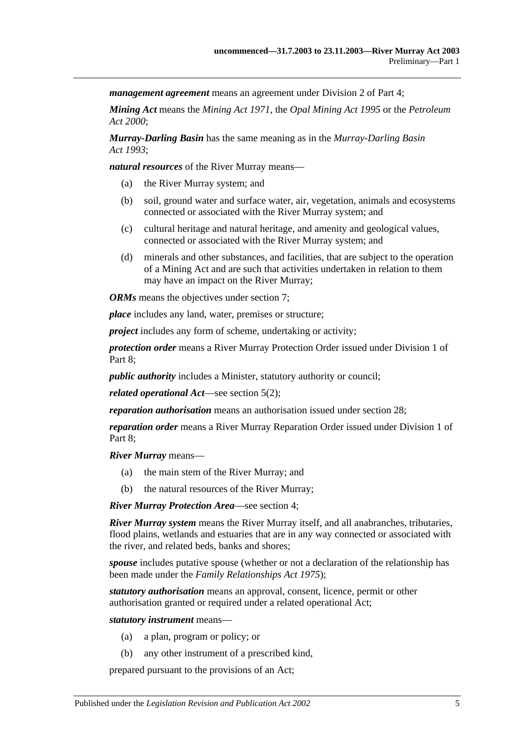*management agreement* means an agreement under [Division 2](#page-16-0) of [Part 4;](#page-15-2)

*Mining Act* means the *[Mining Act](http://www.legislation.sa.gov.au/index.aspx?action=legref&type=act&legtitle=Mining%20Act%201971) 1971*, the *[Opal Mining Act](http://www.legislation.sa.gov.au/index.aspx?action=legref&type=act&legtitle=Opal%20Mining%20Act%201995) 1995* or the *[Petroleum](http://www.legislation.sa.gov.au/index.aspx?action=legref&type=act&legtitle=Petroleum%20Act%202000)  Act [2000](http://www.legislation.sa.gov.au/index.aspx?action=legref&type=act&legtitle=Petroleum%20Act%202000)*;

*Murray-Darling Basin* has the same meaning as in the *[Murray-Darling Basin](http://www.legislation.sa.gov.au/index.aspx?action=legref&type=act&legtitle=Murray-Darling%20Basin%20Act%201993)  Act [1993](http://www.legislation.sa.gov.au/index.aspx?action=legref&type=act&legtitle=Murray-Darling%20Basin%20Act%201993)*;

*natural resources* of the River Murray means—

- (a) the River Murray system; and
- (b) soil, ground water and surface water, air, vegetation, animals and ecosystems connected or associated with the River Murray system; and
- (c) cultural heritage and natural heritage, and amenity and geological values, connected or associated with the River Murray system; and
- (d) minerals and other substances, and facilities, that are subject to the operation of a Mining Act and are such that activities undertaken in relation to them may have an impact on the River Murray;

*ORMs* means the objectives under [section](#page-8-0) 7:

*place* includes any land, water, premises or structure;

*project* includes any form of scheme, undertaking or activity;

*protection order* means a River Murray Protection Order issued under [Division 1](#page-25-1) of Part 8:

*public authority* includes a Minister, statutory authority or council;

*related operational Act*—see [section](#page-6-2) 5(2);

*reparation authorisation* means an authorisation issued under [section](#page-30-0) 28;

*reparation order* means a River Murray Reparation Order issued under [Division 1](#page-25-1) of [Part 8;](#page-25-0)

*River Murray* means—

- (a) the main stem of the River Murray; and
- (b) the natural resources of the River Murray;

*River Murray Protection Area*—see [section](#page-6-0) 4;

*River Murray system* means the River Murray itself, and all anabranches, tributaries, flood plains, wetlands and estuaries that are in any way connected or associated with the river, and related beds, banks and shores;

*spouse* includes putative spouse (whether or not a declaration of the relationship has been made under the *[Family Relationships Act](http://www.legislation.sa.gov.au/index.aspx?action=legref&type=act&legtitle=Family%20Relationships%20Act%201975) 1975*);

*statutory authorisation* means an approval, consent, licence, permit or other authorisation granted or required under a related operational Act;

*statutory instrument* means—

- (a) a plan, program or policy; or
- (b) any other instrument of a prescribed kind,

prepared pursuant to the provisions of an Act;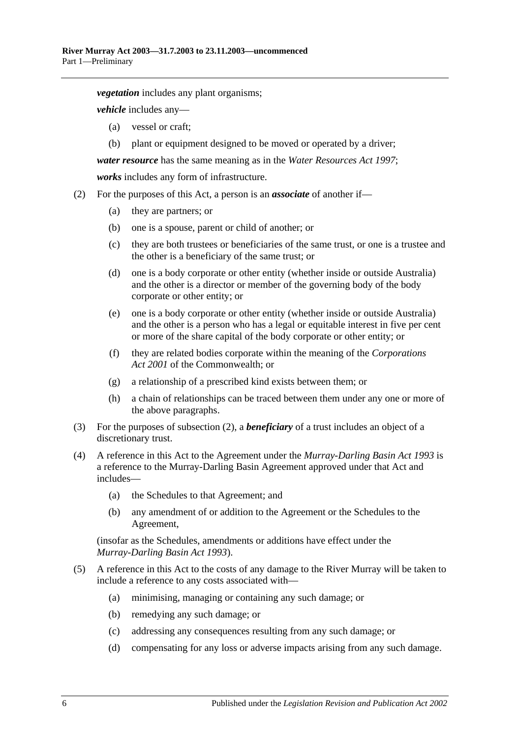*vegetation* includes any plant organisms;

*vehicle* includes any—

- (a) vessel or craft;
- (b) plant or equipment designed to be moved or operated by a driver;

*water resource* has the same meaning as in the *[Water Resources Act](http://www.legislation.sa.gov.au/index.aspx?action=legref&type=act&legtitle=Water%20Resources%20Act%201997) 1997*;

*works* includes any form of infrastructure.

- <span id="page-5-0"></span>(2) For the purposes of this Act, a person is an *associate* of another if—
	- (a) they are partners; or
	- (b) one is a spouse, parent or child of another; or
	- (c) they are both trustees or beneficiaries of the same trust, or one is a trustee and the other is a beneficiary of the same trust; or
	- (d) one is a body corporate or other entity (whether inside or outside Australia) and the other is a director or member of the governing body of the body corporate or other entity; or
	- (e) one is a body corporate or other entity (whether inside or outside Australia) and the other is a person who has a legal or equitable interest in five per cent or more of the share capital of the body corporate or other entity; or
	- (f) they are related bodies corporate within the meaning of the *Corporations Act 2001* of the Commonwealth; or
	- (g) a relationship of a prescribed kind exists between them; or
	- (h) a chain of relationships can be traced between them under any one or more of the above paragraphs.
- (3) For the purposes of [subsection](#page-5-0) (2), a *beneficiary* of a trust includes an object of a discretionary trust.
- (4) A reference in this Act to the Agreement under the *[Murray-Darling Basin Act](http://www.legislation.sa.gov.au/index.aspx?action=legref&type=act&legtitle=Murray-Darling%20Basin%20Act%201993) 1993* is a reference to the Murray-Darling Basin Agreement approved under that Act and includes—
	- (a) the Schedules to that Agreement; and
	- (b) any amendment of or addition to the Agreement or the Schedules to the Agreement,

(insofar as the Schedules, amendments or additions have effect under the *[Murray-Darling Basin Act](http://www.legislation.sa.gov.au/index.aspx?action=legref&type=act&legtitle=Murray-Darling%20Basin%20Act%201993) 1993*).

- (5) A reference in this Act to the costs of any damage to the River Murray will be taken to include a reference to any costs associated with—
	- (a) minimising, managing or containing any such damage; or
	- (b) remedying any such damage; or
	- (c) addressing any consequences resulting from any such damage; or
	- (d) compensating for any loss or adverse impacts arising from any such damage.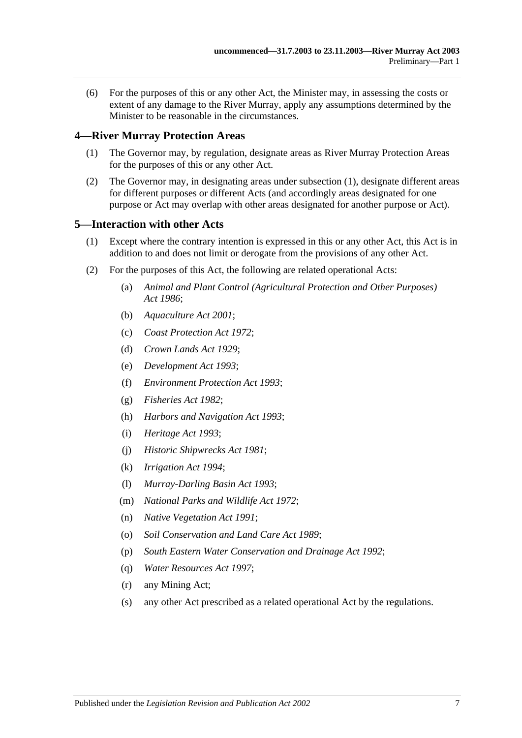(6) For the purposes of this or any other Act, the Minister may, in assessing the costs or extent of any damage to the River Murray, apply any assumptions determined by the Minister to be reasonable in the circumstances.

#### <span id="page-6-3"></span><span id="page-6-0"></span>**4—River Murray Protection Areas**

- (1) The Governor may, by regulation, designate areas as River Murray Protection Areas for the purposes of this or any other Act.
- (2) The Governor may, in designating areas under [subsection](#page-6-3) (1), designate different areas for different purposes or different Acts (and accordingly areas designated for one purpose or Act may overlap with other areas designated for another purpose or Act).

#### <span id="page-6-1"></span>**5—Interaction with other Acts**

- (1) Except where the contrary intention is expressed in this or any other Act, this Act is in addition to and does not limit or derogate from the provisions of any other Act.
- <span id="page-6-2"></span>(2) For the purposes of this Act, the following are related operational Acts:
	- (a) *[Animal and Plant Control \(Agricultural Protection and Other Purposes\)](http://www.legislation.sa.gov.au/index.aspx?action=legref&type=act&legtitle=Animal%20and%20Plant%20Control%20(Agricultural%20Protection%20and%20Other%20Purposes)%20Act%201986)  Act [1986](http://www.legislation.sa.gov.au/index.aspx?action=legref&type=act&legtitle=Animal%20and%20Plant%20Control%20(Agricultural%20Protection%20and%20Other%20Purposes)%20Act%201986)*;
	- (b) *[Aquaculture Act](http://www.legislation.sa.gov.au/index.aspx?action=legref&type=act&legtitle=Aquaculture%20Act%202001) 2001*;
	- (c) *[Coast Protection Act](http://www.legislation.sa.gov.au/index.aspx?action=legref&type=act&legtitle=Coast%20Protection%20Act%201972) 1972*;
	- (d) *[Crown Lands Act](http://www.legislation.sa.gov.au/index.aspx?action=legref&type=act&legtitle=Crown%20Lands%20Act%201929) 1929*;
	- (e) *[Development Act](http://www.legislation.sa.gov.au/index.aspx?action=legref&type=act&legtitle=Development%20Act%201993) 1993*;
	- (f) *[Environment Protection Act](http://www.legislation.sa.gov.au/index.aspx?action=legref&type=act&legtitle=Environment%20Protection%20Act%201993) 1993*;
	- (g) *[Fisheries Act](http://www.legislation.sa.gov.au/index.aspx?action=legref&type=act&legtitle=Fisheries%20Act%201982) 1982*;
	- (h) *[Harbors and Navigation Act](http://www.legislation.sa.gov.au/index.aspx?action=legref&type=act&legtitle=Harbors%20and%20Navigation%20Act%201993) 1993*;
	- (i) *[Heritage Act](http://www.legislation.sa.gov.au/index.aspx?action=legref&type=act&legtitle=Heritage%20Act%201993) 1993*;
	- (j) *[Historic Shipwrecks Act](http://www.legislation.sa.gov.au/index.aspx?action=legref&type=act&legtitle=Historic%20Shipwrecks%20Act%201981) 1981*;
	- (k) *[Irrigation Act](http://www.legislation.sa.gov.au/index.aspx?action=legref&type=act&legtitle=Irrigation%20Act%201994) 1994*;
	- (l) *[Murray-Darling Basin Act](http://www.legislation.sa.gov.au/index.aspx?action=legref&type=act&legtitle=Murray-Darling%20Basin%20Act%201993) 1993*;
	- (m) *[National Parks and Wildlife Act](http://www.legislation.sa.gov.au/index.aspx?action=legref&type=act&legtitle=National%20Parks%20and%20Wildlife%20Act%201972) 1972*;
	- (n) *[Native Vegetation Act](http://www.legislation.sa.gov.au/index.aspx?action=legref&type=act&legtitle=Native%20Vegetation%20Act%201991) 1991*;
	- (o) *[Soil Conservation and Land Care Act](http://www.legislation.sa.gov.au/index.aspx?action=legref&type=act&legtitle=Soil%20Conservation%20and%20Land%20Care%20Act%201989) 1989*;
	- (p) *[South Eastern Water Conservation and Drainage Act](http://www.legislation.sa.gov.au/index.aspx?action=legref&type=act&legtitle=South%20Eastern%20Water%20Conservation%20and%20Drainage%20Act%201992) 1992*;
	- (q) *[Water Resources Act](http://www.legislation.sa.gov.au/index.aspx?action=legref&type=act&legtitle=Water%20Resources%20Act%201997) 1997*;
	- (r) any Mining Act;
	- (s) any other Act prescribed as a related operational Act by the regulations.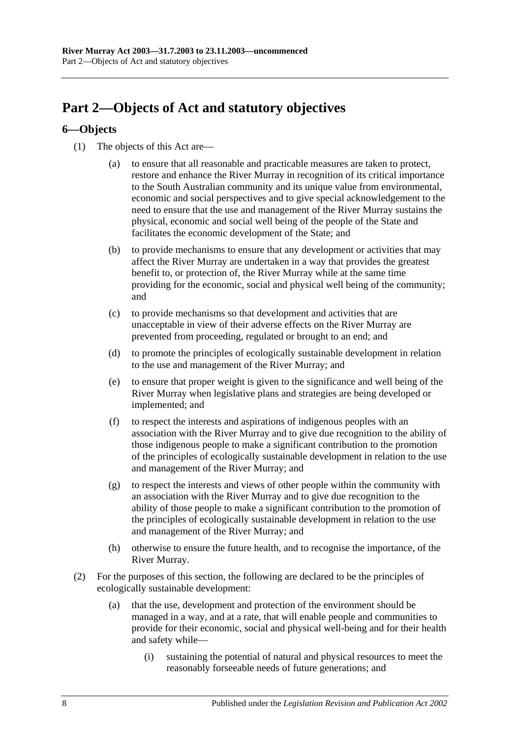## <span id="page-7-0"></span>**Part 2—Objects of Act and statutory objectives**

### <span id="page-7-1"></span>**6—Objects**

- (1) The objects of this Act are—
	- (a) to ensure that all reasonable and practicable measures are taken to protect, restore and enhance the River Murray in recognition of its critical importance to the South Australian community and its unique value from environmental, economic and social perspectives and to give special acknowledgement to the need to ensure that the use and management of the River Murray sustains the physical, economic and social well being of the people of the State and facilitates the economic development of the State; and
	- (b) to provide mechanisms to ensure that any development or activities that may affect the River Murray are undertaken in a way that provides the greatest benefit to, or protection of, the River Murray while at the same time providing for the economic, social and physical well being of the community; and
	- (c) to provide mechanisms so that development and activities that are unacceptable in view of their adverse effects on the River Murray are prevented from proceeding, regulated or brought to an end; and
	- (d) to promote the principles of ecologically sustainable development in relation to the use and management of the River Murray; and
	- (e) to ensure that proper weight is given to the significance and well being of the River Murray when legislative plans and strategies are being developed or implemented; and
	- (f) to respect the interests and aspirations of indigenous peoples with an association with the River Murray and to give due recognition to the ability of those indigenous people to make a significant contribution to the promotion of the principles of ecologically sustainable development in relation to the use and management of the River Murray; and
	- (g) to respect the interests and views of other people within the community with an association with the River Murray and to give due recognition to the ability of those people to make a significant contribution to the promotion of the principles of ecologically sustainable development in relation to the use and management of the River Murray; and
	- (h) otherwise to ensure the future health, and to recognise the importance, of the River Murray.
- (2) For the purposes of this section, the following are declared to be the principles of ecologically sustainable development:
	- (a) that the use, development and protection of the environment should be managed in a way, and at a rate, that will enable people and communities to provide for their economic, social and physical well-being and for their health and safety while—
		- (i) sustaining the potential of natural and physical resources to meet the reasonably forseeable needs of future generations; and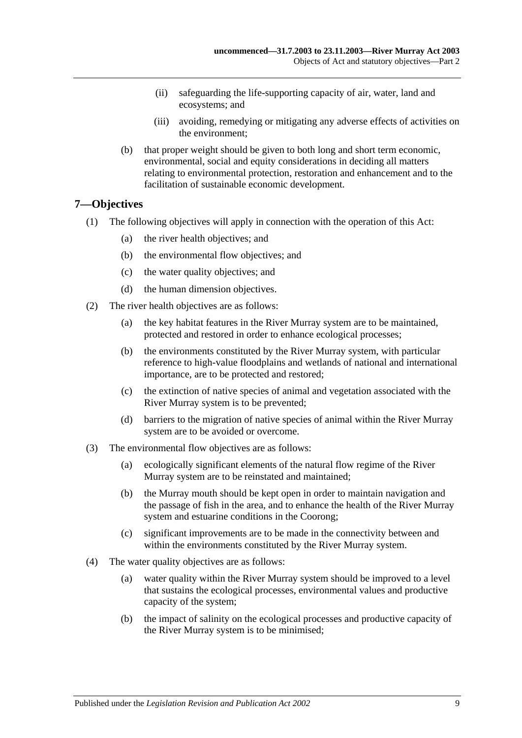- (ii) safeguarding the life-supporting capacity of air, water, land and ecosystems; and
- (iii) avoiding, remedying or mitigating any adverse effects of activities on the environment;
- (b) that proper weight should be given to both long and short term economic, environmental, social and equity considerations in deciding all matters relating to environmental protection, restoration and enhancement and to the facilitation of sustainable economic development.

#### <span id="page-8-0"></span>**7—Objectives**

- (1) The following objectives will apply in connection with the operation of this Act:
	- (a) the river health objectives; and
	- (b) the environmental flow objectives; and
	- (c) the water quality objectives; and
	- (d) the human dimension objectives.
- (2) The river health objectives are as follows:
	- (a) the key habitat features in the River Murray system are to be maintained, protected and restored in order to enhance ecological processes;
	- (b) the environments constituted by the River Murray system, with particular reference to high-value floodplains and wetlands of national and international importance, are to be protected and restored;
	- (c) the extinction of native species of animal and vegetation associated with the River Murray system is to be prevented;
	- (d) barriers to the migration of native species of animal within the River Murray system are to be avoided or overcome.
- (3) The environmental flow objectives are as follows:
	- (a) ecologically significant elements of the natural flow regime of the River Murray system are to be reinstated and maintained;
	- (b) the Murray mouth should be kept open in order to maintain navigation and the passage of fish in the area, and to enhance the health of the River Murray system and estuarine conditions in the Coorong;
	- (c) significant improvements are to be made in the connectivity between and within the environments constituted by the River Murray system.
- (4) The water quality objectives are as follows:
	- (a) water quality within the River Murray system should be improved to a level that sustains the ecological processes, environmental values and productive capacity of the system;
	- (b) the impact of salinity on the ecological processes and productive capacity of the River Murray system is to be minimised;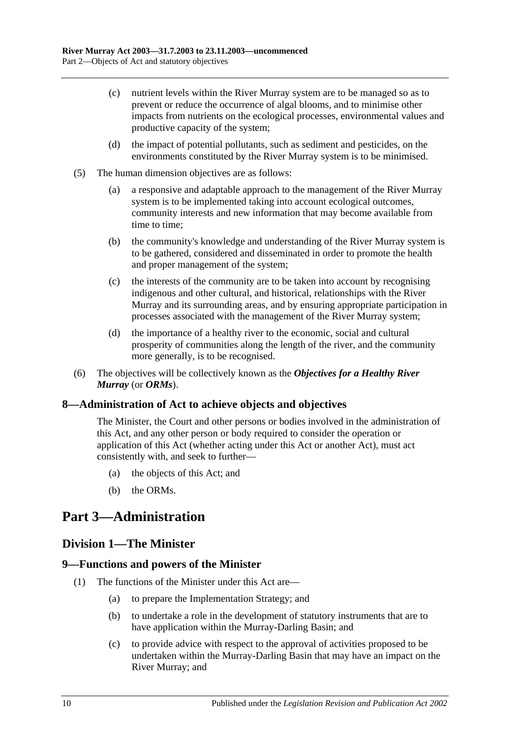- (c) nutrient levels within the River Murray system are to be managed so as to prevent or reduce the occurrence of algal blooms, and to minimise other impacts from nutrients on the ecological processes, environmental values and productive capacity of the system;
- (d) the impact of potential pollutants, such as sediment and pesticides, on the environments constituted by the River Murray system is to be minimised.
- (5) The human dimension objectives are as follows:
	- (a) a responsive and adaptable approach to the management of the River Murray system is to be implemented taking into account ecological outcomes, community interests and new information that may become available from time to time;
	- (b) the community's knowledge and understanding of the River Murray system is to be gathered, considered and disseminated in order to promote the health and proper management of the system;
	- (c) the interests of the community are to be taken into account by recognising indigenous and other cultural, and historical, relationships with the River Murray and its surrounding areas, and by ensuring appropriate participation in processes associated with the management of the River Murray system;
	- (d) the importance of a healthy river to the economic, social and cultural prosperity of communities along the length of the river, and the community more generally, is to be recognised.
- (6) The objectives will be collectively known as the *Objectives for a Healthy River Murray* (or *ORMs*).

#### <span id="page-9-0"></span>**8—Administration of Act to achieve objects and objectives**

The Minister, the Court and other persons or bodies involved in the administration of this Act, and any other person or body required to consider the operation or application of this Act (whether acting under this Act or another Act), must act consistently with, and seek to further—

- (a) the objects of this Act; and
- (b) the ORMs.

## <span id="page-9-1"></span>**Part 3—Administration**

## <span id="page-9-2"></span>**Division 1—The Minister**

#### <span id="page-9-3"></span>**9—Functions and powers of the Minister**

- (1) The functions of the Minister under this Act are—
	- (a) to prepare the Implementation Strategy; and
	- (b) to undertake a role in the development of statutory instruments that are to have application within the Murray-Darling Basin; and
	- (c) to provide advice with respect to the approval of activities proposed to be undertaken within the Murray-Darling Basin that may have an impact on the River Murray; and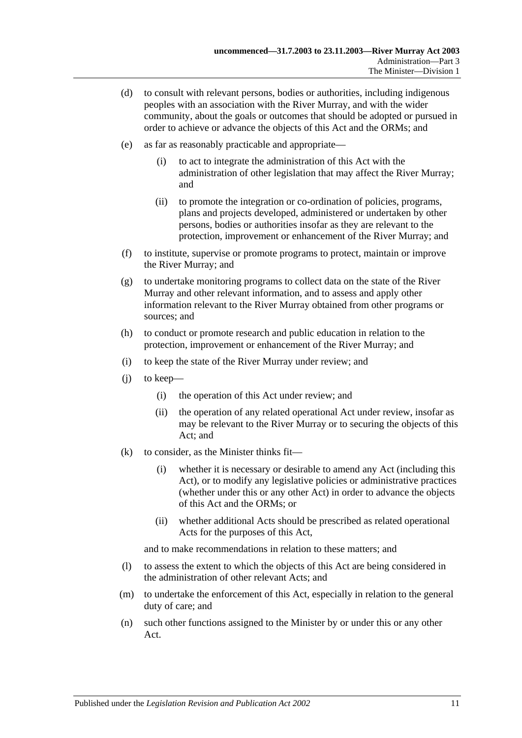- <span id="page-10-0"></span>(d) to consult with relevant persons, bodies or authorities, including indigenous peoples with an association with the River Murray, and with the wider community, about the goals or outcomes that should be adopted or pursued in order to achieve or advance the objects of this Act and the ORMs; and
- (e) as far as reasonably practicable and appropriate—
	- (i) to act to integrate the administration of this Act with the administration of other legislation that may affect the River Murray; and
	- (ii) to promote the integration or co-ordination of policies, programs, plans and projects developed, administered or undertaken by other persons, bodies or authorities insofar as they are relevant to the protection, improvement or enhancement of the River Murray; and
- (f) to institute, supervise or promote programs to protect, maintain or improve the River Murray; and
- (g) to undertake monitoring programs to collect data on the state of the River Murray and other relevant information, and to assess and apply other information relevant to the River Murray obtained from other programs or sources; and
- (h) to conduct or promote research and public education in relation to the protection, improvement or enhancement of the River Murray; and
- (i) to keep the state of the River Murray under review; and
- (j) to keep—
	- (i) the operation of this Act under review; and
	- (ii) the operation of any related operational Act under review, insofar as may be relevant to the River Murray or to securing the objects of this Act; and
- (k) to consider, as the Minister thinks fit—
	- (i) whether it is necessary or desirable to amend any Act (including this Act), or to modify any legislative policies or administrative practices (whether under this or any other Act) in order to advance the objects of this Act and the ORMs; or
	- (ii) whether additional Acts should be prescribed as related operational Acts for the purposes of this Act,

and to make recommendations in relation to these matters; and

- (l) to assess the extent to which the objects of this Act are being considered in the administration of other relevant Acts; and
- (m) to undertake the enforcement of this Act, especially in relation to the general duty of care; and
- (n) such other functions assigned to the Minister by or under this or any other Act.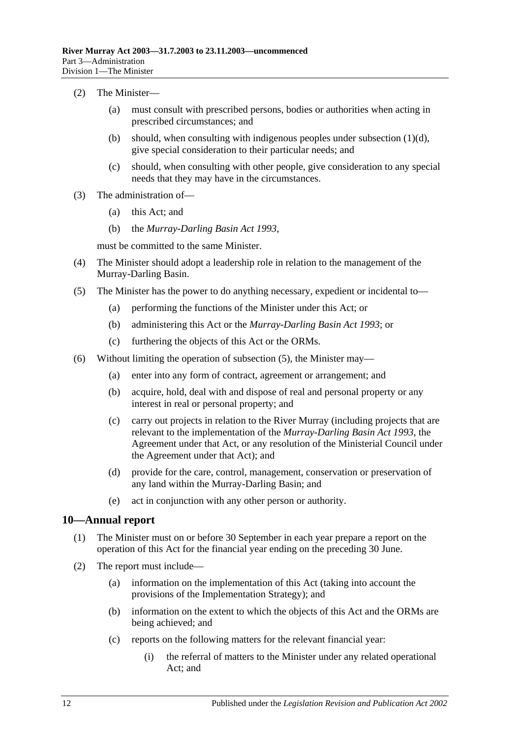#### (2) The Minister—

- (a) must consult with prescribed persons, bodies or authorities when acting in prescribed circumstances; and
- (b) should, when consulting with indigenous peoples under [subsection](#page-10-0)  $(1)(d)$ , give special consideration to their particular needs; and
- (c) should, when consulting with other people, give consideration to any special needs that they may have in the circumstances.
- (3) The administration of—
	- (a) this Act; and
	- (b) the *[Murray-Darling Basin Act](http://www.legislation.sa.gov.au/index.aspx?action=legref&type=act&legtitle=Murray-Darling%20Basin%20Act%201993) 1993*,

must be committed to the same Minister.

- (4) The Minister should adopt a leadership role in relation to the management of the Murray-Darling Basin.
- <span id="page-11-1"></span>(5) The Minister has the power to do anything necessary, expedient or incidental to—
	- (a) performing the functions of the Minister under this Act; or
	- (b) administering this Act or the *[Murray-Darling](http://www.legislation.sa.gov.au/index.aspx?action=legref&type=act&legtitle=Murray-Darling%20Basin%20Act%201993) Basin Act 1993*; or
	- (c) furthering the objects of this Act or the ORMs.
- (6) Without limiting the operation of [subsection](#page-11-1) (5), the Minister may—
	- (a) enter into any form of contract, agreement or arrangement; and
	- (b) acquire, hold, deal with and dispose of real and personal property or any interest in real or personal property; and
	- (c) carry out projects in relation to the River Murray (including projects that are relevant to the implementation of the *[Murray-Darling Basin Act](http://www.legislation.sa.gov.au/index.aspx?action=legref&type=act&legtitle=Murray-Darling%20Basin%20Act%201993) 1993*, the Agreement under that Act, or any resolution of the Ministerial Council under the Agreement under that Act); and
	- (d) provide for the care, control, management, conservation or preservation of any land within the Murray-Darling Basin; and
	- (e) act in conjunction with any other person or authority.

#### <span id="page-11-0"></span>**10—Annual report**

- (1) The Minister must on or before 30 September in each year prepare a report on the operation of this Act for the financial year ending on the preceding 30 June.
- (2) The report must include—
	- (a) information on the implementation of this Act (taking into account the provisions of the Implementation Strategy); and
	- (b) information on the extent to which the objects of this Act and the ORMs are being achieved; and
	- (c) reports on the following matters for the relevant financial year:
		- (i) the referral of matters to the Minister under any related operational Act; and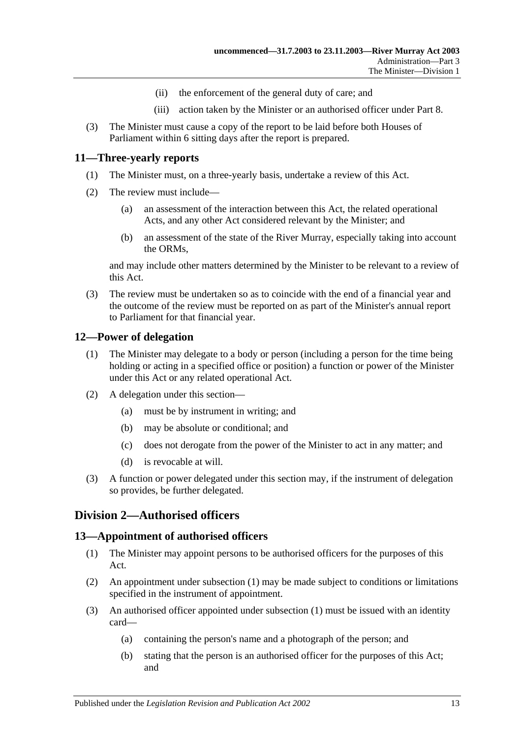- (ii) the enforcement of the general duty of care; and
- (iii) action taken by the Minister or an authorised officer under [Part 8.](#page-25-0)
- (3) The Minister must cause a copy of the report to be laid before both Houses of Parliament within 6 sitting days after the report is prepared.

#### <span id="page-12-0"></span>**11—Three-yearly reports**

- (1) The Minister must, on a three-yearly basis, undertake a review of this Act.
- (2) The review must include—
	- (a) an assessment of the interaction between this Act, the related operational Acts, and any other Act considered relevant by the Minister; and
	- (b) an assessment of the state of the River Murray, especially taking into account the ORMs,

and may include other matters determined by the Minister to be relevant to a review of this Act.

(3) The review must be undertaken so as to coincide with the end of a financial year and the outcome of the review must be reported on as part of the Minister's annual report to Parliament for that financial year.

#### <span id="page-12-1"></span>**12—Power of delegation**

- (1) The Minister may delegate to a body or person (including a person for the time being holding or acting in a specified office or position) a function or power of the Minister under this Act or any related operational Act.
- (2) A delegation under this section—
	- (a) must be by instrument in writing; and
	- (b) may be absolute or conditional; and
	- (c) does not derogate from the power of the Minister to act in any matter; and
	- (d) is revocable at will.
- (3) A function or power delegated under this section may, if the instrument of delegation so provides, be further delegated.

## <span id="page-12-2"></span>**Division 2—Authorised officers**

#### <span id="page-12-4"></span><span id="page-12-3"></span>**13—Appointment of authorised officers**

- (1) The Minister may appoint persons to be authorised officers for the purposes of this Act.
- (2) An appointment under [subsection](#page-12-4) (1) may be made subject to conditions or limitations specified in the instrument of appointment.
- (3) An authorised officer appointed under [subsection](#page-12-4) (1) must be issued with an identity card—
	- (a) containing the person's name and a photograph of the person; and
	- (b) stating that the person is an authorised officer for the purposes of this Act; and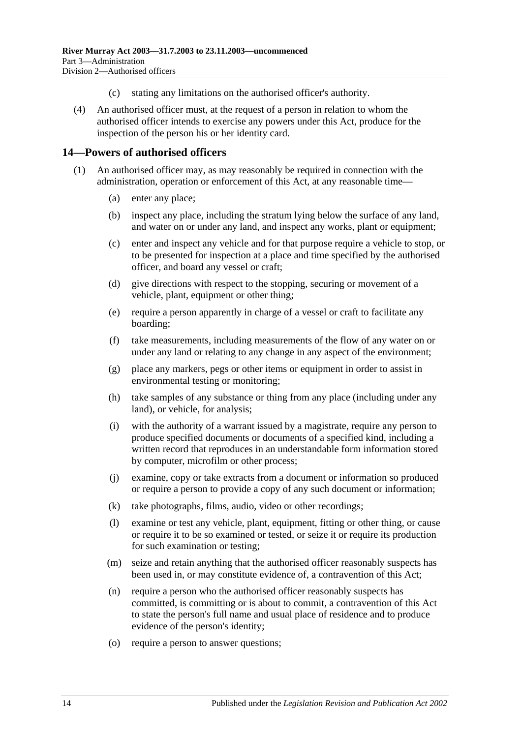- (c) stating any limitations on the authorised officer's authority.
- (4) An authorised officer must, at the request of a person in relation to whom the authorised officer intends to exercise any powers under this Act, produce for the inspection of the person his or her identity card.

#### <span id="page-13-1"></span><span id="page-13-0"></span>**14—Powers of authorised officers**

- <span id="page-13-2"></span>(1) An authorised officer may, as may reasonably be required in connection with the administration, operation or enforcement of this Act, at any reasonable time—
	- (a) enter any place;
	- (b) inspect any place, including the stratum lying below the surface of any land, and water on or under any land, and inspect any works, plant or equipment;
	- (c) enter and inspect any vehicle and for that purpose require a vehicle to stop, or to be presented for inspection at a place and time specified by the authorised officer, and board any vessel or craft;
	- (d) give directions with respect to the stopping, securing or movement of a vehicle, plant, equipment or other thing;
	- (e) require a person apparently in charge of a vessel or craft to facilitate any boarding;
	- (f) take measurements, including measurements of the flow of any water on or under any land or relating to any change in any aspect of the environment;
	- (g) place any markers, pegs or other items or equipment in order to assist in environmental testing or monitoring;
	- (h) take samples of any substance or thing from any place (including under any land), or vehicle, for analysis;
	- (i) with the authority of a warrant issued by a magistrate, require any person to produce specified documents or documents of a specified kind, including a written record that reproduces in an understandable form information stored by computer, microfilm or other process;
	- (j) examine, copy or take extracts from a document or information so produced or require a person to provide a copy of any such document or information;
	- (k) take photographs, films, audio, video or other recordings;
	- (l) examine or test any vehicle, plant, equipment, fitting or other thing, or cause or require it to be so examined or tested, or seize it or require its production for such examination or testing;
	- (m) seize and retain anything that the authorised officer reasonably suspects has been used in, or may constitute evidence of, a contravention of this Act;
	- (n) require a person who the authorised officer reasonably suspects has committed, is committing or is about to commit, a contravention of this Act to state the person's full name and usual place of residence and to produce evidence of the person's identity;
	- (o) require a person to answer questions;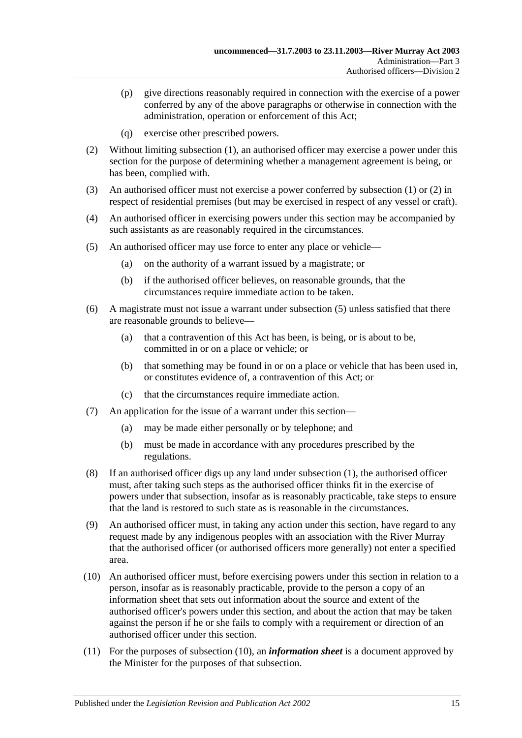- (p) give directions reasonably required in connection with the exercise of a power conferred by any of the above paragraphs or otherwise in connection with the administration, operation or enforcement of this Act;
- (q) exercise other prescribed powers.
- <span id="page-14-0"></span>(2) Without limiting [subsection](#page-13-1) (1), an authorised officer may exercise a power under this section for the purpose of determining whether a management agreement is being, or has been, complied with.
- (3) An authorised officer must not exercise a power conferred by [subsection](#page-13-1) (1) or [\(2\)](#page-14-0) in respect of residential premises (but may be exercised in respect of any vessel or craft).
- (4) An authorised officer in exercising powers under this section may be accompanied by such assistants as are reasonably required in the circumstances.
- <span id="page-14-1"></span>(5) An authorised officer may use force to enter any place or vehicle—
	- (a) on the authority of a warrant issued by a magistrate; or
	- (b) if the authorised officer believes, on reasonable grounds, that the circumstances require immediate action to be taken.
- (6) A magistrate must not issue a warrant under [subsection](#page-14-1) (5) unless satisfied that there are reasonable grounds to believe—
	- (a) that a contravention of this Act has been, is being, or is about to be, committed in or on a place or vehicle; or
	- (b) that something may be found in or on a place or vehicle that has been used in, or constitutes evidence of, a contravention of this Act; or
	- (c) that the circumstances require immediate action.
- (7) An application for the issue of a warrant under this section—
	- (a) may be made either personally or by telephone; and
	- (b) must be made in accordance with any procedures prescribed by the regulations.
- (8) If an authorised officer digs up any land under [subsection](#page-13-1) (1), the authorised officer must, after taking such steps as the authorised officer thinks fit in the exercise of powers under that subsection, insofar as is reasonably practicable, take steps to ensure that the land is restored to such state as is reasonable in the circumstances.
- (9) An authorised officer must, in taking any action under this section, have regard to any request made by any indigenous peoples with an association with the River Murray that the authorised officer (or authorised officers more generally) not enter a specified area.
- <span id="page-14-2"></span>(10) An authorised officer must, before exercising powers under this section in relation to a person, insofar as is reasonably practicable, provide to the person a copy of an information sheet that sets out information about the source and extent of the authorised officer's powers under this section, and about the action that may be taken against the person if he or she fails to comply with a requirement or direction of an authorised officer under this section.
- (11) For the purposes of [subsection](#page-14-2) (10), an *information sheet* is a document approved by the Minister for the purposes of that subsection.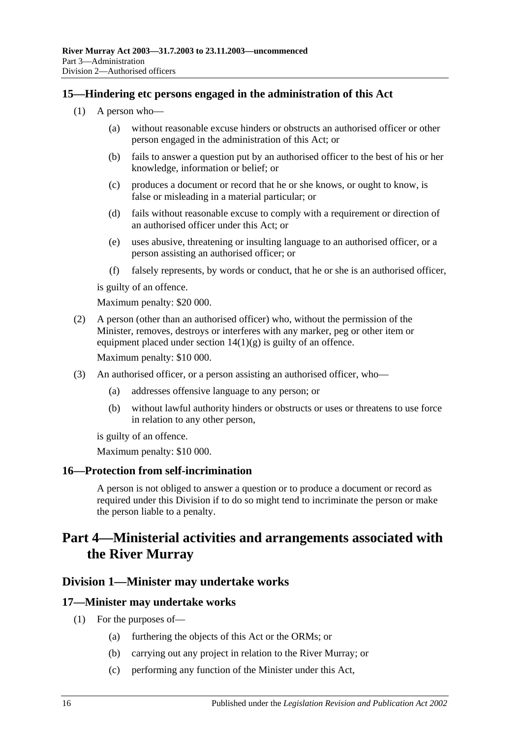### <span id="page-15-0"></span>**15—Hindering etc persons engaged in the administration of this Act**

- (1) A person who—
	- (a) without reasonable excuse hinders or obstructs an authorised officer or other person engaged in the administration of this Act; or
	- (b) fails to answer a question put by an authorised officer to the best of his or her knowledge, information or belief; or
	- (c) produces a document or record that he or she knows, or ought to know, is false or misleading in a material particular; or
	- (d) fails without reasonable excuse to comply with a requirement or direction of an authorised officer under this Act; or
	- (e) uses abusive, threatening or insulting language to an authorised officer, or a person assisting an authorised officer; or
	- (f) falsely represents, by words or conduct, that he or she is an authorised officer,

is guilty of an offence.

Maximum penalty: \$20 000.

(2) A person (other than an authorised officer) who, without the permission of the Minister, removes, destroys or interferes with any marker, peg or other item or equipment placed under section  $14(1)(g)$  is guilty of an offence.

Maximum penalty: \$10 000.

- (3) An authorised officer, or a person assisting an authorised officer, who—
	- (a) addresses offensive language to any person; or
	- (b) without lawful authority hinders or obstructs or uses or threatens to use force in relation to any other person,

is guilty of an offence.

Maximum penalty: \$10 000.

#### <span id="page-15-1"></span>**16—Protection from self-incrimination**

A person is not obliged to answer a question or to produce a document or record as required under this Division if to do so might tend to incriminate the person or make the person liable to a penalty.

## <span id="page-15-2"></span>**Part 4—Ministerial activities and arrangements associated with the River Murray**

#### <span id="page-15-3"></span>**Division 1—Minister may undertake works**

#### <span id="page-15-5"></span><span id="page-15-4"></span>**17—Minister may undertake works**

- (1) For the purposes of—
	- (a) furthering the objects of this Act or the ORMs; or
	- (b) carrying out any project in relation to the River Murray; or
	- (c) performing any function of the Minister under this Act,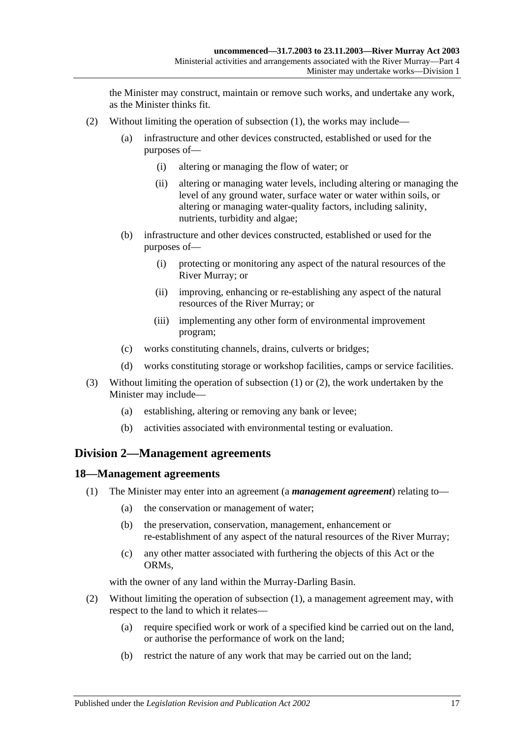the Minister may construct, maintain or remove such works, and undertake any work, as the Minister thinks fit.

- <span id="page-16-2"></span>(2) Without limiting the operation of [subsection](#page-15-5) (1), the works may include—
	- (a) infrastructure and other devices constructed, established or used for the purposes of—
		- (i) altering or managing the flow of water; or
		- (ii) altering or managing water levels, including altering or managing the level of any ground water, surface water or water within soils, or altering or managing water-quality factors, including salinity, nutrients, turbidity and algae;
	- (b) infrastructure and other devices constructed, established or used for the purposes of—
		- (i) protecting or monitoring any aspect of the natural resources of the River Murray; or
		- (ii) improving, enhancing or re-establishing any aspect of the natural resources of the River Murray; or
		- (iii) implementing any other form of environmental improvement program;
	- (c) works constituting channels, drains, culverts or bridges;
	- (d) works constituting storage or workshop facilities, camps or service facilities.
- (3) Without limiting the operation of [subsection](#page-15-5) (1) or [\(2\),](#page-16-2) the work undertaken by the Minister may include—
	- (a) establishing, altering or removing any bank or levee;
	- (b) activities associated with environmental testing or evaluation.

#### <span id="page-16-0"></span>**Division 2—Management agreements**

#### <span id="page-16-3"></span><span id="page-16-1"></span>**18—Management agreements**

- (1) The Minister may enter into an agreement (a *management agreement*) relating to—
	- (a) the conservation or management of water;
	- (b) the preservation, conservation, management, enhancement or re-establishment of any aspect of the natural resources of the River Murray;
	- (c) any other matter associated with furthering the objects of this Act or the ORMs,

with the owner of any land within the Murray-Darling Basin.

- (2) Without limiting the operation of [subsection](#page-16-3) (1), a management agreement may, with respect to the land to which it relates—
	- (a) require specified work or work of a specified kind be carried out on the land, or authorise the performance of work on the land;
	- (b) restrict the nature of any work that may be carried out on the land;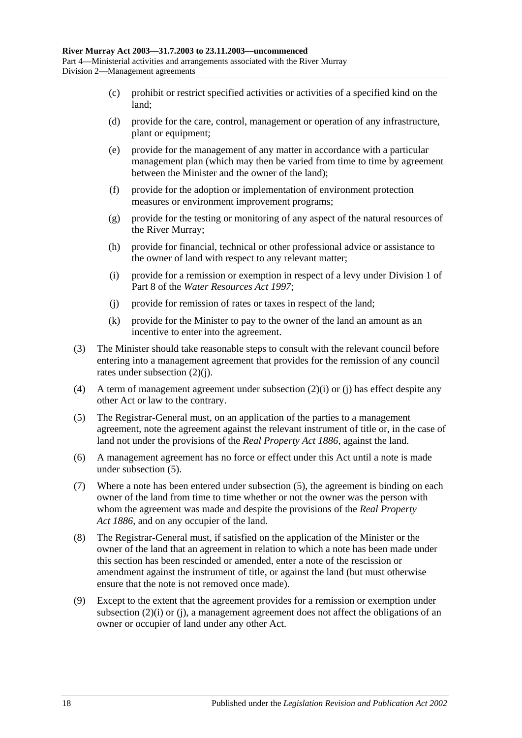- (c) prohibit or restrict specified activities or activities of a specified kind on the land;
- (d) provide for the care, control, management or operation of any infrastructure, plant or equipment;
- (e) provide for the management of any matter in accordance with a particular management plan (which may then be varied from time to time by agreement between the Minister and the owner of the land);
- (f) provide for the adoption or implementation of environment protection measures or environment improvement programs;
- (g) provide for the testing or monitoring of any aspect of the natural resources of the River Murray;
- (h) provide for financial, technical or other professional advice or assistance to the owner of land with respect to any relevant matter;
- <span id="page-17-1"></span>(i) provide for a remission or exemption in respect of a levy under Division 1 of Part 8 of the *[Water Resources Act](http://www.legislation.sa.gov.au/index.aspx?action=legref&type=act&legtitle=Water%20Resources%20Act%201997) 1997*;
- <span id="page-17-0"></span>(j) provide for remission of rates or taxes in respect of the land;
- (k) provide for the Minister to pay to the owner of the land an amount as an incentive to enter into the agreement.
- (3) The Minister should take reasonable steps to consult with the relevant council before entering into a management agreement that provides for the remission of any council rates under [subsection](#page-17-0) (2)(j).
- (4) A term of management agreement under [subsection](#page-17-1)  $(2)(i)$  or [\(j\)](#page-17-0) has effect despite any other Act or law to the contrary.
- <span id="page-17-2"></span>(5) The Registrar-General must, on an application of the parties to a management agreement, note the agreement against the relevant instrument of title or, in the case of land not under the provisions of the *[Real Property Act](http://www.legislation.sa.gov.au/index.aspx?action=legref&type=act&legtitle=Real%20Property%20Act%201886) 1886*, against the land.
- (6) A management agreement has no force or effect under this Act until a note is made under [subsection](#page-17-2) (5).
- (7) Where a note has been entered under [subsection](#page-17-2) (5), the agreement is binding on each owner of the land from time to time whether or not the owner was the person with whom the agreement was made and despite the provisions of the *[Real Property](http://www.legislation.sa.gov.au/index.aspx?action=legref&type=act&legtitle=Real%20Property%20Act%201886)  Act [1886](http://www.legislation.sa.gov.au/index.aspx?action=legref&type=act&legtitle=Real%20Property%20Act%201886)*, and on any occupier of the land.
- (8) The Registrar-General must, if satisfied on the application of the Minister or the owner of the land that an agreement in relation to which a note has been made under this section has been rescinded or amended, enter a note of the rescission or amendment against the instrument of title, or against the land (but must otherwise ensure that the note is not removed once made).
- (9) Except to the extent that the agreement provides for a remission or exemption under [subsection](#page-17-1) (2)(i) or [\(j\),](#page-17-0) a management agreement does not affect the obligations of an owner or occupier of land under any other Act.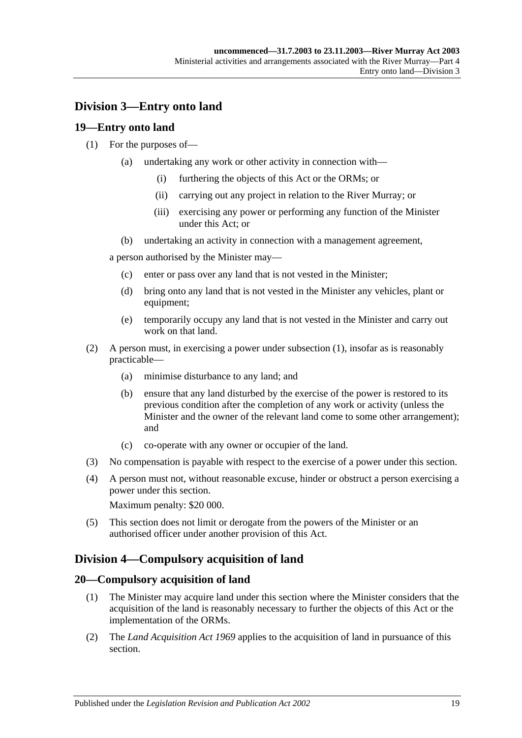## <span id="page-18-0"></span>**Division 3—Entry onto land**

### <span id="page-18-4"></span><span id="page-18-1"></span>**19—Entry onto land**

#### (1) For the purposes of—

- (a) undertaking any work or other activity in connection with—
	- (i) furthering the objects of this Act or the ORMs; or
	- (ii) carrying out any project in relation to the River Murray; or
	- (iii) exercising any power or performing any function of the Minister under this Act; or
- (b) undertaking an activity in connection with a management agreement,

a person authorised by the Minister may—

- (c) enter or pass over any land that is not vested in the Minister;
- (d) bring onto any land that is not vested in the Minister any vehicles, plant or equipment;
- (e) temporarily occupy any land that is not vested in the Minister and carry out work on that land.
- (2) A person must, in exercising a power under [subsection](#page-18-4) (1), insofar as is reasonably practicable—
	- (a) minimise disturbance to any land; and
	- (b) ensure that any land disturbed by the exercise of the power is restored to its previous condition after the completion of any work or activity (unless the Minister and the owner of the relevant land come to some other arrangement); and
	- (c) co-operate with any owner or occupier of the land.
- (3) No compensation is payable with respect to the exercise of a power under this section.
- (4) A person must not, without reasonable excuse, hinder or obstruct a person exercising a power under this section.

Maximum penalty: \$20 000.

(5) This section does not limit or derogate from the powers of the Minister or an authorised officer under another provision of this Act.

## <span id="page-18-2"></span>**Division 4—Compulsory acquisition of land**

#### <span id="page-18-3"></span>**20—Compulsory acquisition of land**

- (1) The Minister may acquire land under this section where the Minister considers that the acquisition of the land is reasonably necessary to further the objects of this Act or the implementation of the ORMs.
- (2) The *[Land Acquisition Act](http://www.legislation.sa.gov.au/index.aspx?action=legref&type=act&legtitle=Land%20Acquisition%20Act%201969) 1969* applies to the acquisition of land in pursuance of this section.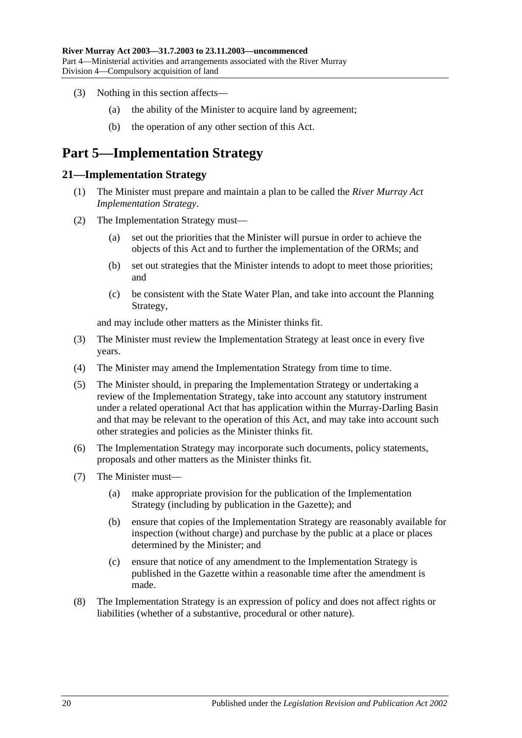- (3) Nothing in this section affects—
	- (a) the ability of the Minister to acquire land by agreement;
	- (b) the operation of any other section of this Act.

## <span id="page-19-0"></span>**Part 5—Implementation Strategy**

#### <span id="page-19-1"></span>**21—Implementation Strategy**

- (1) The Minister must prepare and maintain a plan to be called the *River Murray Act Implementation Strategy*.
- (2) The Implementation Strategy must—
	- (a) set out the priorities that the Minister will pursue in order to achieve the objects of this Act and to further the implementation of the ORMs; and
	- (b) set out strategies that the Minister intends to adopt to meet those priorities; and
	- (c) be consistent with the State Water Plan, and take into account the Planning Strategy,

and may include other matters as the Minister thinks fit.

- (3) The Minister must review the Implementation Strategy at least once in every five years.
- (4) The Minister may amend the Implementation Strategy from time to time.
- (5) The Minister should, in preparing the Implementation Strategy or undertaking a review of the Implementation Strategy, take into account any statutory instrument under a related operational Act that has application within the Murray-Darling Basin and that may be relevant to the operation of this Act, and may take into account such other strategies and policies as the Minister thinks fit.
- (6) The Implementation Strategy may incorporate such documents, policy statements, proposals and other matters as the Minister thinks fit.
- (7) The Minister must—
	- (a) make appropriate provision for the publication of the Implementation Strategy (including by publication in the Gazette); and
	- (b) ensure that copies of the Implementation Strategy are reasonably available for inspection (without charge) and purchase by the public at a place or places determined by the Minister; and
	- (c) ensure that notice of any amendment to the Implementation Strategy is published in the Gazette within a reasonable time after the amendment is made.
- (8) The Implementation Strategy is an expression of policy and does not affect rights or liabilities (whether of a substantive, procedural or other nature).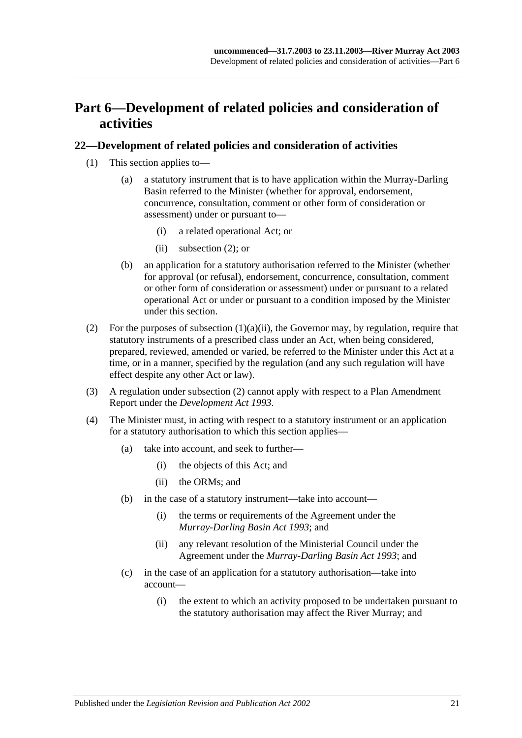## <span id="page-20-0"></span>**Part 6—Development of related policies and consideration of activities**

#### <span id="page-20-1"></span>**22—Development of related policies and consideration of activities**

- <span id="page-20-3"></span>(1) This section applies to—
	- (a) a statutory instrument that is to have application within the Murray-Darling Basin referred to the Minister (whether for approval, endorsement, concurrence, consultation, comment or other form of consideration or assessment) under or pursuant to—
		- (i) a related operational Act; or
		- (ii) [subsection](#page-20-2) (2); or
	- (b) an application for a statutory authorisation referred to the Minister (whether for approval (or refusal), endorsement, concurrence, consultation, comment or other form of consideration or assessment) under or pursuant to a related operational Act or under or pursuant to a condition imposed by the Minister under this section.
- <span id="page-20-2"></span>(2) For the purposes of [subsection](#page-20-3)  $(1)(a)(ii)$ , the Governor may, by regulation, require that statutory instruments of a prescribed class under an Act, when being considered, prepared, reviewed, amended or varied, be referred to the Minister under this Act at a time, or in a manner, specified by the regulation (and any such regulation will have effect despite any other Act or law).
- (3) A regulation under [subsection](#page-20-2) (2) cannot apply with respect to a Plan Amendment Report under the *[Development Act](http://www.legislation.sa.gov.au/index.aspx?action=legref&type=act&legtitle=Development%20Act%201993) 1993*.
- (4) The Minister must, in acting with respect to a statutory instrument or an application for a statutory authorisation to which this section applies—
	- (a) take into account, and seek to further—
		- (i) the objects of this Act; and
		- (ii) the ORMs; and
	- (b) in the case of a statutory instrument—take into account—
		- (i) the terms or requirements of the Agreement under the *[Murray-Darling Basin Act](http://www.legislation.sa.gov.au/index.aspx?action=legref&type=act&legtitle=Murray-Darling%20Basin%20Act%201993) 1993*; and
		- (ii) any relevant resolution of the Ministerial Council under the Agreement under the *[Murray-Darling Basin Act](http://www.legislation.sa.gov.au/index.aspx?action=legref&type=act&legtitle=Murray-Darling%20Basin%20Act%201993) 1993*; and
	- (c) in the case of an application for a statutory authorisation—take into account—
		- (i) the extent to which an activity proposed to be undertaken pursuant to the statutory authorisation may affect the River Murray; and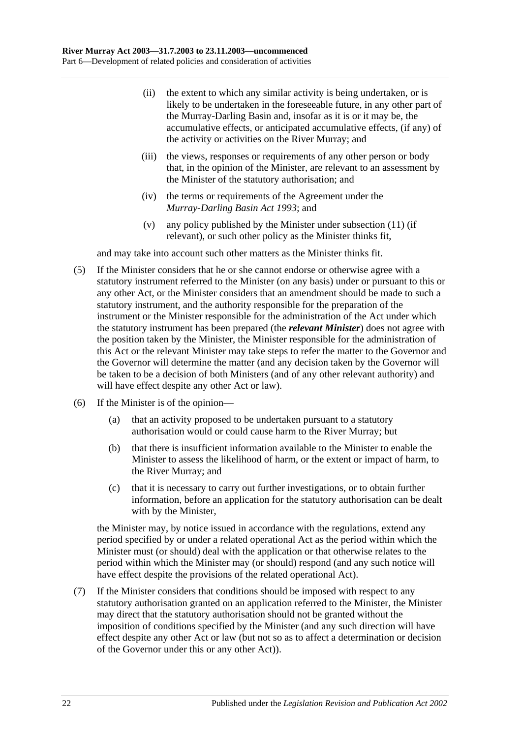- (ii) the extent to which any similar activity is being undertaken, or is likely to be undertaken in the foreseeable future, in any other part of the Murray-Darling Basin and, insofar as it is or it may be, the accumulative effects, or anticipated accumulative effects, (if any) of the activity or activities on the River Murray; and
- (iii) the views, responses or requirements of any other person or body that, in the opinion of the Minister, are relevant to an assessment by the Minister of the statutory authorisation; and
- (iv) the terms or requirements of the Agreement under the *[Murray-Darling Basin Act](http://www.legislation.sa.gov.au/index.aspx?action=legref&type=act&legtitle=Murray-Darling%20Basin%20Act%201993) 1993*; and
- (v) any policy published by the Minister under [subsection](#page-23-0) (11) (if relevant), or such other policy as the Minister thinks fit,

and may take into account such other matters as the Minister thinks fit.

- (5) If the Minister considers that he or she cannot endorse or otherwise agree with a statutory instrument referred to the Minister (on any basis) under or pursuant to this or any other Act, or the Minister considers that an amendment should be made to such a statutory instrument, and the authority responsible for the preparation of the instrument or the Minister responsible for the administration of the Act under which the statutory instrument has been prepared (the *relevant Minister*) does not agree with the position taken by the Minister, the Minister responsible for the administration of this Act or the relevant Minister may take steps to refer the matter to the Governor and the Governor will determine the matter (and any decision taken by the Governor will be taken to be a decision of both Ministers (and of any other relevant authority) and will have effect despite any other Act or law).
- (6) If the Minister is of the opinion—
	- (a) that an activity proposed to be undertaken pursuant to a statutory authorisation would or could cause harm to the River Murray; but
	- (b) that there is insufficient information available to the Minister to enable the Minister to assess the likelihood of harm, or the extent or impact of harm, to the River Murray; and
	- (c) that it is necessary to carry out further investigations, or to obtain further information, before an application for the statutory authorisation can be dealt with by the Minister,

the Minister may, by notice issued in accordance with the regulations, extend any period specified by or under a related operational Act as the period within which the Minister must (or should) deal with the application or that otherwise relates to the period within which the Minister may (or should) respond (and any such notice will have effect despite the provisions of the related operational Act).

<span id="page-21-0"></span>(7) If the Minister considers that conditions should be imposed with respect to any statutory authorisation granted on an application referred to the Minister, the Minister may direct that the statutory authorisation should not be granted without the imposition of conditions specified by the Minister (and any such direction will have effect despite any other Act or law (but not so as to affect a determination or decision of the Governor under this or any other Act)).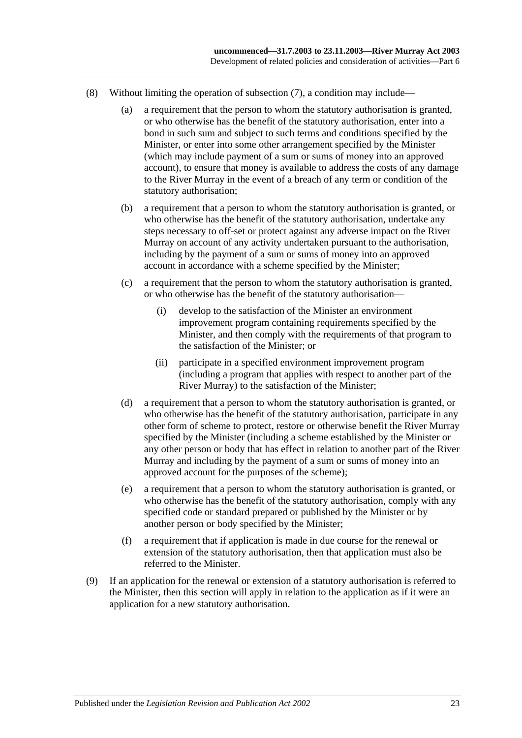- (8) Without limiting the operation of [subsection](#page-21-0) (7), a condition may include—
	- (a) a requirement that the person to whom the statutory authorisation is granted, or who otherwise has the benefit of the statutory authorisation, enter into a bond in such sum and subject to such terms and conditions specified by the Minister, or enter into some other arrangement specified by the Minister (which may include payment of a sum or sums of money into an approved account), to ensure that money is available to address the costs of any damage to the River Murray in the event of a breach of any term or condition of the statutory authorisation;
	- (b) a requirement that a person to whom the statutory authorisation is granted, or who otherwise has the benefit of the statutory authorisation, undertake any steps necessary to off-set or protect against any adverse impact on the River Murray on account of any activity undertaken pursuant to the authorisation, including by the payment of a sum or sums of money into an approved account in accordance with a scheme specified by the Minister;
	- (c) a requirement that the person to whom the statutory authorisation is granted, or who otherwise has the benefit of the statutory authorisation—
		- (i) develop to the satisfaction of the Minister an environment improvement program containing requirements specified by the Minister, and then comply with the requirements of that program to the satisfaction of the Minister; or
		- (ii) participate in a specified environment improvement program (including a program that applies with respect to another part of the River Murray) to the satisfaction of the Minister;
	- (d) a requirement that a person to whom the statutory authorisation is granted, or who otherwise has the benefit of the statutory authorisation, participate in any other form of scheme to protect, restore or otherwise benefit the River Murray specified by the Minister (including a scheme established by the Minister or any other person or body that has effect in relation to another part of the River Murray and including by the payment of a sum or sums of money into an approved account for the purposes of the scheme);
	- (e) a requirement that a person to whom the statutory authorisation is granted, or who otherwise has the benefit of the statutory authorisation, comply with any specified code or standard prepared or published by the Minister or by another person or body specified by the Minister;
	- (f) a requirement that if application is made in due course for the renewal or extension of the statutory authorisation, then that application must also be referred to the Minister.
- (9) If an application for the renewal or extension of a statutory authorisation is referred to the Minister, then this section will apply in relation to the application as if it were an application for a new statutory authorisation.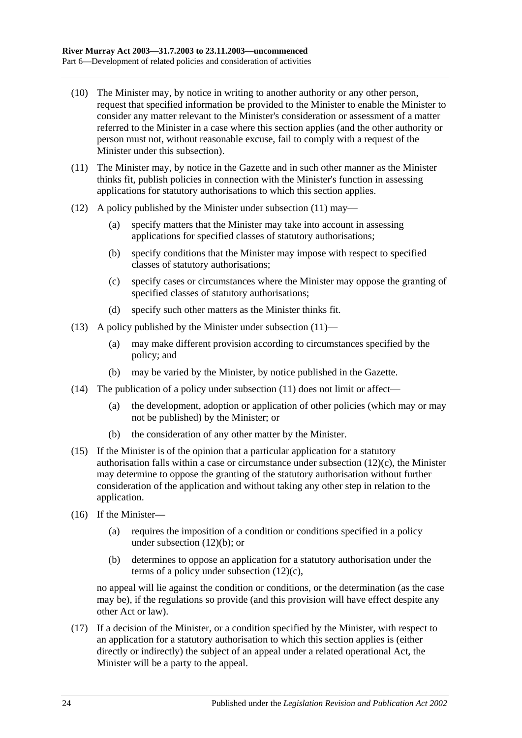- (10) The Minister may, by notice in writing to another authority or any other person, request that specified information be provided to the Minister to enable the Minister to consider any matter relevant to the Minister's consideration or assessment of a matter referred to the Minister in a case where this section applies (and the other authority or person must not, without reasonable excuse, fail to comply with a request of the Minister under this subsection).
- <span id="page-23-0"></span>(11) The Minister may, by notice in the Gazette and in such other manner as the Minister thinks fit, publish policies in connection with the Minister's function in assessing applications for statutory authorisations to which this section applies.
- <span id="page-23-2"></span>(12) A policy published by the Minister under [subsection](#page-23-0) (11) may—
	- (a) specify matters that the Minister may take into account in assessing applications for specified classes of statutory authorisations;
	- (b) specify conditions that the Minister may impose with respect to specified classes of statutory authorisations;
	- (c) specify cases or circumstances where the Minister may oppose the granting of specified classes of statutory authorisations;
	- (d) specify such other matters as the Minister thinks fit.
- <span id="page-23-1"></span>(13) A policy published by the Minister under [subsection](#page-23-0)  $(11)$ —
	- (a) may make different provision according to circumstances specified by the policy; and
	- (b) may be varied by the Minister, by notice published in the Gazette.
- (14) The publication of a policy under [subsection](#page-23-0)  $(11)$  does not limit or affect—
	- (a) the development, adoption or application of other policies (which may or may not be published) by the Minister; or
	- (b) the consideration of any other matter by the Minister.
- (15) If the Minister is of the opinion that a particular application for a statutory authorisation falls within a case or circumstance under [subsection](#page-23-1) (12)(c), the Minister may determine to oppose the granting of the statutory authorisation without further consideration of the application and without taking any other step in relation to the application.
- (16) If the Minister—
	- (a) requires the imposition of a condition or conditions specified in a policy under [subsection](#page-23-2) (12)(b); or
	- (b) determines to oppose an application for a statutory authorisation under the terms of a policy under [subsection](#page-23-1) (12)(c),

no appeal will lie against the condition or conditions, or the determination (as the case may be), if the regulations so provide (and this provision will have effect despite any other Act or law).

(17) If a decision of the Minister, or a condition specified by the Minister, with respect to an application for a statutory authorisation to which this section applies is (either directly or indirectly) the subject of an appeal under a related operational Act, the Minister will be a party to the appeal.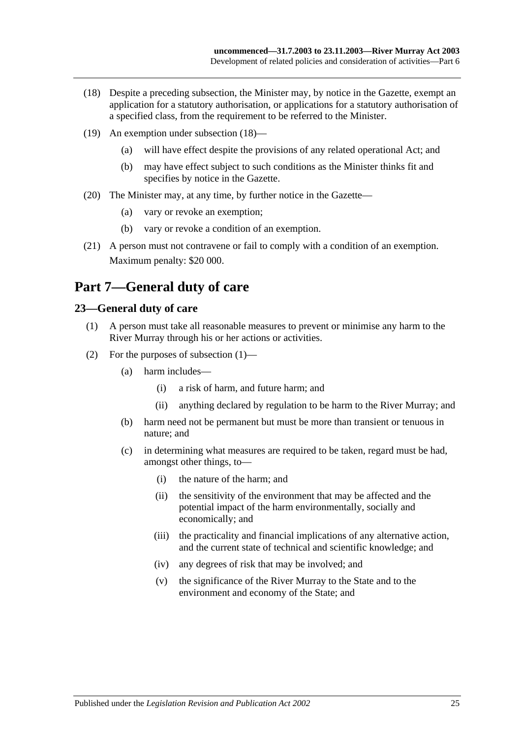- <span id="page-24-2"></span>(18) Despite a preceding subsection, the Minister may, by notice in the Gazette, exempt an application for a statutory authorisation, or applications for a statutory authorisation of a specified class, from the requirement to be referred to the Minister.
- (19) An exemption under [subsection](#page-24-2) (18)—
	- (a) will have effect despite the provisions of any related operational Act; and
	- (b) may have effect subject to such conditions as the Minister thinks fit and specifies by notice in the Gazette.
- (20) The Minister may, at any time, by further notice in the Gazette—
	- (a) vary or revoke an exemption;
	- (b) vary or revoke a condition of an exemption.
- (21) A person must not contravene or fail to comply with a condition of an exemption. Maximum penalty: \$20 000.

## <span id="page-24-0"></span>**Part 7—General duty of care**

### <span id="page-24-3"></span><span id="page-24-1"></span>**23—General duty of care**

- (1) A person must take all reasonable measures to prevent or minimise any harm to the River Murray through his or her actions or activities.
- (2) For the purposes of [subsection](#page-24-3) (1)—
	- (a) harm includes—
		- (i) a risk of harm, and future harm; and
		- (ii) anything declared by regulation to be harm to the River Murray; and
	- (b) harm need not be permanent but must be more than transient or tenuous in nature; and
	- (c) in determining what measures are required to be taken, regard must be had, amongst other things, to—
		- (i) the nature of the harm; and
		- (ii) the sensitivity of the environment that may be affected and the potential impact of the harm environmentally, socially and economically; and
		- (iii) the practicality and financial implications of any alternative action, and the current state of technical and scientific knowledge; and
		- (iv) any degrees of risk that may be involved; and
		- (v) the significance of the River Murray to the State and to the environment and economy of the State; and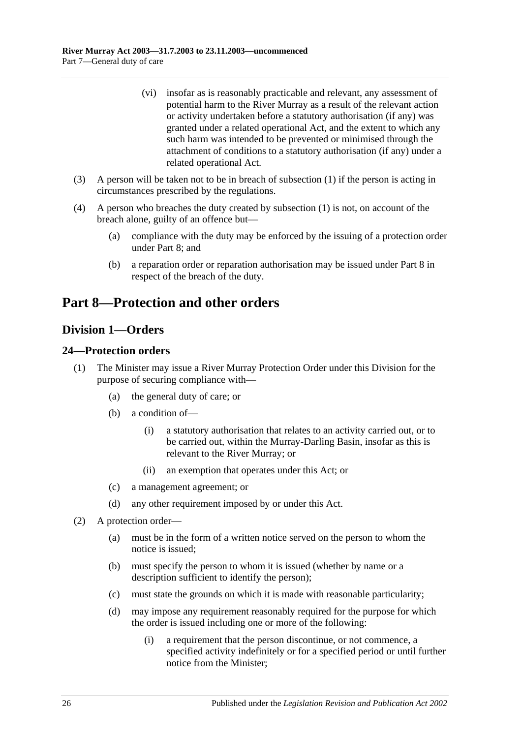- (vi) insofar as is reasonably practicable and relevant, any assessment of potential harm to the River Murray as a result of the relevant action or activity undertaken before a statutory authorisation (if any) was granted under a related operational Act, and the extent to which any such harm was intended to be prevented or minimised through the attachment of conditions to a statutory authorisation (if any) under a related operational Act.
- (3) A person will be taken not to be in breach of [subsection](#page-24-3) (1) if the person is acting in circumstances prescribed by the regulations.
- (4) A person who breaches the duty created by [subsection](#page-24-3) (1) is not, on account of the breach alone, guilty of an offence but—
	- (a) compliance with the duty may be enforced by the issuing of a protection order under [Part 8;](#page-25-0) and
	- (b) a reparation order or reparation authorisation may be issued under [Part 8](#page-25-0) in respect of the breach of the duty.

## <span id="page-25-0"></span>**Part 8—Protection and other orders**

## <span id="page-25-1"></span>**Division 1—Orders**

### <span id="page-25-2"></span>**24—Protection orders**

- (1) The Minister may issue a River Murray Protection Order under this Division for the purpose of securing compliance with—
	- (a) the general duty of care; or
	- (b) a condition of—
		- (i) a statutory authorisation that relates to an activity carried out, or to be carried out, within the Murray-Darling Basin, insofar as this is relevant to the River Murray; or
		- (ii) an exemption that operates under this Act; or
	- (c) a management agreement; or
	- (d) any other requirement imposed by or under this Act.
- <span id="page-25-3"></span>(2) A protection order—
	- (a) must be in the form of a written notice served on the person to whom the notice is issued;
	- (b) must specify the person to whom it is issued (whether by name or a description sufficient to identify the person);
	- (c) must state the grounds on which it is made with reasonable particularity;
	- (d) may impose any requirement reasonably required for the purpose for which the order is issued including one or more of the following:
		- (i) a requirement that the person discontinue, or not commence, a specified activity indefinitely or for a specified period or until further notice from the Minister;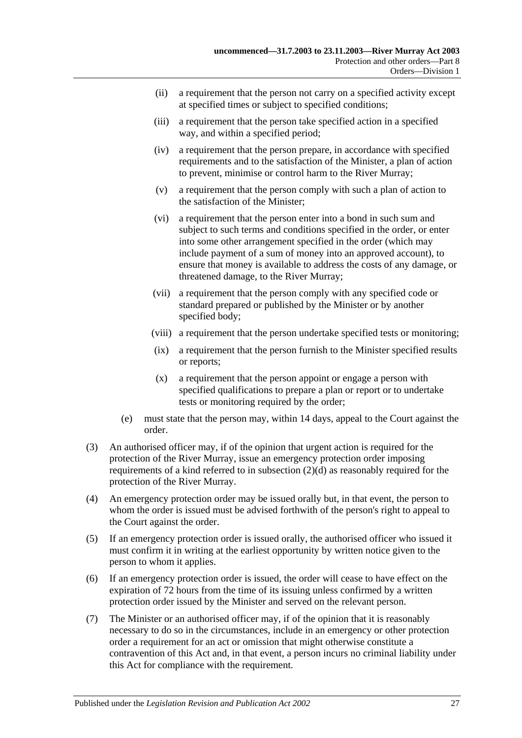- (ii) a requirement that the person not carry on a specified activity except at specified times or subject to specified conditions;
- (iii) a requirement that the person take specified action in a specified way, and within a specified period;
- (iv) a requirement that the person prepare, in accordance with specified requirements and to the satisfaction of the Minister, a plan of action to prevent, minimise or control harm to the River Murray;
- (v) a requirement that the person comply with such a plan of action to the satisfaction of the Minister;
- (vi) a requirement that the person enter into a bond in such sum and subject to such terms and conditions specified in the order, or enter into some other arrangement specified in the order (which may include payment of a sum of money into an approved account), to ensure that money is available to address the costs of any damage, or threatened damage, to the River Murray;
- (vii) a requirement that the person comply with any specified code or standard prepared or published by the Minister or by another specified body;
- (viii) a requirement that the person undertake specified tests or monitoring;
- (ix) a requirement that the person furnish to the Minister specified results or reports;
- (x) a requirement that the person appoint or engage a person with specified qualifications to prepare a plan or report or to undertake tests or monitoring required by the order;
- (e) must state that the person may, within 14 days, appeal to the Court against the order.
- (3) An authorised officer may, if of the opinion that urgent action is required for the protection of the River Murray, issue an emergency protection order imposing requirements of a kind referred to in [subsection](#page-25-3) (2)(d) as reasonably required for the protection of the River Murray.
- (4) An emergency protection order may be issued orally but, in that event, the person to whom the order is issued must be advised forthwith of the person's right to appeal to the Court against the order.
- (5) If an emergency protection order is issued orally, the authorised officer who issued it must confirm it in writing at the earliest opportunity by written notice given to the person to whom it applies.
- (6) If an emergency protection order is issued, the order will cease to have effect on the expiration of 72 hours from the time of its issuing unless confirmed by a written protection order issued by the Minister and served on the relevant person.
- (7) The Minister or an authorised officer may, if of the opinion that it is reasonably necessary to do so in the circumstances, include in an emergency or other protection order a requirement for an act or omission that might otherwise constitute a contravention of this Act and, in that event, a person incurs no criminal liability under this Act for compliance with the requirement.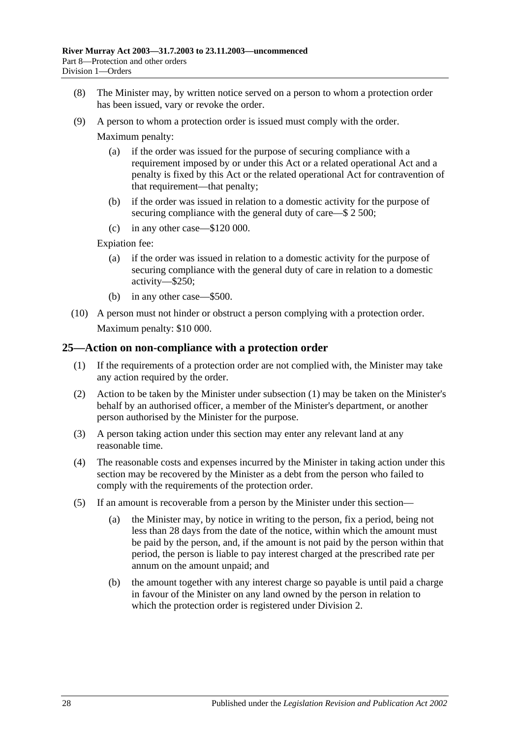- (8) The Minister may, by written notice served on a person to whom a protection order has been issued, vary or revoke the order.
- (9) A person to whom a protection order is issued must comply with the order.

Maximum penalty:

- (a) if the order was issued for the purpose of securing compliance with a requirement imposed by or under this Act or a related operational Act and a penalty is fixed by this Act or the related operational Act for contravention of that requirement—that penalty;
- (b) if the order was issued in relation to a domestic activity for the purpose of securing compliance with the general duty of care—\$ 2 500;
- (c) in any other case—\$120 000.

Expiation fee:

- (a) if the order was issued in relation to a domestic activity for the purpose of securing compliance with the general duty of care in relation to a domestic activity—\$250;
- (b) in any other case—\$500.
- (10) A person must not hinder or obstruct a person complying with a protection order. Maximum penalty: \$10 000.

#### <span id="page-27-1"></span><span id="page-27-0"></span>**25—Action on non-compliance with a protection order**

- (1) If the requirements of a protection order are not complied with, the Minister may take any action required by the order.
- (2) Action to be taken by the Minister under [subsection](#page-27-1) (1) may be taken on the Minister's behalf by an authorised officer, a member of the Minister's department, or another person authorised by the Minister for the purpose.
- (3) A person taking action under this section may enter any relevant land at any reasonable time.
- (4) The reasonable costs and expenses incurred by the Minister in taking action under this section may be recovered by the Minister as a debt from the person who failed to comply with the requirements of the protection order.
- (5) If an amount is recoverable from a person by the Minister under this section—
	- (a) the Minister may, by notice in writing to the person, fix a period, being not less than 28 days from the date of the notice, within which the amount must be paid by the person, and, if the amount is not paid by the person within that period, the person is liable to pay interest charged at the prescribed rate per annum on the amount unpaid; and
	- (b) the amount together with any interest charge so payable is until paid a charge in favour of the Minister on any land owned by the person in relation to which the protection order is registered under [Division 2.](#page-32-0)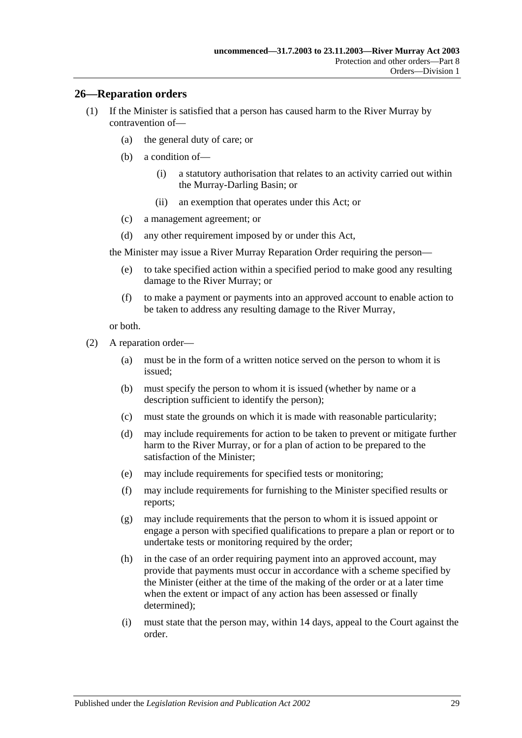#### <span id="page-28-0"></span>**26—Reparation orders**

- (1) If the Minister is satisfied that a person has caused harm to the River Murray by contravention of—
	- (a) the general duty of care; or
	- (b) a condition of—
		- (i) a statutory authorisation that relates to an activity carried out within the Murray-Darling Basin; or
		- (ii) an exemption that operates under this Act; or
	- (c) a management agreement; or
	- (d) any other requirement imposed by or under this Act,

the Minister may issue a River Murray Reparation Order requiring the person—

- (e) to take specified action within a specified period to make good any resulting damage to the River Murray; or
- (f) to make a payment or payments into an approved account to enable action to be taken to address any resulting damage to the River Murray,

or both.

- <span id="page-28-1"></span>(2) A reparation order—
	- (a) must be in the form of a written notice served on the person to whom it is issued;
	- (b) must specify the person to whom it is issued (whether by name or a description sufficient to identify the person);
	- (c) must state the grounds on which it is made with reasonable particularity;
	- (d) may include requirements for action to be taken to prevent or mitigate further harm to the River Murray, or for a plan of action to be prepared to the satisfaction of the Minister;
	- (e) may include requirements for specified tests or monitoring;
	- (f) may include requirements for furnishing to the Minister specified results or reports;
	- (g) may include requirements that the person to whom it is issued appoint or engage a person with specified qualifications to prepare a plan or report or to undertake tests or monitoring required by the order;
	- (h) in the case of an order requiring payment into an approved account, may provide that payments must occur in accordance with a scheme specified by the Minister (either at the time of the making of the order or at a later time when the extent or impact of any action has been assessed or finally determined);
	- (i) must state that the person may, within 14 days, appeal to the Court against the order.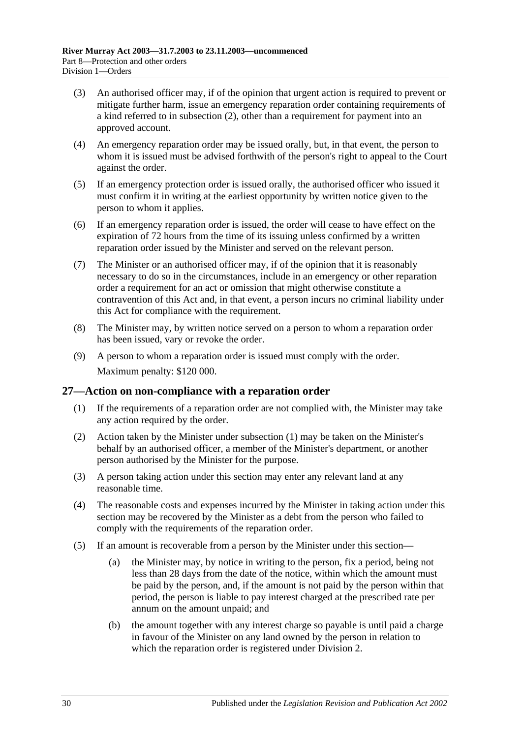- (3) An authorised officer may, if of the opinion that urgent action is required to prevent or mitigate further harm, issue an emergency reparation order containing requirements of a kind referred to in [subsection](#page-28-1) (2), other than a requirement for payment into an approved account.
- (4) An emergency reparation order may be issued orally, but, in that event, the person to whom it is issued must be advised forthwith of the person's right to appeal to the Court against the order.
- (5) If an emergency protection order is issued orally, the authorised officer who issued it must confirm it in writing at the earliest opportunity by written notice given to the person to whom it applies.
- (6) If an emergency reparation order is issued, the order will cease to have effect on the expiration of 72 hours from the time of its issuing unless confirmed by a written reparation order issued by the Minister and served on the relevant person.
- (7) The Minister or an authorised officer may, if of the opinion that it is reasonably necessary to do so in the circumstances, include in an emergency or other reparation order a requirement for an act or omission that might otherwise constitute a contravention of this Act and, in that event, a person incurs no criminal liability under this Act for compliance with the requirement.
- (8) The Minister may, by written notice served on a person to whom a reparation order has been issued, vary or revoke the order.
- (9) A person to whom a reparation order is issued must comply with the order. Maximum penalty: \$120 000.

#### <span id="page-29-1"></span><span id="page-29-0"></span>**27—Action on non-compliance with a reparation order**

- (1) If the requirements of a reparation order are not complied with, the Minister may take any action required by the order.
- (2) Action taken by the Minister under [subsection](#page-29-1) (1) may be taken on the Minister's behalf by an authorised officer, a member of the Minister's department, or another person authorised by the Minister for the purpose.
- (3) A person taking action under this section may enter any relevant land at any reasonable time.
- (4) The reasonable costs and expenses incurred by the Minister in taking action under this section may be recovered by the Minister as a debt from the person who failed to comply with the requirements of the reparation order.
- (5) If an amount is recoverable from a person by the Minister under this section—
	- (a) the Minister may, by notice in writing to the person, fix a period, being not less than 28 days from the date of the notice, within which the amount must be paid by the person, and, if the amount is not paid by the person within that period, the person is liable to pay interest charged at the prescribed rate per annum on the amount unpaid; and
	- (b) the amount together with any interest charge so payable is until paid a charge in favour of the Minister on any land owned by the person in relation to which the reparation order is registered under [Division 2.](#page-32-0)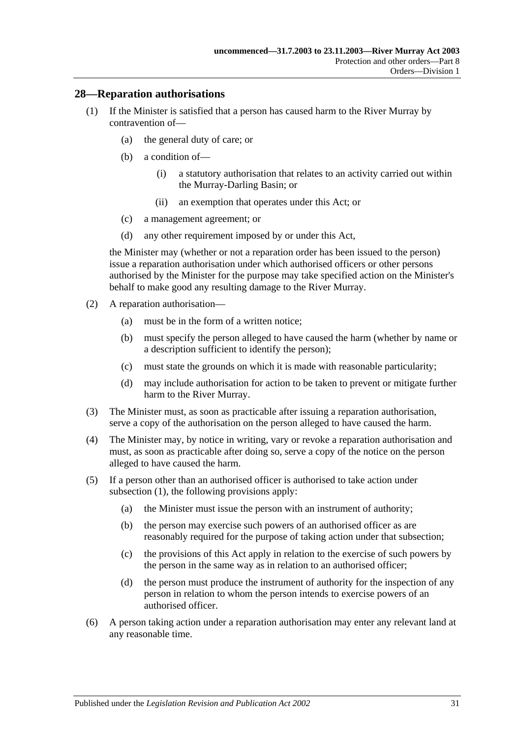#### <span id="page-30-1"></span><span id="page-30-0"></span>**28—Reparation authorisations**

- (1) If the Minister is satisfied that a person has caused harm to the River Murray by contravention of—
	- (a) the general duty of care; or
	- (b) a condition of—
		- (i) a statutory authorisation that relates to an activity carried out within the Murray-Darling Basin; or
		- (ii) an exemption that operates under this Act; or
	- (c) a management agreement; or
	- (d) any other requirement imposed by or under this Act,

the Minister may (whether or not a reparation order has been issued to the person) issue a reparation authorisation under which authorised officers or other persons authorised by the Minister for the purpose may take specified action on the Minister's behalf to make good any resulting damage to the River Murray.

- (2) A reparation authorisation—
	- (a) must be in the form of a written notice;
	- (b) must specify the person alleged to have caused the harm (whether by name or a description sufficient to identify the person);
	- (c) must state the grounds on which it is made with reasonable particularity;
	- (d) may include authorisation for action to be taken to prevent or mitigate further harm to the River Murray.
- (3) The Minister must, as soon as practicable after issuing a reparation authorisation, serve a copy of the authorisation on the person alleged to have caused the harm.
- (4) The Minister may, by notice in writing, vary or revoke a reparation authorisation and must, as soon as practicable after doing so, serve a copy of the notice on the person alleged to have caused the harm.
- (5) If a person other than an authorised officer is authorised to take action under [subsection](#page-30-1) (1), the following provisions apply:
	- (a) the Minister must issue the person with an instrument of authority;
	- (b) the person may exercise such powers of an authorised officer as are reasonably required for the purpose of taking action under that subsection;
	- (c) the provisions of this Act apply in relation to the exercise of such powers by the person in the same way as in relation to an authorised officer;
	- (d) the person must produce the instrument of authority for the inspection of any person in relation to whom the person intends to exercise powers of an authorised officer.
- (6) A person taking action under a reparation authorisation may enter any relevant land at any reasonable time.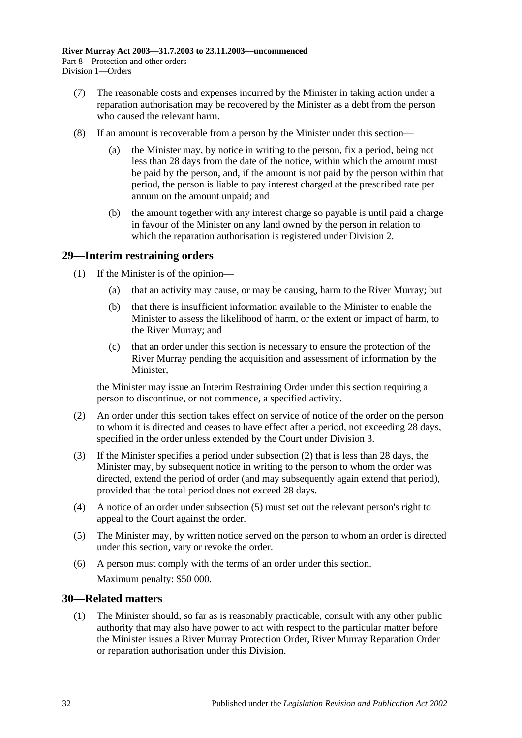- (7) The reasonable costs and expenses incurred by the Minister in taking action under a reparation authorisation may be recovered by the Minister as a debt from the person who caused the relevant harm.
- (8) If an amount is recoverable from a person by the Minister under this section
	- the Minister may, by notice in writing to the person, fix a period, being not less than 28 days from the date of the notice, within which the amount must be paid by the person, and, if the amount is not paid by the person within that period, the person is liable to pay interest charged at the prescribed rate per annum on the amount unpaid; and
	- (b) the amount together with any interest charge so payable is until paid a charge in favour of the Minister on any land owned by the person in relation to which the reparation authorisation is registered under [Division 2.](#page-32-0)

### <span id="page-31-0"></span>**29—Interim restraining orders**

- (1) If the Minister is of the opinion—
	- (a) that an activity may cause, or may be causing, harm to the River Murray; but
	- (b) that there is insufficient information available to the Minister to enable the Minister to assess the likelihood of harm, or the extent or impact of harm, to the River Murray; and
	- (c) that an order under this section is necessary to ensure the protection of the River Murray pending the acquisition and assessment of information by the Minister,

the Minister may issue an Interim Restraining Order under this section requiring a person to discontinue, or not commence, a specified activity.

- <span id="page-31-2"></span>(2) An order under this section takes effect on service of notice of the order on the person to whom it is directed and ceases to have effect after a period, not exceeding 28 days, specified in the order unless extended by the Court under [Division 3.](#page-33-1)
- (3) If the Minister specifies a period under [subsection](#page-31-2) (2) that is less than 28 days, the Minister may, by subsequent notice in writing to the person to whom the order was directed, extend the period of order (and may subsequently again extend that period), provided that the total period does not exceed 28 days.
- (4) A notice of an order under [subsection](#page-31-3) (5) must set out the relevant person's right to appeal to the Court against the order.
- <span id="page-31-3"></span>(5) The Minister may, by written notice served on the person to whom an order is directed under this section, vary or revoke the order.
- (6) A person must comply with the terms of an order under this section. Maximum penalty: \$50 000.

## <span id="page-31-4"></span><span id="page-31-1"></span>**30—Related matters**

(1) The Minister should, so far as is reasonably practicable, consult with any other public authority that may also have power to act with respect to the particular matter before the Minister issues a River Murray Protection Order, River Murray Reparation Order or reparation authorisation under this Division.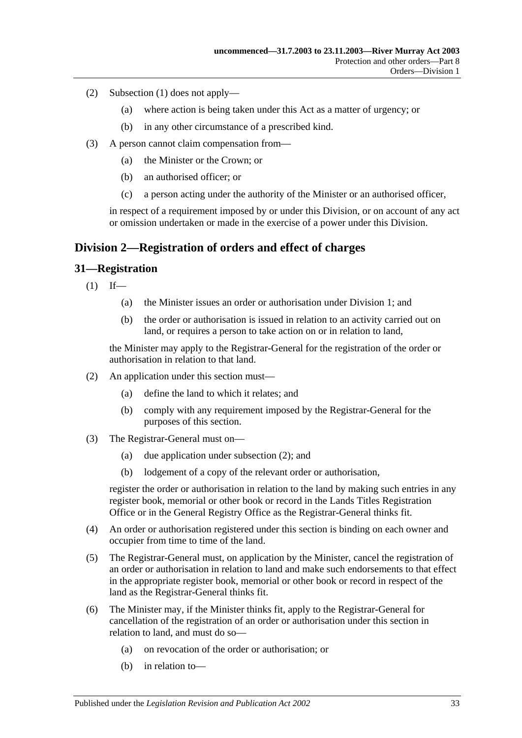- (2) [Subsection](#page-31-4) (1) does not apply—
	- (a) where action is being taken under this Act as a matter of urgency; or
	- (b) in any other circumstance of a prescribed kind.
- (3) A person cannot claim compensation from—
	- (a) the Minister or the Crown; or
	- (b) an authorised officer; or
	- (c) a person acting under the authority of the Minister or an authorised officer,

in respect of a requirement imposed by or under this Division, or on account of any act or omission undertaken or made in the exercise of a power under this Division.

### <span id="page-32-0"></span>**Division 2—Registration of orders and effect of charges**

#### <span id="page-32-1"></span>**31—Registration**

- $(1)$  If—
	- (a) the Minister issues an order or authorisation under [Division 1;](#page-25-1) and
	- (b) the order or authorisation is issued in relation to an activity carried out on land, or requires a person to take action on or in relation to land,

the Minister may apply to the Registrar-General for the registration of the order or authorisation in relation to that land.

- <span id="page-32-2"></span>(2) An application under this section must—
	- (a) define the land to which it relates; and
	- (b) comply with any requirement imposed by the Registrar-General for the purposes of this section.
- (3) The Registrar-General must on—
	- (a) due application under [subsection](#page-32-2) (2); and
	- (b) lodgement of a copy of the relevant order or authorisation,

register the order or authorisation in relation to the land by making such entries in any register book, memorial or other book or record in the Lands Titles Registration Office or in the General Registry Office as the Registrar-General thinks fit.

- (4) An order or authorisation registered under this section is binding on each owner and occupier from time to time of the land.
- (5) The Registrar-General must, on application by the Minister, cancel the registration of an order or authorisation in relation to land and make such endorsements to that effect in the appropriate register book, memorial or other book or record in respect of the land as the Registrar-General thinks fit.
- (6) The Minister may, if the Minister thinks fit, apply to the Registrar-General for cancellation of the registration of an order or authorisation under this section in relation to land, and must do so—
	- (a) on revocation of the order or authorisation; or
	- (b) in relation to—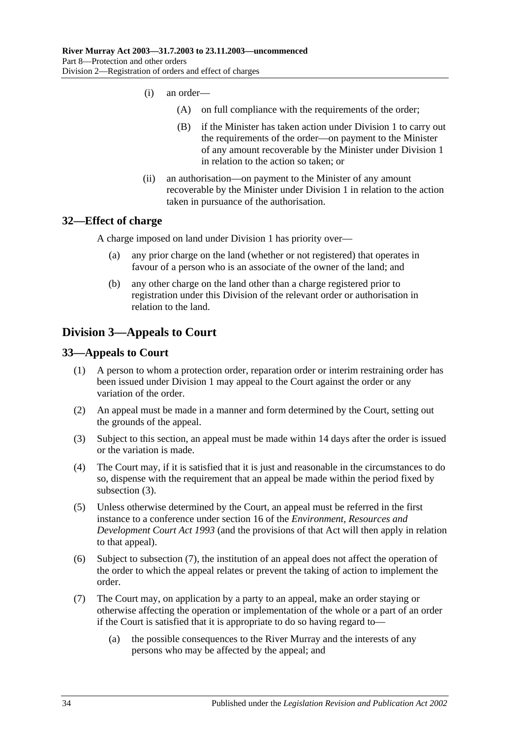- (i) an order—
	- (A) on full compliance with the requirements of the order;
	- (B) if the Minister has taken action under [Division 1](#page-25-1) to carry out the requirements of the order—on payment to the Minister of any amount recoverable by the Minister under [Division 1](#page-25-1) in relation to the action so taken; or
- (ii) an authorisation—on payment to the Minister of any amount recoverable by the Minister under [Division 1](#page-25-1) in relation to the action taken in pursuance of the authorisation.

#### <span id="page-33-0"></span>**32—Effect of charge**

A charge imposed on land under [Division 1](#page-25-1) has priority over—

- (a) any prior charge on the land (whether or not registered) that operates in favour of a person who is an associate of the owner of the land; and
- (b) any other charge on the land other than a charge registered prior to registration under this Division of the relevant order or authorisation in relation to the land.

## <span id="page-33-1"></span>**Division 3—Appeals to Court**

#### <span id="page-33-2"></span>**33—Appeals to Court**

- (1) A person to whom a protection order, reparation order or interim restraining order has been issued under [Division 1](#page-25-1) may appeal to the Court against the order or any variation of the order.
- (2) An appeal must be made in a manner and form determined by the Court, setting out the grounds of the appeal.
- <span id="page-33-3"></span>(3) Subject to this section, an appeal must be made within 14 days after the order is issued or the variation is made.
- (4) The Court may, if it is satisfied that it is just and reasonable in the circumstances to do so, dispense with the requirement that an appeal be made within the period fixed by [subsection](#page-33-3) (3).
- (5) Unless otherwise determined by the Court, an appeal must be referred in the first instance to a conference under section 16 of the *[Environment, Resources and](http://www.legislation.sa.gov.au/index.aspx?action=legref&type=act&legtitle=Environment%20Resources%20and%20Development%20Court%20Act%201993)  [Development Court Act](http://www.legislation.sa.gov.au/index.aspx?action=legref&type=act&legtitle=Environment%20Resources%20and%20Development%20Court%20Act%201993) 1993* (and the provisions of that Act will then apply in relation to that appeal).
- (6) Subject to [subsection](#page-33-4) (7), the institution of an appeal does not affect the operation of the order to which the appeal relates or prevent the taking of action to implement the order.
- <span id="page-33-4"></span>(7) The Court may, on application by a party to an appeal, make an order staying or otherwise affecting the operation or implementation of the whole or a part of an order if the Court is satisfied that it is appropriate to do so having regard to—
	- (a) the possible consequences to the River Murray and the interests of any persons who may be affected by the appeal; and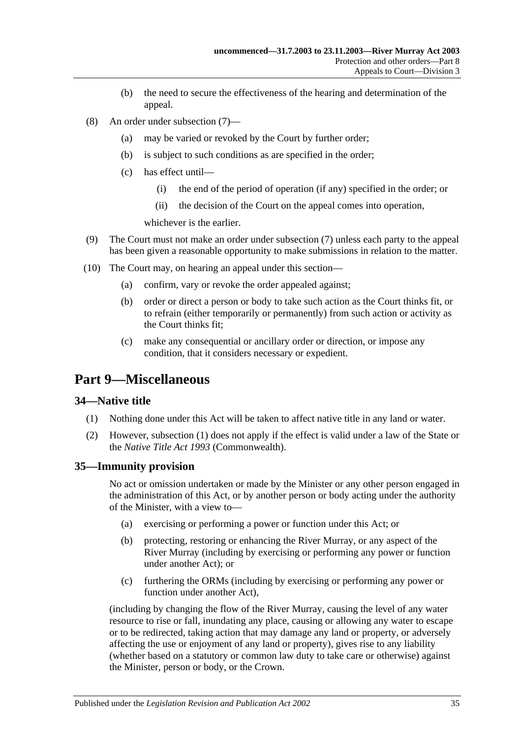- (b) the need to secure the effectiveness of the hearing and determination of the appeal.
- (8) An order under [subsection](#page-33-4) (7)—
	- (a) may be varied or revoked by the Court by further order;
	- (b) is subject to such conditions as are specified in the order;
	- (c) has effect until—
		- (i) the end of the period of operation (if any) specified in the order; or
		- (ii) the decision of the Court on the appeal comes into operation,

whichever is the earlier.

- (9) The Court must not make an order under [subsection](#page-33-4) (7) unless each party to the appeal has been given a reasonable opportunity to make submissions in relation to the matter.
- (10) The Court may, on hearing an appeal under this section—
	- (a) confirm, vary or revoke the order appealed against;
	- (b) order or direct a person or body to take such action as the Court thinks fit, or to refrain (either temporarily or permanently) from such action or activity as the Court thinks fit;
	- (c) make any consequential or ancillary order or direction, or impose any condition, that it considers necessary or expedient.

## <span id="page-34-0"></span>**Part 9—Miscellaneous**

#### <span id="page-34-3"></span><span id="page-34-1"></span>**34—Native title**

- (1) Nothing done under this Act will be taken to affect native title in any land or water.
- (2) However, [subsection](#page-34-3) (1) does not apply if the effect is valid under a law of the State or the *Native Title Act 1993* (Commonwealth).

#### <span id="page-34-2"></span>**35—Immunity provision**

No act or omission undertaken or made by the Minister or any other person engaged in the administration of this Act, or by another person or body acting under the authority of the Minister, with a view to—

- (a) exercising or performing a power or function under this Act; or
- (b) protecting, restoring or enhancing the River Murray, or any aspect of the River Murray (including by exercising or performing any power or function under another Act); or
- (c) furthering the ORMs (including by exercising or performing any power or function under another Act),

(including by changing the flow of the River Murray, causing the level of any water resource to rise or fall, inundating any place, causing or allowing any water to escape or to be redirected, taking action that may damage any land or property, or adversely affecting the use or enjoyment of any land or property), gives rise to any liability (whether based on a statutory or common law duty to take care or otherwise) against the Minister, person or body, or the Crown.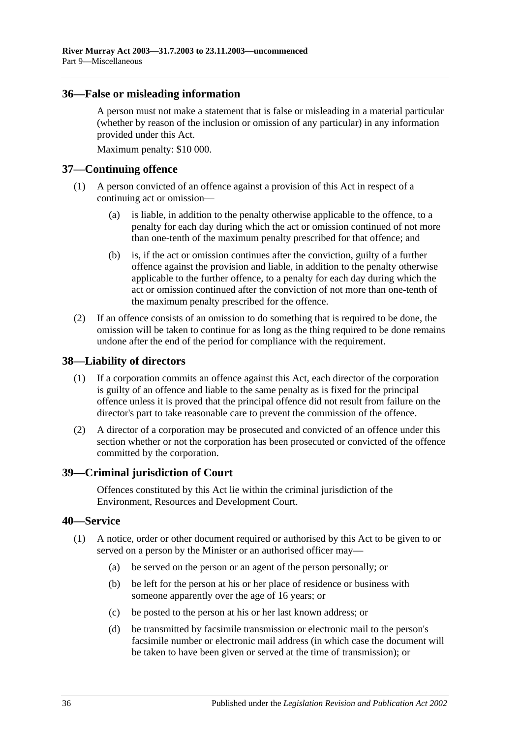#### <span id="page-35-0"></span>**36—False or misleading information**

A person must not make a statement that is false or misleading in a material particular (whether by reason of the inclusion or omission of any particular) in any information provided under this Act.

Maximum penalty: \$10 000.

#### <span id="page-35-1"></span>**37—Continuing offence**

- (1) A person convicted of an offence against a provision of this Act in respect of a continuing act or omission—
	- (a) is liable, in addition to the penalty otherwise applicable to the offence, to a penalty for each day during which the act or omission continued of not more than one-tenth of the maximum penalty prescribed for that offence; and
	- (b) is, if the act or omission continues after the conviction, guilty of a further offence against the provision and liable, in addition to the penalty otherwise applicable to the further offence, to a penalty for each day during which the act or omission continued after the conviction of not more than one-tenth of the maximum penalty prescribed for the offence.
- (2) If an offence consists of an omission to do something that is required to be done, the omission will be taken to continue for as long as the thing required to be done remains undone after the end of the period for compliance with the requirement.

#### <span id="page-35-2"></span>**38—Liability of directors**

- (1) If a corporation commits an offence against this Act, each director of the corporation is guilty of an offence and liable to the same penalty as is fixed for the principal offence unless it is proved that the principal offence did not result from failure on the director's part to take reasonable care to prevent the commission of the offence.
- (2) A director of a corporation may be prosecuted and convicted of an offence under this section whether or not the corporation has been prosecuted or convicted of the offence committed by the corporation.

#### <span id="page-35-3"></span>**39—Criminal jurisdiction of Court**

Offences constituted by this Act lie within the criminal jurisdiction of the Environment, Resources and Development Court.

#### <span id="page-35-4"></span>**40—Service**

- (1) A notice, order or other document required or authorised by this Act to be given to or served on a person by the Minister or an authorised officer may—
	- (a) be served on the person or an agent of the person personally; or
	- (b) be left for the person at his or her place of residence or business with someone apparently over the age of 16 years; or
	- (c) be posted to the person at his or her last known address; or
	- (d) be transmitted by facsimile transmission or electronic mail to the person's facsimile number or electronic mail address (in which case the document will be taken to have been given or served at the time of transmission); or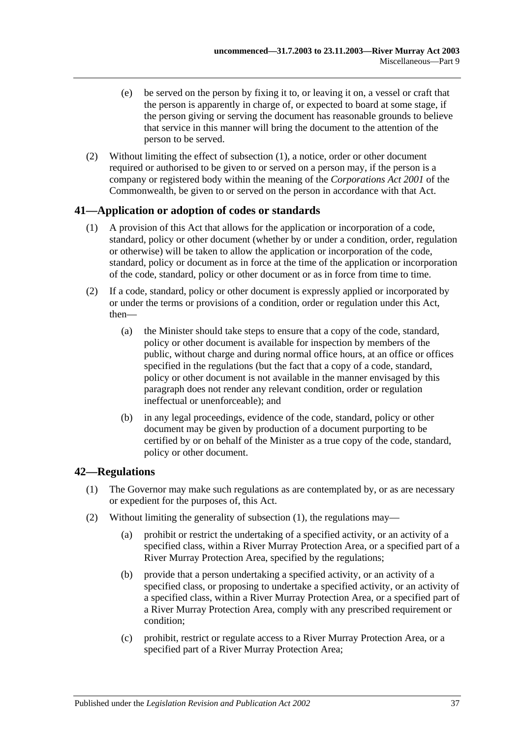- (e) be served on the person by fixing it to, or leaving it on, a vessel or craft that the person is apparently in charge of, or expected to board at some stage, if the person giving or serving the document has reasonable grounds to believe that service in this manner will bring the document to the attention of the person to be served.
- (2) Without limiting the effect of [subsection](#page-35-0) (1), a notice, order or other document required or authorised to be given to or served on a person may, if the person is a company or registered body within the meaning of the *Corporations Act 2001* of the Commonwealth, be given to or served on the person in accordance with that Act.

## **41—Application or adoption of codes or standards**

- (1) A provision of this Act that allows for the application or incorporation of a code, standard, policy or other document (whether by or under a condition, order, regulation or otherwise) will be taken to allow the application or incorporation of the code, standard, policy or document as in force at the time of the application or incorporation of the code, standard, policy or other document or as in force from time to time.
- (2) If a code, standard, policy or other document is expressly applied or incorporated by or under the terms or provisions of a condition, order or regulation under this Act, then—
	- (a) the Minister should take steps to ensure that a copy of the code, standard, policy or other document is available for inspection by members of the public, without charge and during normal office hours, at an office or offices specified in the regulations (but the fact that a copy of a code, standard, policy or other document is not available in the manner envisaged by this paragraph does not render any relevant condition, order or regulation ineffectual or unenforceable); and
	- (b) in any legal proceedings, evidence of the code, standard, policy or other document may be given by production of a document purporting to be certified by or on behalf of the Minister as a true copy of the code, standard, policy or other document.

## <span id="page-36-0"></span>**42—Regulations**

- (1) The Governor may make such regulations as are contemplated by, or as are necessary or expedient for the purposes of, this Act.
- <span id="page-36-4"></span><span id="page-36-3"></span><span id="page-36-2"></span><span id="page-36-1"></span>(2) Without limiting the generality of [subsection](#page-36-0) (1), the regulations may—
	- (a) prohibit or restrict the undertaking of a specified activity, or an activity of a specified class, within a River Murray Protection Area, or a specified part of a River Murray Protection Area, specified by the regulations;
	- (b) provide that a person undertaking a specified activity, or an activity of a specified class, or proposing to undertake a specified activity, or an activity of a specified class, within a River Murray Protection Area, or a specified part of a River Murray Protection Area, comply with any prescribed requirement or condition;
	- (c) prohibit, restrict or regulate access to a River Murray Protection Area, or a specified part of a River Murray Protection Area;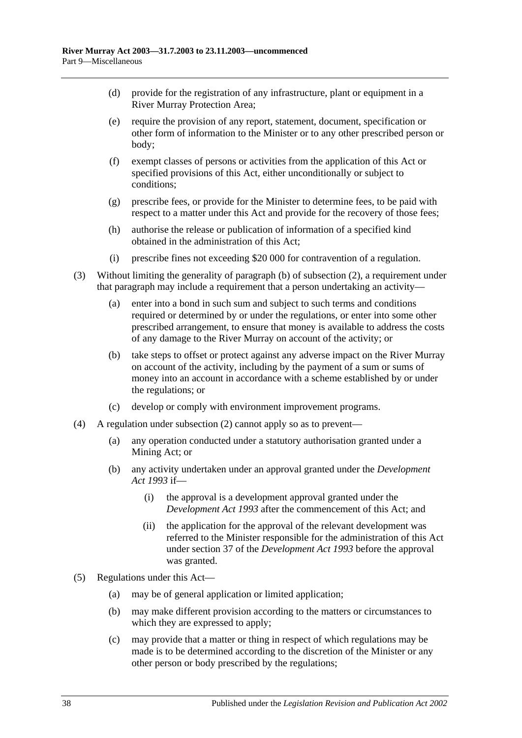- (d) provide for the registration of any infrastructure, plant or equipment in a River Murray Protection Area;
- (e) require the provision of any report, statement, document, specification or other form of information to the Minister or to any other prescribed person or body;
- (f) exempt classes of persons or activities from the application of this Act or specified provisions of this Act, either unconditionally or subject to conditions;
- (g) prescribe fees, or provide for the Minister to determine fees, to be paid with respect to a matter under this Act and provide for the recovery of those fees;
- (h) authorise the release or publication of information of a specified kind obtained in the administration of this Act;
- (i) prescribe fines not exceeding \$20 000 for contravention of a regulation.
- (3) Without limiting the generality of [paragraph](#page-36-1) (b) of [subsection](#page-36-2) (2), a requirement under that paragraph may include a requirement that a person undertaking an activity—
	- (a) enter into a bond in such sum and subject to such terms and conditions required or determined by or under the regulations, or enter into some other prescribed arrangement, to ensure that money is available to address the costs of any damage to the River Murray on account of the activity; or
	- (b) take steps to offset or protect against any adverse impact on the River Murray on account of the activity, including by the payment of a sum or sums of money into an account in accordance with a scheme established by or under the regulations; or
	- (c) develop or comply with environment improvement programs.
- (4) A regulation under [subsection](#page-36-2) (2) cannot apply so as to prevent—
	- (a) any operation conducted under a statutory authorisation granted under a Mining Act; or
	- (b) any activity undertaken under an approval granted under the *[Development](http://www.legislation.sa.gov.au/index.aspx?action=legref&type=act&legtitle=Development%20Act%201993)  Act [1993](http://www.legislation.sa.gov.au/index.aspx?action=legref&type=act&legtitle=Development%20Act%201993)* if—
		- (i) the approval is a development approval granted under the *[Development Act](http://www.legislation.sa.gov.au/index.aspx?action=legref&type=act&legtitle=Development%20Act%201993) 1993* after the commencement of this Act; and
		- (ii) the application for the approval of the relevant development was referred to the Minister responsible for the administration of this Act under section 37 of the *[Development Act](http://www.legislation.sa.gov.au/index.aspx?action=legref&type=act&legtitle=Development%20Act%201993) 1993* before the approval was granted.
- (5) Regulations under this Act—
	- (a) may be of general application or limited application;
	- (b) may make different provision according to the matters or circumstances to which they are expressed to apply;
	- (c) may provide that a matter or thing in respect of which regulations may be made is to be determined according to the discretion of the Minister or any other person or body prescribed by the regulations;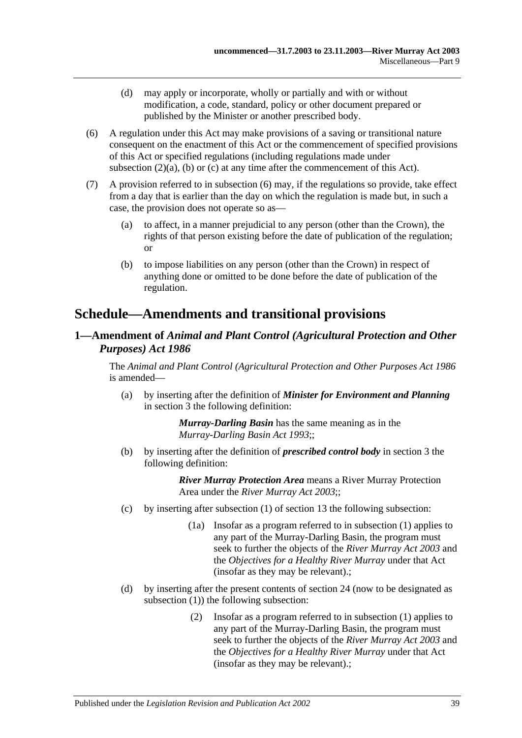- (d) may apply or incorporate, wholly or partially and with or without modification, a code, standard, policy or other document prepared or published by the Minister or another prescribed body.
- <span id="page-38-0"></span>(6) A regulation under this Act may make provisions of a saving or transitional nature consequent on the enactment of this Act or the commencement of specified provisions of this Act or specified regulations (including regulations made under [subsection](#page-36-3)  $(2)(a)$ ,  $(b)$  or  $(c)$  at any time after the commencement of this Act).
- (7) A provision referred to in [subsection](#page-38-0) (6) may, if the regulations so provide, take effect from a day that is earlier than the day on which the regulation is made but, in such a case, the provision does not operate so as—
	- (a) to affect, in a manner prejudicial to any person (other than the Crown), the rights of that person existing before the date of publication of the regulation; or
	- (b) to impose liabilities on any person (other than the Crown) in respect of anything done or omitted to be done before the date of publication of the regulation.

# **Schedule—Amendments and transitional provisions**

## **1—Amendment of** *Animal and Plant Control (Agricultural Protection and Other Purposes) Act 1986*

The *[Animal and Plant Control \(Agricultural Protection and Other Purposes Act](http://www.legislation.sa.gov.au/index.aspx?action=legref&type=act&legtitle=Animal%20and%20Plant%20Control%20(Agricultural%20Protection%20and%20Other%20Purposes%20Act%201986) 1986* is amended—

(a) by inserting after the definition of *Minister for Environment and Planning* in section 3 the following definition:

> *Murray-Darling Basin* has the same meaning as in the *[Murray-Darling Basin Act](http://www.legislation.sa.gov.au/index.aspx?action=legref&type=act&legtitle=Murray-Darling%20Basin%20Act%201993) 1993*;;

(b) by inserting after the definition of *prescribed control body* in section 3 the following definition:

- (c) by inserting after subsection (1) of section 13 the following subsection:
	- (1a) Insofar as a program referred to in subsection (1) applies to any part of the Murray-Darling Basin, the program must seek to further the objects of the *[River Murray Act](http://www.legislation.sa.gov.au/index.aspx?action=legref&type=act&legtitle=River%20Murray%20Act%202003) 2003* and the *Objectives for a Healthy River Murray* under that Act (insofar as they may be relevant).;
- (d) by inserting after the present contents of section 24 (now to be designated as subsection (1)) the following subsection:
	- (2) Insofar as a program referred to in subsection (1) applies to any part of the Murray-Darling Basin, the program must seek to further the objects of the *[River Murray Act](http://www.legislation.sa.gov.au/index.aspx?action=legref&type=act&legtitle=River%20Murray%20Act%202003) 2003* and the *Objectives for a Healthy River Murray* under that Act (insofar as they may be relevant).;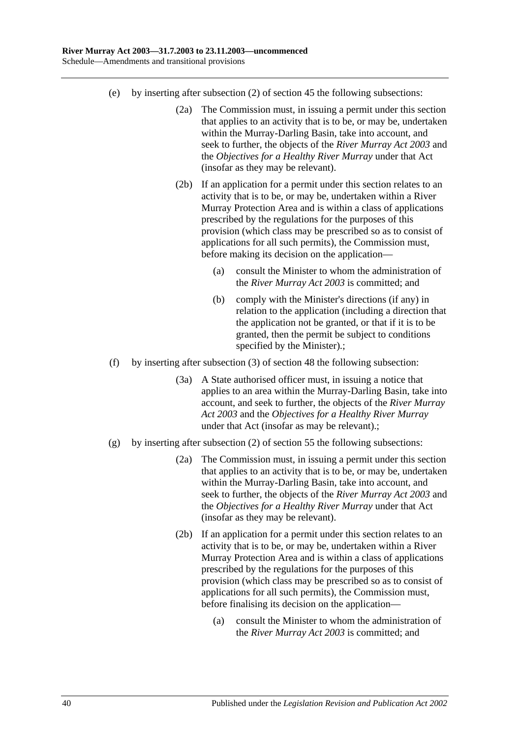- (e) by inserting after subsection (2) of section 45 the following subsections:
	- (2a) The Commission must, in issuing a permit under this section that applies to an activity that is to be, or may be, undertaken within the Murray-Darling Basin, take into account, and seek to further, the objects of the *[River Murray Act](http://www.legislation.sa.gov.au/index.aspx?action=legref&type=act&legtitle=River%20Murray%20Act%202003) 2003* and the *Objectives for a Healthy River Murray* under that Act (insofar as they may be relevant).
	- (2b) If an application for a permit under this section relates to an activity that is to be, or may be, undertaken within a River Murray Protection Area and is within a class of applications prescribed by the regulations for the purposes of this provision (which class may be prescribed so as to consist of applications for all such permits), the Commission must, before making its decision on the application—
		- (a) consult the Minister to whom the administration of the *[River Murray Act](http://www.legislation.sa.gov.au/index.aspx?action=legref&type=act&legtitle=River%20Murray%20Act%202003) 2003* is committed; and
		- (b) comply with the Minister's directions (if any) in relation to the application (including a direction that the application not be granted, or that if it is to be granted, then the permit be subject to conditions specified by the Minister).;
- (f) by inserting after subsection (3) of section 48 the following subsection:
	- (3a) A State authorised officer must, in issuing a notice that applies to an area within the Murray-Darling Basin, take into account, and seek to further, the objects of the *[River Murray](http://www.legislation.sa.gov.au/index.aspx?action=legref&type=act&legtitle=River%20Murray%20Act%202003)  Act [2003](http://www.legislation.sa.gov.au/index.aspx?action=legref&type=act&legtitle=River%20Murray%20Act%202003)* and the *Objectives for a Healthy River Murray* under that Act (insofar as may be relevant).;
- (g) by inserting after subsection (2) of section 55 the following subsections:
	- (2a) The Commission must, in issuing a permit under this section that applies to an activity that is to be, or may be, undertaken within the Murray-Darling Basin, take into account, and seek to further, the objects of the *[River Murray Act](http://www.legislation.sa.gov.au/index.aspx?action=legref&type=act&legtitle=River%20Murray%20Act%202003) 2003* and the *Objectives for a Healthy River Murray* under that Act (insofar as they may be relevant).
	- (2b) If an application for a permit under this section relates to an activity that is to be, or may be, undertaken within a River Murray Protection Area and is within a class of applications prescribed by the regulations for the purposes of this provision (which class may be prescribed so as to consist of applications for all such permits), the Commission must, before finalising its decision on the application—
		- (a) consult the Minister to whom the administration of the *[River Murray Act](http://www.legislation.sa.gov.au/index.aspx?action=legref&type=act&legtitle=River%20Murray%20Act%202003) 2003* is committed; and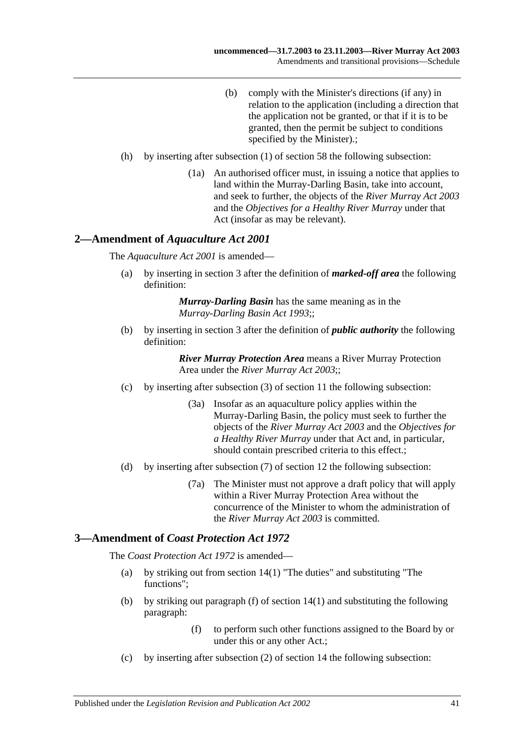- (b) comply with the Minister's directions (if any) in relation to the application (including a direction that the application not be granted, or that if it is to be granted, then the permit be subject to conditions specified by the Minister).;
- (h) by inserting after subsection (1) of section 58 the following subsection:
	- (1a) An authorised officer must, in issuing a notice that applies to land within the Murray-Darling Basin, take into account, and seek to further, the objects of the *[River Murray Act](http://www.legislation.sa.gov.au/index.aspx?action=legref&type=act&legtitle=River%20Murray%20Act%202003) 2003* and the *Objectives for a Healthy River Murray* under that Act (insofar as may be relevant).

### **2—Amendment of** *Aquaculture Act 2001*

The *[Aquaculture Act](http://www.legislation.sa.gov.au/index.aspx?action=legref&type=act&legtitle=Aquaculture%20Act%202001) 2001* is amended—

(a) by inserting in section 3 after the definition of *marked-off area* the following definition:

> *Murray-Darling Basin* has the same meaning as in the *[Murray-Darling Basin Act](http://www.legislation.sa.gov.au/index.aspx?action=legref&type=act&legtitle=Murray-Darling%20Basin%20Act%201993) 1993*;;

(b) by inserting in section 3 after the definition of *public authority* the following definition:

> *River Murray Protection Area* means a River Murray Protection Area under the *[River Murray Act](http://www.legislation.sa.gov.au/index.aspx?action=legref&type=act&legtitle=River%20Murray%20Act%202003) 2003*;;

- (c) by inserting after subsection (3) of section 11 the following subsection:
	- (3a) Insofar as an aquaculture policy applies within the Murray-Darling Basin, the policy must seek to further the objects of the *[River Murray Act](http://www.legislation.sa.gov.au/index.aspx?action=legref&type=act&legtitle=River%20Murray%20Act%202003) 2003* and the *Objectives for a Healthy River Murray* under that Act and, in particular, should contain prescribed criteria to this effect.;
- (d) by inserting after subsection (7) of section 12 the following subsection:
	- (7a) The Minister must not approve a draft policy that will apply within a River Murray Protection Area without the concurrence of the Minister to whom the administration of the *[River Murray Act](http://www.legislation.sa.gov.au/index.aspx?action=legref&type=act&legtitle=River%20Murray%20Act%202003) 2003* is committed.

#### **3—Amendment of** *Coast Protection Act 1972*

The *[Coast Protection Act](http://www.legislation.sa.gov.au/index.aspx?action=legref&type=act&legtitle=Coast%20Protection%20Act%201972) 1972* is amended—

- (a) by striking out from section 14(1) "The duties" and substituting "The functions";
- (b) by striking out paragraph (f) of section 14(1) and substituting the following paragraph:
	- (f) to perform such other functions assigned to the Board by or under this or any other Act.;
- (c) by inserting after subsection (2) of section 14 the following subsection: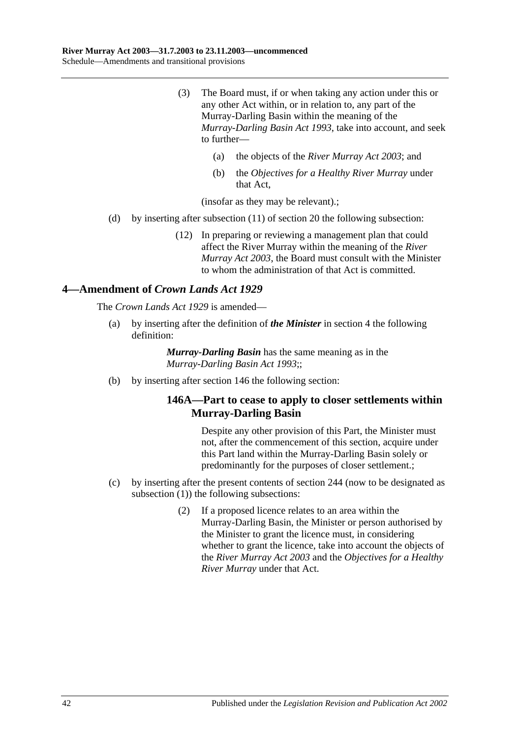- (3) The Board must, if or when taking any action under this or any other Act within, or in relation to, any part of the Murray-Darling Basin within the meaning of the *[Murray-Darling Basin Act](http://www.legislation.sa.gov.au/index.aspx?action=legref&type=act&legtitle=Murray-Darling%20Basin%20Act%201993) 1993*, take into account, and seek to further—
	- (a) the objects of the *[River Murray Act](http://www.legislation.sa.gov.au/index.aspx?action=legref&type=act&legtitle=River%20Murray%20Act%202003) 2003*; and
	- (b) the *Objectives for a Healthy River Murray* under that Act,

(insofar as they may be relevant).;

- (d) by inserting after subsection (11) of section 20 the following subsection:
	- (12) In preparing or reviewing a management plan that could affect the River Murray within the meaning of the *[River](http://www.legislation.sa.gov.au/index.aspx?action=legref&type=act&legtitle=River%20Murray%20Act%202003)  [Murray Act](http://www.legislation.sa.gov.au/index.aspx?action=legref&type=act&legtitle=River%20Murray%20Act%202003) 2003*, the Board must consult with the Minister to whom the administration of that Act is committed.

### **4—Amendment of** *Crown Lands Act 1929*

The *[Crown Lands Act](http://www.legislation.sa.gov.au/index.aspx?action=legref&type=act&legtitle=Crown%20Lands%20Act%201929) 1929* is amended—

(a) by inserting after the definition of *the Minister* in section 4 the following definition:

> *Murray-Darling Basin* has the same meaning as in the *[Murray-Darling Basin Act](http://www.legislation.sa.gov.au/index.aspx?action=legref&type=act&legtitle=Murray-Darling%20Basin%20Act%201993) 1993*;;

(b) by inserting after section 146 the following section:

## **146A—Part to cease to apply to closer settlements within Murray-Darling Basin**

Despite any other provision of this Part, the Minister must not, after the commencement of this section, acquire under this Part land within the Murray-Darling Basin solely or predominantly for the purposes of closer settlement.;

- (c) by inserting after the present contents of section 244 (now to be designated as subsection (1)) the following subsections:
	- (2) If a proposed licence relates to an area within the Murray-Darling Basin, the Minister or person authorised by the Minister to grant the licence must, in considering whether to grant the licence, take into account the objects of the *[River Murray Act](http://www.legislation.sa.gov.au/index.aspx?action=legref&type=act&legtitle=River%20Murray%20Act%202003) 2003* and the *Objectives for a Healthy River Murray* under that Act.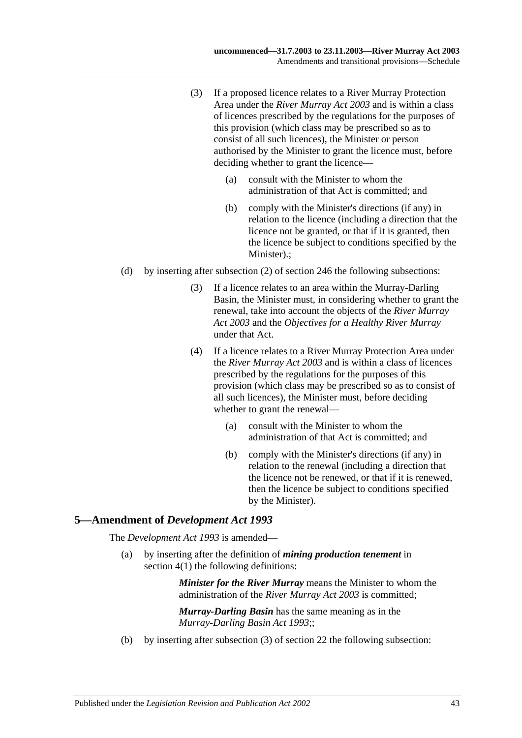- (3) If a proposed licence relates to a River Murray Protection Area under the *[River Murray Act](http://www.legislation.sa.gov.au/index.aspx?action=legref&type=act&legtitle=River%20Murray%20Act%202003) 2003* and is within a class of licences prescribed by the regulations for the purposes of this provision (which class may be prescribed so as to consist of all such licences), the Minister or person authorised by the Minister to grant the licence must, before deciding whether to grant the licence—
	- (a) consult with the Minister to whom the administration of that Act is committed; and
	- (b) comply with the Minister's directions (if any) in relation to the licence (including a direction that the licence not be granted, or that if it is granted, then the licence be subject to conditions specified by the Minister).;
- (d) by inserting after subsection (2) of section 246 the following subsections:
	- (3) If a licence relates to an area within the Murray-Darling Basin, the Minister must, in considering whether to grant the renewal, take into account the objects of the *[River Murray](http://www.legislation.sa.gov.au/index.aspx?action=legref&type=act&legtitle=River%20Murray%20Act%202003)  Act [2003](http://www.legislation.sa.gov.au/index.aspx?action=legref&type=act&legtitle=River%20Murray%20Act%202003)* and the *Objectives for a Healthy River Murray* under that Act.
	- (4) If a licence relates to a River Murray Protection Area under the *[River Murray Act](http://www.legislation.sa.gov.au/index.aspx?action=legref&type=act&legtitle=River%20Murray%20Act%202003) 2003* and is within a class of licences prescribed by the regulations for the purposes of this provision (which class may be prescribed so as to consist of all such licences), the Minister must, before deciding whether to grant the renewal—
		- (a) consult with the Minister to whom the administration of that Act is committed; and
		- (b) comply with the Minister's directions (if any) in relation to the renewal (including a direction that the licence not be renewed, or that if it is renewed, then the licence be subject to conditions specified by the Minister).

#### **5—Amendment of** *Development Act 1993*

The *[Development Act](http://www.legislation.sa.gov.au/index.aspx?action=legref&type=act&legtitle=Development%20Act%201993) 1993* is amended—

(a) by inserting after the definition of *mining production tenement* in section 4(1) the following definitions:

> *Minister for the River Murray* means the Minister to whom the administration of the *[River Murray Act](http://www.legislation.sa.gov.au/index.aspx?action=legref&type=act&legtitle=River%20Murray%20Act%202003) 2003* is committed;

*Murray-Darling Basin* has the same meaning as in the *[Murray-Darling Basin Act](http://www.legislation.sa.gov.au/index.aspx?action=legref&type=act&legtitle=Murray-Darling%20Basin%20Act%201993) 1993*;;

(b) by inserting after subsection (3) of section 22 the following subsection: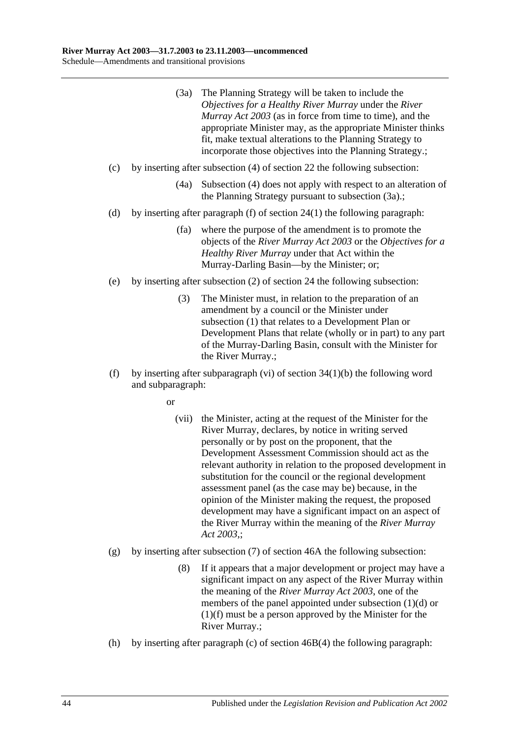- (3a) The Planning Strategy will be taken to include the *Objectives for a Healthy River Murray* under the *[River](http://www.legislation.sa.gov.au/index.aspx?action=legref&type=act&legtitle=River%20Murray%20Act%202003)  [Murray Act](http://www.legislation.sa.gov.au/index.aspx?action=legref&type=act&legtitle=River%20Murray%20Act%202003) 2003* (as in force from time to time), and the appropriate Minister may, as the appropriate Minister thinks fit, make textual alterations to the Planning Strategy to incorporate those objectives into the Planning Strategy.;
- (c) by inserting after subsection (4) of section 22 the following subsection:
	- (4a) Subsection (4) does not apply with respect to an alteration of the Planning Strategy pursuant to subsection (3a).;
- (d) by inserting after paragraph (f) of section 24(1) the following paragraph:
	- (fa) where the purpose of the amendment is to promote the objects of the *[River Murray Act](http://www.legislation.sa.gov.au/index.aspx?action=legref&type=act&legtitle=River%20Murray%20Act%202003) 2003* or the *Objectives for a Healthy River Murray* under that Act within the Murray-Darling Basin—by the Minister; or;
- (e) by inserting after subsection (2) of section 24 the following subsection:
	- (3) The Minister must, in relation to the preparation of an amendment by a council or the Minister under subsection (1) that relates to a Development Plan or Development Plans that relate (wholly or in part) to any part of the Murray-Darling Basin, consult with the Minister for the River Murray.;
- (f) by inserting after subparagraph (vi) of section  $34(1)(b)$  the following word and subparagraph:

or

- (vii) the Minister, acting at the request of the Minister for the River Murray, declares, by notice in writing served personally or by post on the proponent, that the Development Assessment Commission should act as the relevant authority in relation to the proposed development in substitution for the council or the regional development assessment panel (as the case may be) because, in the opinion of the Minister making the request, the proposed development may have a significant impact on an aspect of the River Murray within the meaning of the *[River Murray](http://www.legislation.sa.gov.au/index.aspx?action=legref&type=act&legtitle=River%20Murray%20Act%202003)  Act [2003](http://www.legislation.sa.gov.au/index.aspx?action=legref&type=act&legtitle=River%20Murray%20Act%202003)*,;
- (g) by inserting after subsection (7) of section 46A the following subsection:
	- (8) If it appears that a major development or project may have a significant impact on any aspect of the River Murray within the meaning of the *[River Murray Act](http://www.legislation.sa.gov.au/index.aspx?action=legref&type=act&legtitle=River%20Murray%20Act%202003) 2003*, one of the members of the panel appointed under subsection (1)(d) or (1)(f) must be a person approved by the Minister for the River Murray.;
- (h) by inserting after paragraph (c) of section 46B(4) the following paragraph: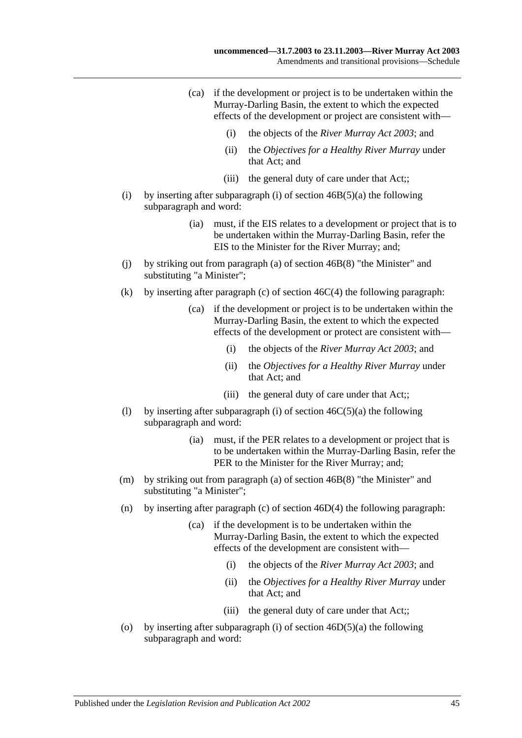- (ca) if the development or project is to be undertaken within the Murray-Darling Basin, the extent to which the expected effects of the development or project are consistent with—
	- (i) the objects of the *[River Murray Act](http://www.legislation.sa.gov.au/index.aspx?action=legref&type=act&legtitle=River%20Murray%20Act%202003) 2003*; and
	- (ii) the *Objectives for a Healthy River Murray* under that Act; and
	- (iii) the general duty of care under that Act::
- (i) by inserting after subparagraph (i) of section  $46B(5)(a)$  the following subparagraph and word:
	- (ia) must, if the EIS relates to a development or project that is to be undertaken within the Murray-Darling Basin, refer the EIS to the Minister for the River Murray; and;
- (j) by striking out from paragraph (a) of section 46B(8) "the Minister" and substituting "a Minister";
- (k) by inserting after paragraph (c) of section  $46C(4)$  the following paragraph:
	- (ca) if the development or project is to be undertaken within the Murray-Darling Basin, the extent to which the expected effects of the development or protect are consistent with—
		- (i) the objects of the *[River Murray Act](http://www.legislation.sa.gov.au/index.aspx?action=legref&type=act&legtitle=River%20Murray%20Act%202003) 2003*; and
		- (ii) the *Objectives for a Healthy River Murray* under that Act; and
		- (iii) the general duty of care under that Act;;
- (1) by inserting after subparagraph (i) of section  $46C(5)(a)$  the following subparagraph and word:
	- (ia) must, if the PER relates to a development or project that is to be undertaken within the Murray-Darling Basin, refer the PER to the Minister for the River Murray; and;
- (m) by striking out from paragraph (a) of section 46B(8) "the Minister" and substituting "a Minister";
- (n) by inserting after paragraph (c) of section 46D(4) the following paragraph:
	- (ca) if the development is to be undertaken within the Murray-Darling Basin, the extent to which the expected effects of the development are consistent with—
		- (i) the objects of the *[River Murray Act](http://www.legislation.sa.gov.au/index.aspx?action=legref&type=act&legtitle=River%20Murray%20Act%202003) 2003*; and
		- (ii) the *Objectives for a Healthy River Murray* under that Act; and
		- (iii) the general duty of care under that Act;;
- (o) by inserting after subparagraph (i) of section  $46D(5)(a)$  the following subparagraph and word: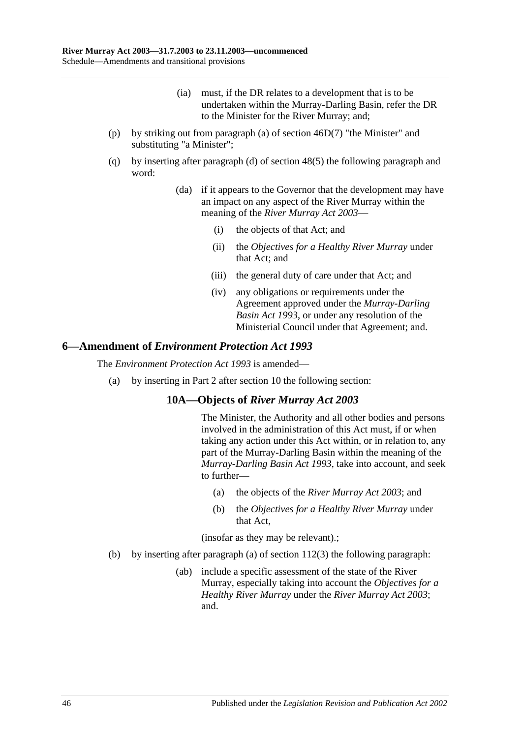- (ia) must, if the DR relates to a development that is to be undertaken within the Murray-Darling Basin, refer the DR to the Minister for the River Murray; and;
- (p) by striking out from paragraph (a) of section 46D(7) "the Minister" and substituting "a Minister";
- (q) by inserting after paragraph (d) of section 48(5) the following paragraph and word:
	- (da) if it appears to the Governor that the development may have an impact on any aspect of the River Murray within the meaning of the *[River Murray Act](http://www.legislation.sa.gov.au/index.aspx?action=legref&type=act&legtitle=River%20Murray%20Act%202003) 2003*—
		- (i) the objects of that Act; and
		- (ii) the *Objectives for a Healthy River Murray* under that Act; and
		- (iii) the general duty of care under that Act; and
		- (iv) any obligations or requirements under the Agreement approved under the *[Murray-Darling](http://www.legislation.sa.gov.au/index.aspx?action=legref&type=act&legtitle=Murray-Darling%20Basin%20Act%201993)  [Basin Act](http://www.legislation.sa.gov.au/index.aspx?action=legref&type=act&legtitle=Murray-Darling%20Basin%20Act%201993) 1993*, or under any resolution of the Ministerial Council under that Agreement; and.

### **6—Amendment of** *Environment Protection Act 1993*

The *[Environment Protection Act](http://www.legislation.sa.gov.au/index.aspx?action=legref&type=act&legtitle=Environment%20Protection%20Act%201993) 1993* is amended—

(a) by inserting in Part 2 after section 10 the following section:

## **10A—Objects of** *River Murray Act 2003*

The Minister, the Authority and all other bodies and persons involved in the administration of this Act must, if or when taking any action under this Act within, or in relation to, any part of the Murray-Darling Basin within the meaning of the *[Murray-Darling Basin Act](http://www.legislation.sa.gov.au/index.aspx?action=legref&type=act&legtitle=Murray-Darling%20Basin%20Act%201993) 1993*, take into account, and seek to further—

- (a) the objects of the *[River Murray Act](http://www.legislation.sa.gov.au/index.aspx?action=legref&type=act&legtitle=River%20Murray%20Act%202003) 2003*; and
- (b) the *Objectives for a Healthy River Murray* under that Act,

(insofar as they may be relevant).;

- (b) by inserting after paragraph (a) of section 112(3) the following paragraph:
	- (ab) include a specific assessment of the state of the River Murray, especially taking into account the *Objectives for a Healthy River Murray* under the *[River Murray Act](http://www.legislation.sa.gov.au/index.aspx?action=legref&type=act&legtitle=River%20Murray%20Act%202003) 2003*; and.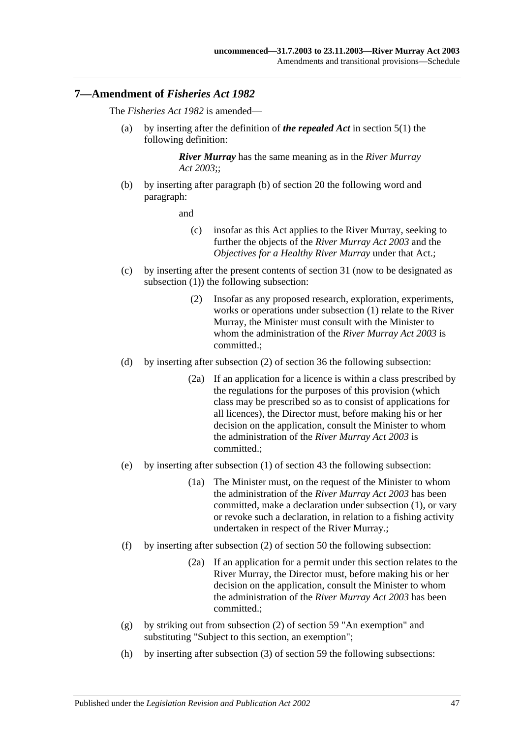#### **7—Amendment of** *Fisheries Act 1982*

The *[Fisheries Act](http://www.legislation.sa.gov.au/index.aspx?action=legref&type=act&legtitle=Fisheries%20Act%201982) 1982* is amended—

(a) by inserting after the definition of *the repealed Act* in section 5(1) the following definition:

> *River Murray* has the same meaning as in the *[River Murray](http://www.legislation.sa.gov.au/index.aspx?action=legref&type=act&legtitle=River%20Murray%20Act%202003)  Act [2003](http://www.legislation.sa.gov.au/index.aspx?action=legref&type=act&legtitle=River%20Murray%20Act%202003)*;;

(b) by inserting after paragraph (b) of section 20 the following word and paragraph:

and

- (c) insofar as this Act applies to the River Murray, seeking to further the objects of the *[River Murray Act](http://www.legislation.sa.gov.au/index.aspx?action=legref&type=act&legtitle=River%20Murray%20Act%202003) 2003* and the *Objectives for a Healthy River Murray* under that Act.;
- (c) by inserting after the present contents of section 31 (now to be designated as subsection (1)) the following subsection:
	- (2) Insofar as any proposed research, exploration, experiments, works or operations under subsection (1) relate to the River Murray, the Minister must consult with the Minister to whom the administration of the *[River Murray Act](http://www.legislation.sa.gov.au/index.aspx?action=legref&type=act&legtitle=River%20Murray%20Act%202003) 2003* is committed.;
- (d) by inserting after subsection (2) of section 36 the following subsection:
	- (2a) If an application for a licence is within a class prescribed by the regulations for the purposes of this provision (which class may be prescribed so as to consist of applications for all licences), the Director must, before making his or her decision on the application, consult the Minister to whom the administration of the *[River Murray Act](http://www.legislation.sa.gov.au/index.aspx?action=legref&type=act&legtitle=River%20Murray%20Act%202003) 2003* is committed.;
- (e) by inserting after subsection (1) of section 43 the following subsection:
	- (1a) The Minister must, on the request of the Minister to whom the administration of the *[River Murray Act](http://www.legislation.sa.gov.au/index.aspx?action=legref&type=act&legtitle=River%20Murray%20Act%202003) 2003* has been committed, make a declaration under subsection (1), or vary or revoke such a declaration, in relation to a fishing activity undertaken in respect of the River Murray.;
- (f) by inserting after subsection (2) of section 50 the following subsection:
	- (2a) If an application for a permit under this section relates to the River Murray, the Director must, before making his or her decision on the application, consult the Minister to whom the administration of the *[River Murray Act](http://www.legislation.sa.gov.au/index.aspx?action=legref&type=act&legtitle=River%20Murray%20Act%202003) 2003* has been committed.;
- (g) by striking out from subsection (2) of section 59 "An exemption" and substituting "Subject to this section, an exemption";
- (h) by inserting after subsection (3) of section 59 the following subsections: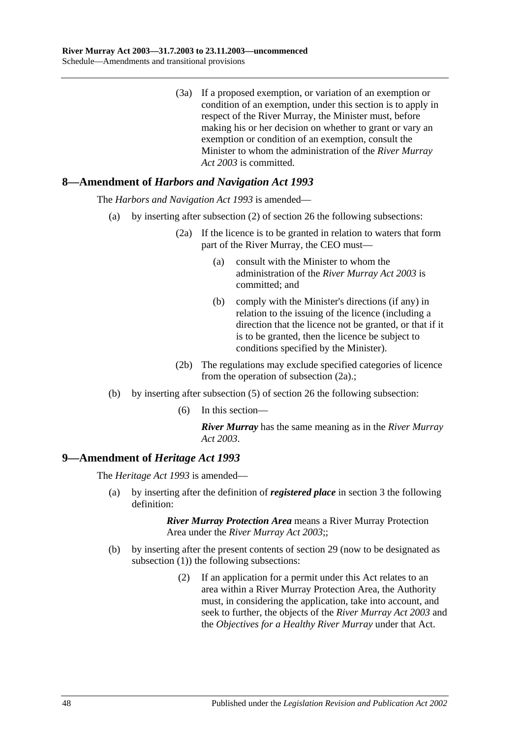(3a) If a proposed exemption, or variation of an exemption or condition of an exemption, under this section is to apply in respect of the River Murray, the Minister must, before making his or her decision on whether to grant or vary an exemption or condition of an exemption, consult the Minister to whom the administration of the *[River Murray](http://www.legislation.sa.gov.au/index.aspx?action=legref&type=act&legtitle=River%20Murray%20Act%202003)  Act [2003](http://www.legislation.sa.gov.au/index.aspx?action=legref&type=act&legtitle=River%20Murray%20Act%202003)* is committed.

# **8—Amendment of** *Harbors and Navigation Act 1993*

The *[Harbors and Navigation Act](http://www.legislation.sa.gov.au/index.aspx?action=legref&type=act&legtitle=Harbors%20and%20Navigation%20Act%201993) 1993* is amended—

- (a) by inserting after subsection (2) of section 26 the following subsections:
	- (2a) If the licence is to be granted in relation to waters that form part of the River Murray, the CEO must—
		- (a) consult with the Minister to whom the administration of the *[River Murray Act](http://www.legislation.sa.gov.au/index.aspx?action=legref&type=act&legtitle=River%20Murray%20Act%202003) 2003* is committed; and
		- (b) comply with the Minister's directions (if any) in relation to the issuing of the licence (including a direction that the licence not be granted, or that if it is to be granted, then the licence be subject to conditions specified by the Minister).
	- (2b) The regulations may exclude specified categories of licence from the operation of subsection (2a).;
- (b) by inserting after subsection (5) of section 26 the following subsection:
	- (6) In this section—

*River Murray* has the same meaning as in the *[River Murray](http://www.legislation.sa.gov.au/index.aspx?action=legref&type=act&legtitle=River%20Murray%20Act%202003)  Act [2003](http://www.legislation.sa.gov.au/index.aspx?action=legref&type=act&legtitle=River%20Murray%20Act%202003)*.

## **9—Amendment of** *Heritage Act 1993*

The *[Heritage Act](http://www.legislation.sa.gov.au/index.aspx?action=legref&type=act&legtitle=Heritage%20Act%201993) 1993* is amended—

(a) by inserting after the definition of *registered place* in section 3 the following definition:

- (b) by inserting after the present contents of section 29 (now to be designated as subsection (1)) the following subsections:
	- (2) If an application for a permit under this Act relates to an area within a River Murray Protection Area, the Authority must, in considering the application, take into account, and seek to further, the objects of the *[River Murray Act](http://www.legislation.sa.gov.au/index.aspx?action=legref&type=act&legtitle=River%20Murray%20Act%202003) 2003* and the *Objectives for a Healthy River Murray* under that Act.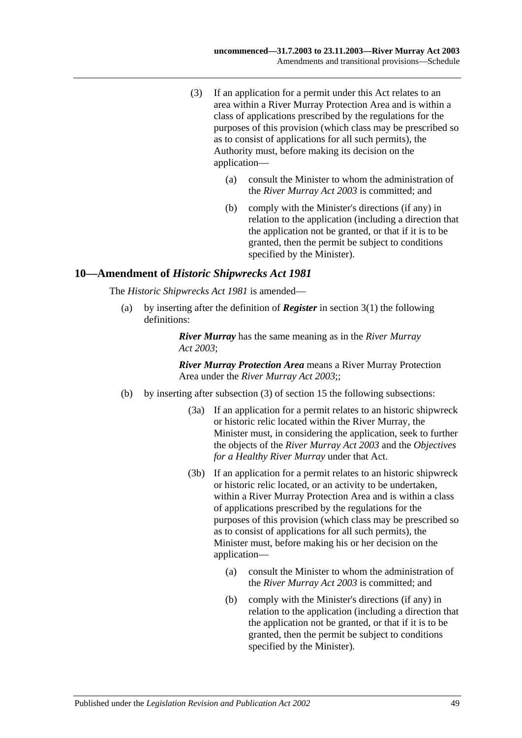- (3) If an application for a permit under this Act relates to an area within a River Murray Protection Area and is within a class of applications prescribed by the regulations for the purposes of this provision (which class may be prescribed so as to consist of applications for all such permits), the Authority must, before making its decision on the application—
	- (a) consult the Minister to whom the administration of the *[River Murray Act](http://www.legislation.sa.gov.au/index.aspx?action=legref&type=act&legtitle=River%20Murray%20Act%202003) 2003* is committed; and
	- (b) comply with the Minister's directions (if any) in relation to the application (including a direction that the application not be granted, or that if it is to be granted, then the permit be subject to conditions specified by the Minister).

### **10—Amendment of** *Historic Shipwrecks Act 1981*

The *[Historic Shipwrecks Act](http://www.legislation.sa.gov.au/index.aspx?action=legref&type=act&legtitle=Historic%20Shipwrecks%20Act%201981) 1981* is amended—

(a) by inserting after the definition of *Register* in section 3(1) the following definitions:

> *River Murray* has the same meaning as in the *[River Murray](http://www.legislation.sa.gov.au/index.aspx?action=legref&type=act&legtitle=River%20Murray%20Act%202003)  Act [2003](http://www.legislation.sa.gov.au/index.aspx?action=legref&type=act&legtitle=River%20Murray%20Act%202003)*;

- (b) by inserting after subsection (3) of section 15 the following subsections:
	- (3a) If an application for a permit relates to an historic shipwreck or historic relic located within the River Murray, the Minister must, in considering the application, seek to further the objects of the *[River Murray Act](http://www.legislation.sa.gov.au/index.aspx?action=legref&type=act&legtitle=River%20Murray%20Act%202003) 2003* and the *Objectives for a Healthy River Murray* under that Act.
	- (3b) If an application for a permit relates to an historic shipwreck or historic relic located, or an activity to be undertaken, within a River Murray Protection Area and is within a class of applications prescribed by the regulations for the purposes of this provision (which class may be prescribed so as to consist of applications for all such permits), the Minister must, before making his or her decision on the application—
		- (a) consult the Minister to whom the administration of the *[River Murray Act](http://www.legislation.sa.gov.au/index.aspx?action=legref&type=act&legtitle=River%20Murray%20Act%202003) 2003* is committed; and
		- (b) comply with the Minister's directions (if any) in relation to the application (including a direction that the application not be granted, or that if it is to be granted, then the permit be subject to conditions specified by the Minister).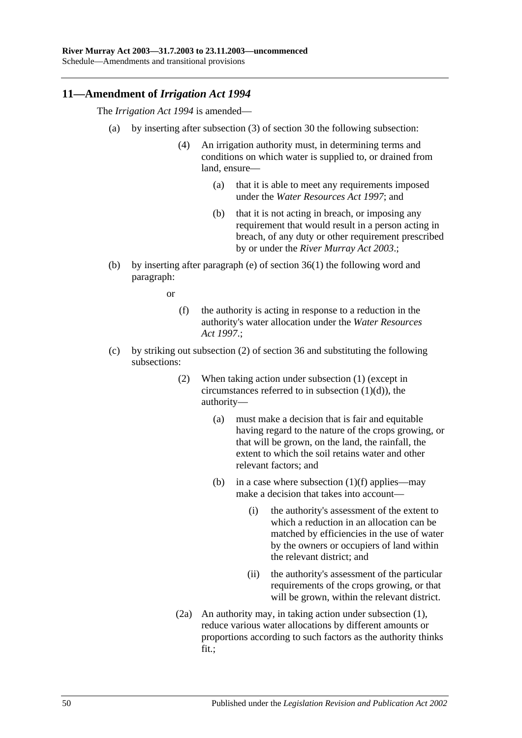## **11—Amendment of** *Irrigation Act 1994*

The *[Irrigation Act](http://www.legislation.sa.gov.au/index.aspx?action=legref&type=act&legtitle=Irrigation%20Act%201994) 1994* is amended—

- (a) by inserting after subsection (3) of section 30 the following subsection:
	- (4) An irrigation authority must, in determining terms and conditions on which water is supplied to, or drained from land, ensure—
		- (a) that it is able to meet any requirements imposed under the *[Water Resources Act](http://www.legislation.sa.gov.au/index.aspx?action=legref&type=act&legtitle=Water%20Resources%20Act%201997) 1997*; and
		- (b) that it is not acting in breach, or imposing any requirement that would result in a person acting in breach, of any duty or other requirement prescribed by or under the *[River Murray Act](http://www.legislation.sa.gov.au/index.aspx?action=legref&type=act&legtitle=River%20Murray%20Act%202003) 2003*.;
- (b) by inserting after paragraph (e) of section 36(1) the following word and paragraph:

or

- (f) the authority is acting in response to a reduction in the authority's water allocation under the *[Water Resources](http://www.legislation.sa.gov.au/index.aspx?action=legref&type=act&legtitle=Water%20Resources%20Act%201997)  Act [1997](http://www.legislation.sa.gov.au/index.aspx?action=legref&type=act&legtitle=Water%20Resources%20Act%201997)*.;
- (c) by striking out subsection (2) of section 36 and substituting the following subsections:
	- (2) When taking action under subsection (1) (except in circumstances referred to in subsection  $(1)(d)$ , the authority—
		- (a) must make a decision that is fair and equitable having regard to the nature of the crops growing, or that will be grown, on the land, the rainfall, the extent to which the soil retains water and other relevant factors; and
		- (b) in a case where subsection  $(1)(f)$  applies—may make a decision that takes into account—
			- (i) the authority's assessment of the extent to which a reduction in an allocation can be matched by efficiencies in the use of water by the owners or occupiers of land within the relevant district; and
			- (ii) the authority's assessment of the particular requirements of the crops growing, or that will be grown, within the relevant district.
	- (2a) An authority may, in taking action under subsection (1), reduce various water allocations by different amounts or proportions according to such factors as the authority thinks fit.;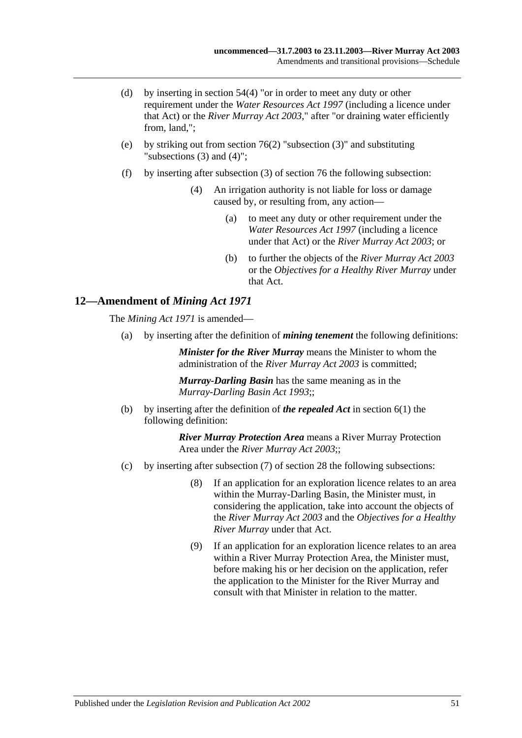- (d) by inserting in section 54(4) "or in order to meet any duty or other requirement under the *[Water Resources Act](http://www.legislation.sa.gov.au/index.aspx?action=legref&type=act&legtitle=Water%20Resources%20Act%201997) 1997* (including a licence under that Act) or the *[River Murray Act](http://www.legislation.sa.gov.au/index.aspx?action=legref&type=act&legtitle=River%20Murray%20Act%202003) 2003*," after "or draining water efficiently from, land,";
- (e) by striking out from section 76(2) "subsection (3)" and substituting "subsections (3) and (4)";
- (f) by inserting after subsection (3) of section 76 the following subsection:
	- (4) An irrigation authority is not liable for loss or damage caused by, or resulting from, any action—
		- (a) to meet any duty or other requirement under the *[Water Resources Act](http://www.legislation.sa.gov.au/index.aspx?action=legref&type=act&legtitle=Water%20Resources%20Act%201997) 1997* (including a licence under that Act) or the *[River Murray Act](http://www.legislation.sa.gov.au/index.aspx?action=legref&type=act&legtitle=River%20Murray%20Act%202003) 2003*; or
		- (b) to further the objects of the *[River Murray Act](http://www.legislation.sa.gov.au/index.aspx?action=legref&type=act&legtitle=River%20Murray%20Act%202003) 2003* or the *Objectives for a Healthy River Murray* under that Act.

# **12—Amendment of** *Mining Act 1971*

The *[Mining Act](http://www.legislation.sa.gov.au/index.aspx?action=legref&type=act&legtitle=Mining%20Act%201971) 1971* is amended—

(a) by inserting after the definition of *mining tenement* the following definitions:

*Minister for the River Murray* means the Minister to whom the administration of the *[River Murray Act](http://www.legislation.sa.gov.au/index.aspx?action=legref&type=act&legtitle=River%20Murray%20Act%202003) 2003* is committed;

*Murray-Darling Basin* has the same meaning as in the *[Murray-Darling Basin Act](http://www.legislation.sa.gov.au/index.aspx?action=legref&type=act&legtitle=Murray-Darling%20Basin%20Act%201993) 1993*;;

(b) by inserting after the definition of *the repealed Act* in section 6(1) the following definition:

- (c) by inserting after subsection (7) of section 28 the following subsections:
	- (8) If an application for an exploration licence relates to an area within the Murray-Darling Basin, the Minister must, in considering the application, take into account the objects of the *[River Murray Act](http://www.legislation.sa.gov.au/index.aspx?action=legref&type=act&legtitle=River%20Murray%20Act%202003) 2003* and the *Objectives for a Healthy River Murray* under that Act.
	- (9) If an application for an exploration licence relates to an area within a River Murray Protection Area, the Minister must, before making his or her decision on the application, refer the application to the Minister for the River Murray and consult with that Minister in relation to the matter.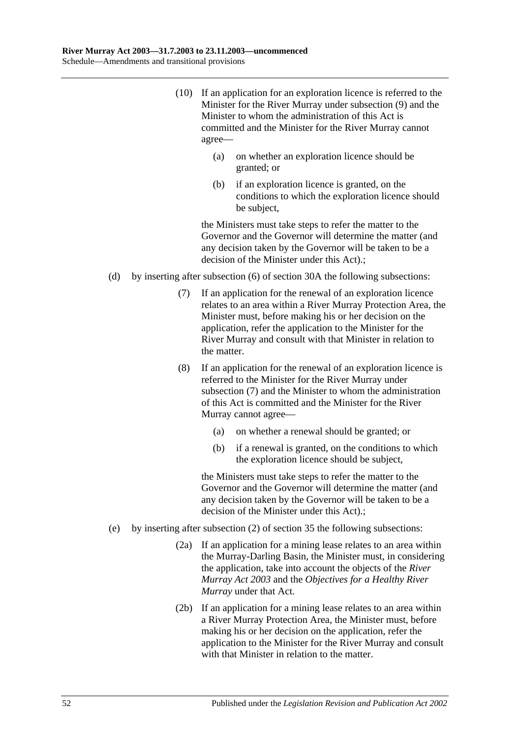- (10) If an application for an exploration licence is referred to the Minister for the River Murray under subsection (9) and the Minister to whom the administration of this Act is committed and the Minister for the River Murray cannot agree—
	- (a) on whether an exploration licence should be granted; or
	- (b) if an exploration licence is granted, on the conditions to which the exploration licence should be subject,

- (d) by inserting after subsection (6) of section 30A the following subsections:
	- (7) If an application for the renewal of an exploration licence relates to an area within a River Murray Protection Area, the Minister must, before making his or her decision on the application, refer the application to the Minister for the River Murray and consult with that Minister in relation to the matter.
	- (8) If an application for the renewal of an exploration licence is referred to the Minister for the River Murray under subsection (7) and the Minister to whom the administration of this Act is committed and the Minister for the River Murray cannot agree—
		- (a) on whether a renewal should be granted; or
		- (b) if a renewal is granted, on the conditions to which the exploration licence should be subject,

- (e) by inserting after subsection (2) of section 35 the following subsections:
	- (2a) If an application for a mining lease relates to an area within the Murray-Darling Basin, the Minister must, in considering the application, take into account the objects of the *[River](http://www.legislation.sa.gov.au/index.aspx?action=legref&type=act&legtitle=River%20Murray%20Act%202003)  [Murray Act](http://www.legislation.sa.gov.au/index.aspx?action=legref&type=act&legtitle=River%20Murray%20Act%202003) 2003* and the *Objectives for a Healthy River Murray* under that Act.
	- (2b) If an application for a mining lease relates to an area within a River Murray Protection Area, the Minister must, before making his or her decision on the application, refer the application to the Minister for the River Murray and consult with that Minister in relation to the matter.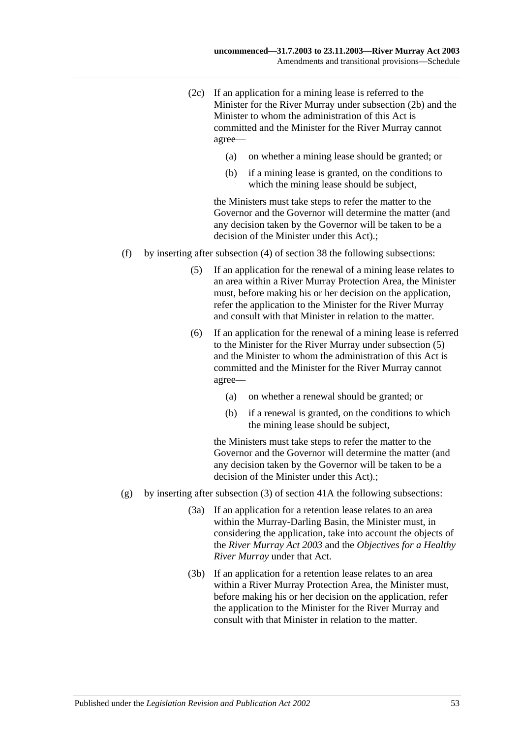- (2c) If an application for a mining lease is referred to the Minister for the River Murray under subsection (2b) and the Minister to whom the administration of this Act is committed and the Minister for the River Murray cannot agree—
	- (a) on whether a mining lease should be granted; or
	- (b) if a mining lease is granted, on the conditions to which the mining lease should be subject,

- (f) by inserting after subsection (4) of section 38 the following subsections:
	- (5) If an application for the renewal of a mining lease relates to an area within a River Murray Protection Area, the Minister must, before making his or her decision on the application, refer the application to the Minister for the River Murray and consult with that Minister in relation to the matter.
	- (6) If an application for the renewal of a mining lease is referred to the Minister for the River Murray under subsection (5) and the Minister to whom the administration of this Act is committed and the Minister for the River Murray cannot agree—
		- (a) on whether a renewal should be granted; or
		- (b) if a renewal is granted, on the conditions to which the mining lease should be subject,

- (g) by inserting after subsection (3) of section 41A the following subsections:
	- (3a) If an application for a retention lease relates to an area within the Murray-Darling Basin, the Minister must, in considering the application, take into account the objects of the *[River Murray Act](http://www.legislation.sa.gov.au/index.aspx?action=legref&type=act&legtitle=River%20Murray%20Act%202003) 2003* and the *Objectives for a Healthy River Murray* under that Act.
	- (3b) If an application for a retention lease relates to an area within a River Murray Protection Area, the Minister must, before making his or her decision on the application, refer the application to the Minister for the River Murray and consult with that Minister in relation to the matter.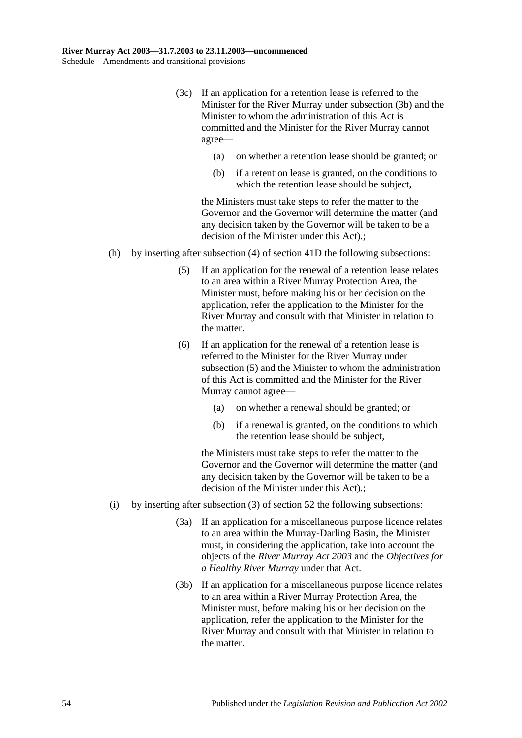- (3c) If an application for a retention lease is referred to the Minister for the River Murray under subsection (3b) and the Minister to whom the administration of this Act is committed and the Minister for the River Murray cannot agree—
	- (a) on whether a retention lease should be granted; or
	- (b) if a retention lease is granted, on the conditions to which the retention lease should be subject,

- (h) by inserting after subsection (4) of section 41D the following subsections:
	- (5) If an application for the renewal of a retention lease relates to an area within a River Murray Protection Area, the Minister must, before making his or her decision on the application, refer the application to the Minister for the River Murray and consult with that Minister in relation to the matter.
	- (6) If an application for the renewal of a retention lease is referred to the Minister for the River Murray under subsection (5) and the Minister to whom the administration of this Act is committed and the Minister for the River Murray cannot agree—
		- (a) on whether a renewal should be granted; or
		- (b) if a renewal is granted, on the conditions to which the retention lease should be subject,

- (i) by inserting after subsection (3) of section 52 the following subsections:
	- (3a) If an application for a miscellaneous purpose licence relates to an area within the Murray-Darling Basin, the Minister must, in considering the application, take into account the objects of the *[River Murray Act](http://www.legislation.sa.gov.au/index.aspx?action=legref&type=act&legtitle=River%20Murray%20Act%202003) 2003* and the *Objectives for a Healthy River Murray* under that Act.
	- (3b) If an application for a miscellaneous purpose licence relates to an area within a River Murray Protection Area, the Minister must, before making his or her decision on the application, refer the application to the Minister for the River Murray and consult with that Minister in relation to the matter.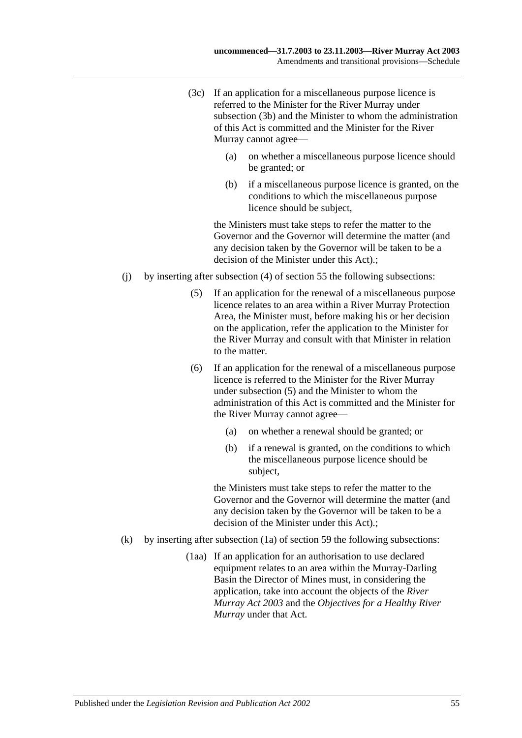- (3c) If an application for a miscellaneous purpose licence is referred to the Minister for the River Murray under subsection (3b) and the Minister to whom the administration of this Act is committed and the Minister for the River Murray cannot agree—
	- (a) on whether a miscellaneous purpose licence should be granted; or
	- (b) if a miscellaneous purpose licence is granted, on the conditions to which the miscellaneous purpose licence should be subject,

- (j) by inserting after subsection (4) of section 55 the following subsections:
	- (5) If an application for the renewal of a miscellaneous purpose licence relates to an area within a River Murray Protection Area, the Minister must, before making his or her decision on the application, refer the application to the Minister for the River Murray and consult with that Minister in relation to the matter.
	- (6) If an application for the renewal of a miscellaneous purpose licence is referred to the Minister for the River Murray under subsection (5) and the Minister to whom the administration of this Act is committed and the Minister for the River Murray cannot agree—
		- (a) on whether a renewal should be granted; or
		- (b) if a renewal is granted, on the conditions to which the miscellaneous purpose licence should be subject,

- (k) by inserting after subsection (1a) of section 59 the following subsections:
	- (1aa) If an application for an authorisation to use declared equipment relates to an area within the Murray-Darling Basin the Director of Mines must, in considering the application, take into account the objects of the *[River](http://www.legislation.sa.gov.au/index.aspx?action=legref&type=act&legtitle=River%20Murray%20Act%202003)  [Murray Act](http://www.legislation.sa.gov.au/index.aspx?action=legref&type=act&legtitle=River%20Murray%20Act%202003) 2003* and the *Objectives for a Healthy River Murray* under that Act.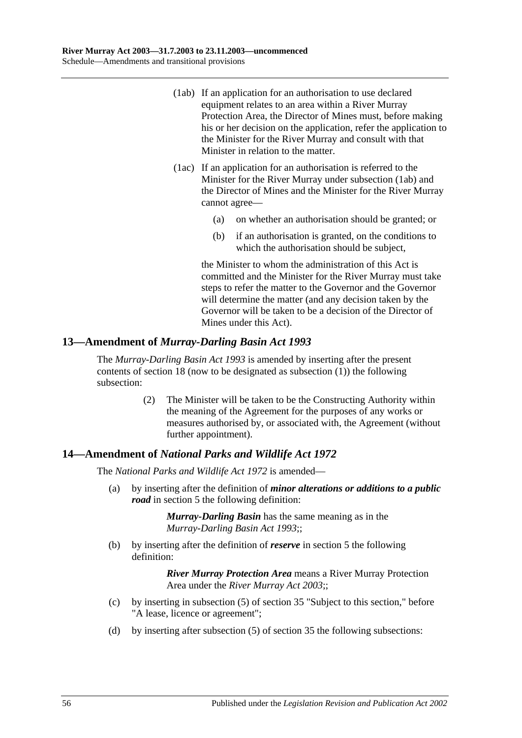- (1ab) If an application for an authorisation to use declared equipment relates to an area within a River Murray Protection Area, the Director of Mines must, before making his or her decision on the application, refer the application to the Minister for the River Murray and consult with that Minister in relation to the matter.
- (1ac) If an application for an authorisation is referred to the Minister for the River Murray under subsection (1ab) and the Director of Mines and the Minister for the River Murray cannot agree—
	- (a) on whether an authorisation should be granted; or
	- (b) if an authorisation is granted, on the conditions to which the authorisation should be subject,

the Minister to whom the administration of this Act is committed and the Minister for the River Murray must take steps to refer the matter to the Governor and the Governor will determine the matter (and any decision taken by the Governor will be taken to be a decision of the Director of Mines under this Act).

# **13—Amendment of** *Murray-Darling Basin Act 1993*

The *[Murray-Darling Basin Act](http://www.legislation.sa.gov.au/index.aspx?action=legref&type=act&legtitle=Murray-Darling%20Basin%20Act%201993) 1993* is amended by inserting after the present contents of section 18 (now to be designated as subsection (1)) the following subsection:

> (2) The Minister will be taken to be the Constructing Authority within the meaning of the Agreement for the purposes of any works or measures authorised by, or associated with, the Agreement (without further appointment).

# **14—Amendment of** *National Parks and Wildlife Act 1972*

The *National [Parks and Wildlife Act](http://www.legislation.sa.gov.au/index.aspx?action=legref&type=act&legtitle=National%20Parks%20and%20Wildlife%20Act%201972) 1972* is amended—

(a) by inserting after the definition of *minor alterations or additions to a public road* in section 5 the following definition:

> *Murray-Darling Basin* has the same meaning as in the *[Murray-Darling Basin Act](http://www.legislation.sa.gov.au/index.aspx?action=legref&type=act&legtitle=Murray-Darling%20Basin%20Act%201993) 1993*;;

(b) by inserting after the definition of *reserve* in section 5 the following definition:

- (c) by inserting in subsection (5) of section 35 "Subject to this section," before "A lease, licence or agreement";
- (d) by inserting after subsection (5) of section 35 the following subsections: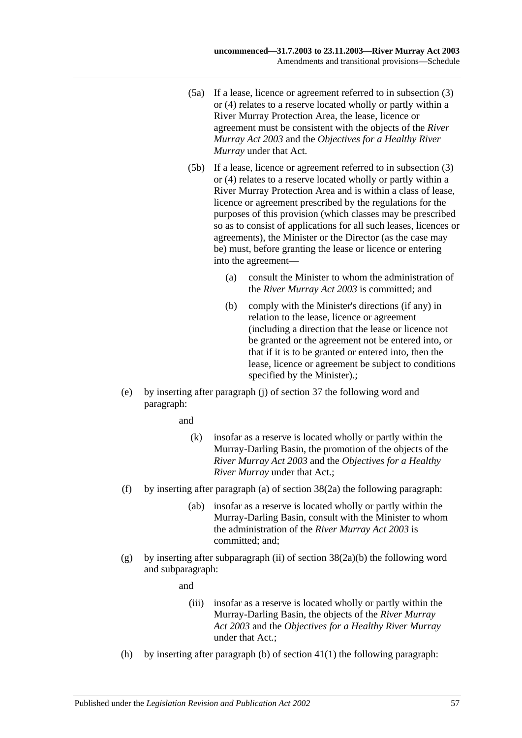- (5a) If a lease, licence or agreement referred to in subsection (3) or (4) relates to a reserve located wholly or partly within a River Murray Protection Area, the lease, licence or agreement must be consistent with the objects of the *[River](http://www.legislation.sa.gov.au/index.aspx?action=legref&type=act&legtitle=River%20Murray%20Act%202003)  [Murray Act](http://www.legislation.sa.gov.au/index.aspx?action=legref&type=act&legtitle=River%20Murray%20Act%202003) 2003* and the *Objectives for a Healthy River Murray* under that Act.
- (5b) If a lease, licence or agreement referred to in subsection (3) or (4) relates to a reserve located wholly or partly within a River Murray Protection Area and is within a class of lease, licence or agreement prescribed by the regulations for the purposes of this provision (which classes may be prescribed so as to consist of applications for all such leases, licences or agreements), the Minister or the Director (as the case may be) must, before granting the lease or licence or entering into the agreement—
	- (a) consult the Minister to whom the administration of the *[River Murray Act](http://www.legislation.sa.gov.au/index.aspx?action=legref&type=act&legtitle=River%20Murray%20Act%202003) 2003* is committed; and
	- (b) comply with the Minister's directions (if any) in relation to the lease, licence or agreement (including a direction that the lease or licence not be granted or the agreement not be entered into, or that if it is to be granted or entered into, then the lease, licence or agreement be subject to conditions specified by the Minister).;
- (e) by inserting after paragraph (j) of section 37 the following word and paragraph:

and

- (k) insofar as a reserve is located wholly or partly within the Murray-Darling Basin, the promotion of the objects of the *[River Murray Act](http://www.legislation.sa.gov.au/index.aspx?action=legref&type=act&legtitle=River%20Murray%20Act%202003) 2003* and the *Objectives for a Healthy River Murray* under that Act.;
- (f) by inserting after paragraph (a) of section 38(2a) the following paragraph:
	- (ab) insofar as a reserve is located wholly or partly within the Murray-Darling Basin, consult with the Minister to whom the administration of the *[River Murray Act](http://www.legislation.sa.gov.au/index.aspx?action=legref&type=act&legtitle=River%20Murray%20Act%202003) 2003* is committed; and;
- (g) by inserting after subparagraph (ii) of section  $38(2a)(b)$  the following word and subparagraph:

and

- (iii) insofar as a reserve is located wholly or partly within the Murray-Darling Basin, the objects of the *[River Murray](http://www.legislation.sa.gov.au/index.aspx?action=legref&type=act&legtitle=River%20Murray%20Act%202003)  Act [2003](http://www.legislation.sa.gov.au/index.aspx?action=legref&type=act&legtitle=River%20Murray%20Act%202003)* and the *Objectives for a Healthy River Murray* under that Act.;
- (h) by inserting after paragraph (b) of section  $41(1)$  the following paragraph: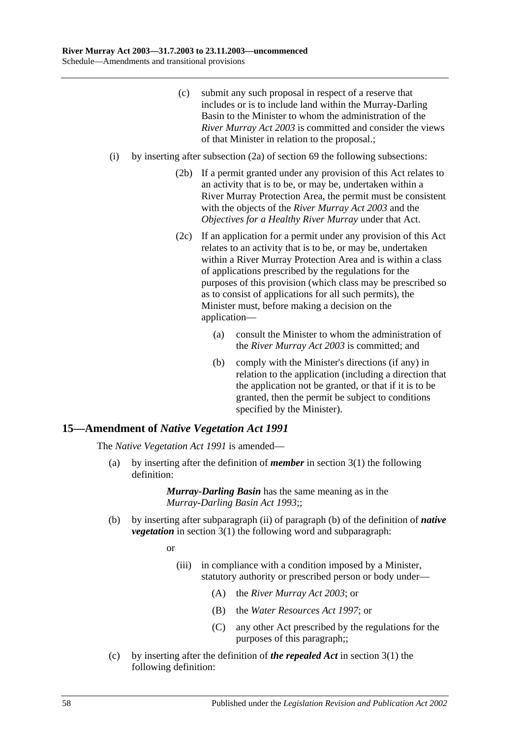- (c) submit any such proposal in respect of a reserve that includes or is to include land within the Murray-Darling Basin to the Minister to whom the administration of the *[River Murray Act](http://www.legislation.sa.gov.au/index.aspx?action=legref&type=act&legtitle=River%20Murray%20Act%202003) 2003* is committed and consider the views of that Minister in relation to the proposal.;
- (i) by inserting after subsection (2a) of section 69 the following subsections:
	- (2b) If a permit granted under any provision of this Act relates to an activity that is to be, or may be, undertaken within a River Murray Protection Area, the permit must be consistent with the objects of the *[River Murray Act](http://www.legislation.sa.gov.au/index.aspx?action=legref&type=act&legtitle=River%20Murray%20Act%202003) 2003* and the *Objectives for a Healthy River Murray* under that Act.
	- (2c) If an application for a permit under any provision of this Act relates to an activity that is to be, or may be, undertaken within a River Murray Protection Area and is within a class of applications prescribed by the regulations for the purposes of this provision (which class may be prescribed so as to consist of applications for all such permits), the Minister must, before making a decision on the application—
		- (a) consult the Minister to whom the administration of the *[River Murray Act](http://www.legislation.sa.gov.au/index.aspx?action=legref&type=act&legtitle=River%20Murray%20Act%202003) 2003* is committed; and
		- (b) comply with the Minister's directions (if any) in relation to the application (including a direction that the application not be granted, or that if it is to be granted, then the permit be subject to conditions specified by the Minister).

#### **15—Amendment of** *Native Vegetation Act 1991*

The *[Native Vegetation Act](http://www.legislation.sa.gov.au/index.aspx?action=legref&type=act&legtitle=Native%20Vegetation%20Act%201991) 1991* is amended—

(a) by inserting after the definition of *member* in section 3(1) the following definition:

> *Murray-Darling Basin* has the same meaning as in the *[Murray-Darling Basin Act](http://www.legislation.sa.gov.au/index.aspx?action=legref&type=act&legtitle=Murray-Darling%20Basin%20Act%201993) 1993*;;

(b) by inserting after subparagraph (ii) of paragraph (b) of the definition of *native vegetation* in section 3(1) the following word and subparagraph:

or

- (iii) in compliance with a condition imposed by a Minister, statutory authority or prescribed person or body under—
	- (A) the *[River Murray Act](http://www.legislation.sa.gov.au/index.aspx?action=legref&type=act&legtitle=River%20Murray%20Act%202003) 2003*; or
	- (B) the *[Water Resources Act](http://www.legislation.sa.gov.au/index.aspx?action=legref&type=act&legtitle=Water%20Resources%20Act%201997) 1997*; or
	- (C) any other Act prescribed by the regulations for the purposes of this paragraph;;
- (c) by inserting after the definition of *the repealed Act* in section 3(1) the following definition: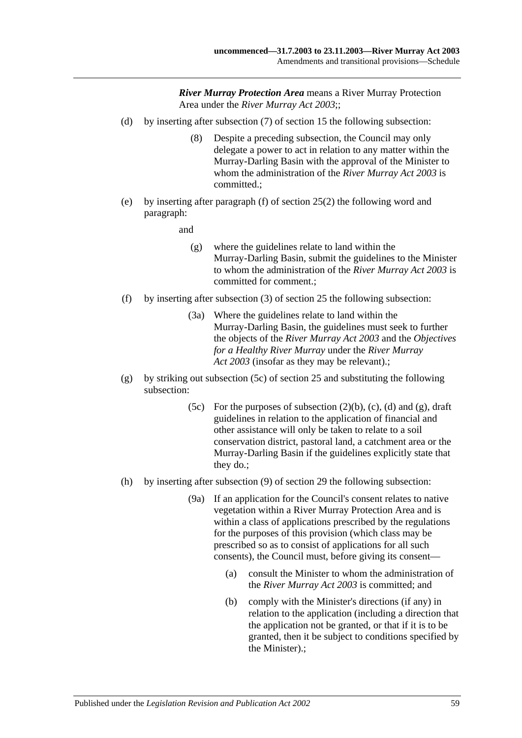- (d) by inserting after subsection (7) of section 15 the following subsection:
	- (8) Despite a preceding subsection, the Council may only delegate a power to act in relation to any matter within the Murray-Darling Basin with the approval of the Minister to whom the administration of the *[River Murray Act](http://www.legislation.sa.gov.au/index.aspx?action=legref&type=act&legtitle=River%20Murray%20Act%202003) 2003* is committed.;
- (e) by inserting after paragraph (f) of section 25(2) the following word and paragraph:
	- and
		- (g) where the guidelines relate to land within the Murray-Darling Basin, submit the guidelines to the Minister to whom the administration of the *[River Murray Act](http://www.legislation.sa.gov.au/index.aspx?action=legref&type=act&legtitle=River%20Murray%20Act%202003) 2003* is committed for comment.;
- (f) by inserting after subsection (3) of section 25 the following subsection:
	- (3a) Where the guidelines relate to land within the Murray-Darling Basin, the guidelines must seek to further the objects of the *[River Murray Act](http://www.legislation.sa.gov.au/index.aspx?action=legref&type=act&legtitle=River%20Murray%20Act%202003) 2003* and the *Objectives for a Healthy River Murray* under the *[River Murray](http://www.legislation.sa.gov.au/index.aspx?action=legref&type=act&legtitle=River%20Murray%20Act%202003)  Act [2003](http://www.legislation.sa.gov.au/index.aspx?action=legref&type=act&legtitle=River%20Murray%20Act%202003)* (insofar as they may be relevant).;
- (g) by striking out subsection (5c) of section 25 and substituting the following subsection:
	- (5c) For the purposes of subsection  $(2)(b)$ ,  $(c)$ ,  $(d)$  and  $(g)$ , draft guidelines in relation to the application of financial and other assistance will only be taken to relate to a soil conservation district, pastoral land, a catchment area or the Murray-Darling Basin if the guidelines explicitly state that they do.;
- (h) by inserting after subsection (9) of section 29 the following subsection:
	- (9a) If an application for the Council's consent relates to native vegetation within a River Murray Protection Area and is within a class of applications prescribed by the regulations for the purposes of this provision (which class may be prescribed so as to consist of applications for all such consents), the Council must, before giving its consent—
		- (a) consult the Minister to whom the administration of the *[River Murray Act](http://www.legislation.sa.gov.au/index.aspx?action=legref&type=act&legtitle=River%20Murray%20Act%202003) 2003* is committed; and
		- (b) comply with the Minister's directions (if any) in relation to the application (including a direction that the application not be granted, or that if it is to be granted, then it be subject to conditions specified by the Minister).;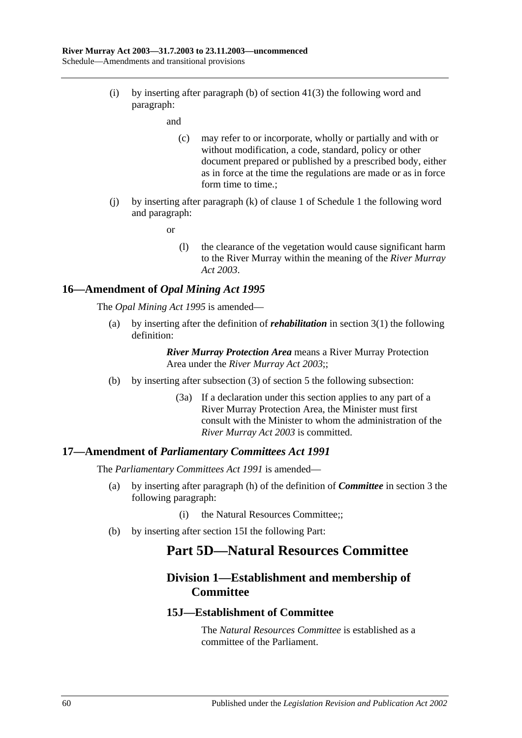(i) by inserting after paragraph (b) of section 41(3) the following word and paragraph:

and

- (c) may refer to or incorporate, wholly or partially and with or without modification, a code, standard, policy or other document prepared or published by a prescribed body, either as in force at the time the regulations are made or as in force form time to time.;
- (j) by inserting after paragraph (k) of clause 1 of Schedule 1 the following word and paragraph:

or

(l) the clearance of the vegetation would cause significant harm to the River Murray within the meaning of the *[River Murray](http://www.legislation.sa.gov.au/index.aspx?action=legref&type=act&legtitle=River%20Murray%20Act%202003)  Act [2003](http://www.legislation.sa.gov.au/index.aspx?action=legref&type=act&legtitle=River%20Murray%20Act%202003)*.

## **16—Amendment of** *Opal Mining Act 1995*

The *[Opal Mining Act](http://www.legislation.sa.gov.au/index.aspx?action=legref&type=act&legtitle=Opal%20Mining%20Act%201995) 1995* is amended—

(a) by inserting after the definition of *rehabilitation* in section 3(1) the following definition:

> *River Murray Protection Area* means a River Murray Protection Area under the *[River Murray Act](http://www.legislation.sa.gov.au/index.aspx?action=legref&type=act&legtitle=River%20Murray%20Act%202003) 2003*;;

- (b) by inserting after subsection (3) of section 5 the following subsection:
	- (3a) If a declaration under this section applies to any part of a River Murray Protection Area, the Minister must first consult with the Minister to whom the administration of the *[River Murray Act](http://www.legislation.sa.gov.au/index.aspx?action=legref&type=act&legtitle=River%20Murray%20Act%202003) 2003* is committed.

#### **17—Amendment of** *Parliamentary Committees Act 1991*

The *[Parliamentary Committees Act](http://www.legislation.sa.gov.au/index.aspx?action=legref&type=act&legtitle=Parliamentary%20Committees%20Act%201991) 1991* is amended—

- (a) by inserting after paragraph (h) of the definition of *Committee* in section 3 the following paragraph:
	- (i) the Natural Resources Committee;;
- (b) by inserting after section 15I the following Part:

# **Part 5D—Natural Resources Committee**

# **Division 1—Establishment and membership of Committee**

#### **15J—Establishment of Committee**

The *Natural Resources Committee* is established as a committee of the Parliament.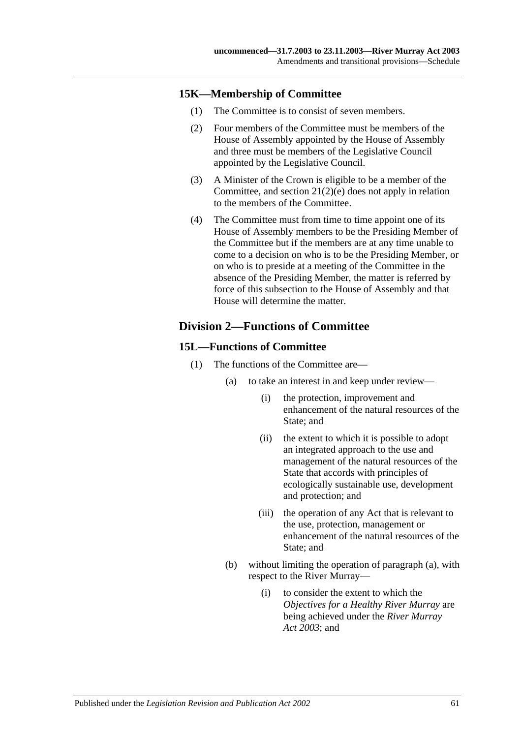## **15K—Membership of Committee**

- (1) The Committee is to consist of seven members.
- (2) Four members of the Committee must be members of the House of Assembly appointed by the House of Assembly and three must be members of the Legislative Council appointed by the Legislative Council.
- (3) A Minister of the Crown is eligible to be a member of the Committee, and section 21(2)(e) does not apply in relation to the members of the Committee.
- (4) The Committee must from time to time appoint one of its House of Assembly members to be the Presiding Member of the Committee but if the members are at any time unable to come to a decision on who is to be the Presiding Member, or on who is to preside at a meeting of the Committee in the absence of the Presiding Member, the matter is referred by force of this subsection to the House of Assembly and that House will determine the matter.

# **Division 2—Functions of Committee**

### **15L—Functions of Committee**

- (1) The functions of the Committee are—
	- (a) to take an interest in and keep under review—
		- (i) the protection, improvement and enhancement of the natural resources of the State; and
		- (ii) the extent to which it is possible to adopt an integrated approach to the use and management of the natural resources of the State that accords with principles of ecologically sustainable use, development and protection; and
		- (iii) the operation of any Act that is relevant to the use, protection, management or enhancement of the natural resources of the State; and
	- (b) without limiting the operation of paragraph (a), with respect to the River Murray—
		- (i) to consider the extent to which the *Objectives for a Healthy River Murray* are being achieved under the *[River Murray](http://www.legislation.sa.gov.au/index.aspx?action=legref&type=act&legtitle=River%20Murray%20Act%202003)  Act [2003](http://www.legislation.sa.gov.au/index.aspx?action=legref&type=act&legtitle=River%20Murray%20Act%202003)*; and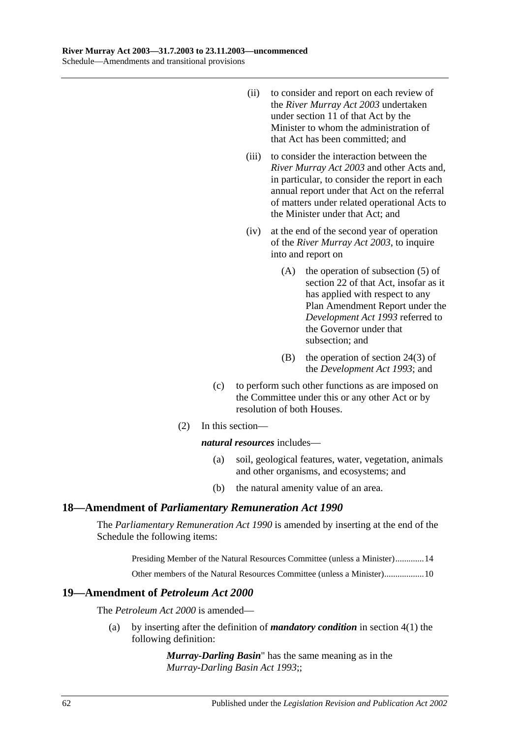- (ii) to consider and report on each review of the *[River Murray Act](http://www.legislation.sa.gov.au/index.aspx?action=legref&type=act&legtitle=River%20Murray%20Act%202003) 2003* undertaken under section 11 of that Act by the Minister to whom the administration of that Act has been committed; and
- (iii) to consider the interaction between the *[River Murray Act](http://www.legislation.sa.gov.au/index.aspx?action=legref&type=act&legtitle=River%20Murray%20Act%202003) 2003* and other Acts and, in particular, to consider the report in each annual report under that Act on the referral of matters under related operational Acts to the Minister under that Act; and
- (iv) at the end of the second year of operation of the *[River Murray Act](http://www.legislation.sa.gov.au/index.aspx?action=legref&type=act&legtitle=River%20Murray%20Act%202003) 2003*, to inquire into and report on
	- (A) the operation of subsection (5) of section 22 of that Act, insofar as it has applied with respect to any Plan Amendment Report under the *[Development Act](http://www.legislation.sa.gov.au/index.aspx?action=legref&type=act&legtitle=Development%20Act%201993) 1993* referred to the Governor under that subsection; and
	- (B) the operation of section 24(3) of the *[Development Act](http://www.legislation.sa.gov.au/index.aspx?action=legref&type=act&legtitle=Development%20Act%201993) 1993*; and
- (c) to perform such other functions as are imposed on the Committee under this or any other Act or by resolution of both Houses.
- (2) In this section—

*natural resources* includes—

- (a) soil, geological features, water, vegetation, animals and other organisms, and ecosystems; and
- (b) the natural amenity value of an area.

#### **18—Amendment of** *Parliamentary Remuneration Act 1990*

The *[Parliamentary Remuneration Act](http://www.legislation.sa.gov.au/index.aspx?action=legref&type=act&legtitle=Parliamentary%20Remuneration%20Act%201990) 1990* is amended by inserting at the end of the Schedule the following items:

Presiding Member of the Natural Resources Committee (unless a Minister).............14

Other members of the Natural Resources Committee (unless a Minister)..................10

## **19—Amendment of** *Petroleum Act 2000*

The *[Petroleum Act](http://www.legislation.sa.gov.au/index.aspx?action=legref&type=act&legtitle=Petroleum%20Act%202000) 2000* is amended—

(a) by inserting after the definition of *mandatory condition* in section 4(1) the following definition:

> *Murray-Darling Basin*" has the same meaning as in the *[Murray-Darling Basin Act](http://www.legislation.sa.gov.au/index.aspx?action=legref&type=act&legtitle=Murray-Darling%20Basin%20Act%201993) 1993*;;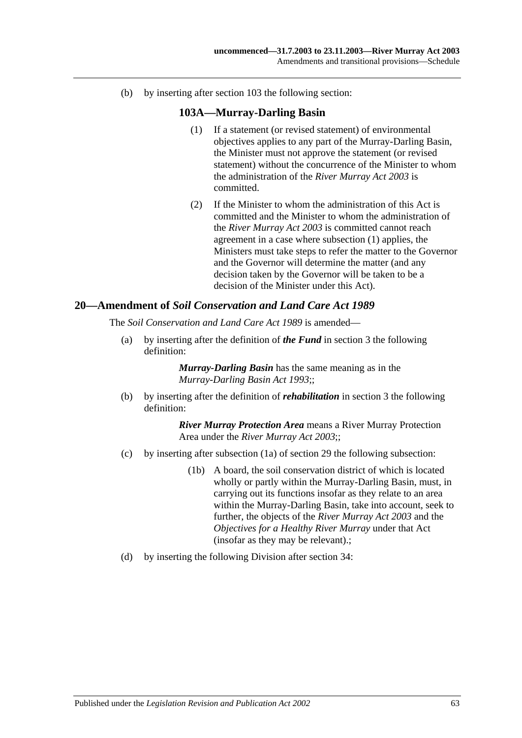(b) by inserting after section 103 the following section:

## **103A—Murray-Darling Basin**

- (1) If a statement (or revised statement) of environmental objectives applies to any part of the Murray-Darling Basin, the Minister must not approve the statement (or revised statement) without the concurrence of the Minister to whom the administration of the *[River Murray Act](http://www.legislation.sa.gov.au/index.aspx?action=legref&type=act&legtitle=River%20Murray%20Act%202003) 2003* is committed.
- (2) If the Minister to whom the administration of this Act is committed and the Minister to whom the administration of the *[River Murray Act](http://www.legislation.sa.gov.au/index.aspx?action=legref&type=act&legtitle=River%20Murray%20Act%202003) 2003* is committed cannot reach agreement in a case where subsection (1) applies, the Ministers must take steps to refer the matter to the Governor and the Governor will determine the matter (and any decision taken by the Governor will be taken to be a decision of the Minister under this Act).

#### **20—Amendment of** *Soil Conservation and Land Care Act 1989*

The *[Soil Conservation and Land Care Act](http://www.legislation.sa.gov.au/index.aspx?action=legref&type=act&legtitle=Soil%20Conservation%20and%20Land%20Care%20Act%201989) 1989* is amended—

(a) by inserting after the definition of *the Fund* in section 3 the following definition:

> *Murray-Darling Basin* has the same meaning as in the *[Murray-Darling Basin Act](http://www.legislation.sa.gov.au/index.aspx?action=legref&type=act&legtitle=Murray-Darling%20Basin%20Act%201993) 1993*;;

(b) by inserting after the definition of *rehabilitation* in section 3 the following definition:

- (c) by inserting after subsection (1a) of section 29 the following subsection:
	- (1b) A board, the soil conservation district of which is located wholly or partly within the Murray-Darling Basin, must, in carrying out its functions insofar as they relate to an area within the Murray-Darling Basin, take into account, seek to further, the objects of the *[River Murray Act](http://www.legislation.sa.gov.au/index.aspx?action=legref&type=act&legtitle=River%20Murray%20Act%202003) 2003* and the *Objectives for a Healthy River Murray* under that Act (insofar as they may be relevant).;
- (d) by inserting the following Division after section 34: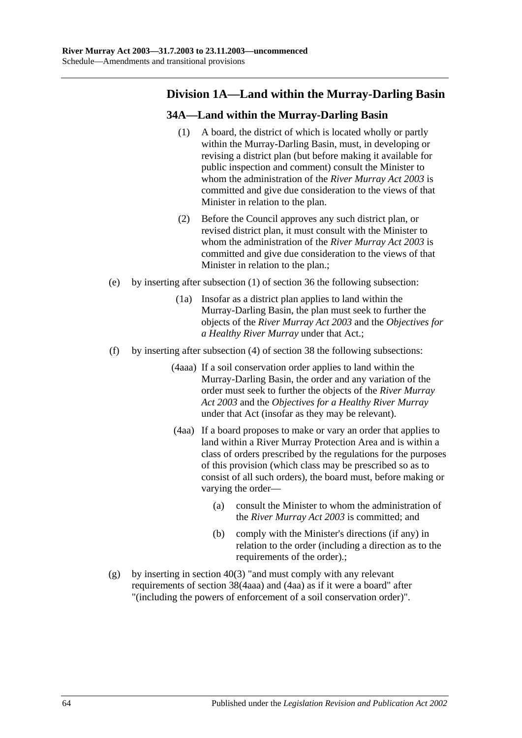# **Division 1A—Land within the Murray-Darling Basin**

# **34A—Land within the Murray-Darling Basin**

- (1) A board, the district of which is located wholly or partly within the Murray-Darling Basin, must, in developing or revising a district plan (but before making it available for public inspection and comment) consult the Minister to whom the administration of the *[River Murray Act](http://www.legislation.sa.gov.au/index.aspx?action=legref&type=act&legtitle=River%20Murray%20Act%202003) 2003* is committed and give due consideration to the views of that Minister in relation to the plan.
- (2) Before the Council approves any such district plan, or revised district plan, it must consult with the Minister to whom the administration of the *[River Murray Act](http://www.legislation.sa.gov.au/index.aspx?action=legref&type=act&legtitle=River%20Murray%20Act%202003) 2003* is committed and give due consideration to the views of that Minister in relation to the plan.;
- (e) by inserting after subsection (1) of section 36 the following subsection:
	- (1a) Insofar as a district plan applies to land within the Murray-Darling Basin, the plan must seek to further the objects of the *[River Murray Act](http://www.legislation.sa.gov.au/index.aspx?action=legref&type=act&legtitle=River%20Murray%20Act%202003) 2003* and the *Objectives for a Healthy River Murray* under that Act.;
- (f) by inserting after subsection (4) of section 38 the following subsections:
	- (4aaa) If a soil conservation order applies to land within the Murray-Darling Basin, the order and any variation of the order must seek to further the objects of the *[River Murray](http://www.legislation.sa.gov.au/index.aspx?action=legref&type=act&legtitle=River%20Murray%20Act%202003)  Act [2003](http://www.legislation.sa.gov.au/index.aspx?action=legref&type=act&legtitle=River%20Murray%20Act%202003)* and the *Objectives for a Healthy River Murray* under that Act (insofar as they may be relevant).
	- (4aa) If a board proposes to make or vary an order that applies to land within a River Murray Protection Area and is within a class of orders prescribed by the regulations for the purposes of this provision (which class may be prescribed so as to consist of all such orders), the board must, before making or varying the order—
		- (a) consult the Minister to whom the administration of the *[River Murray Act](http://www.legislation.sa.gov.au/index.aspx?action=legref&type=act&legtitle=River%20Murray%20Act%202003) 2003* is committed; and
		- (b) comply with the Minister's directions (if any) in relation to the order (including a direction as to the requirements of the order).;
- (g) by inserting in section  $40(3)$  "and must comply with any relevant requirements of section 38(4aaa) and (4aa) as if it were a board" after "(including the powers of enforcement of a soil conservation order)".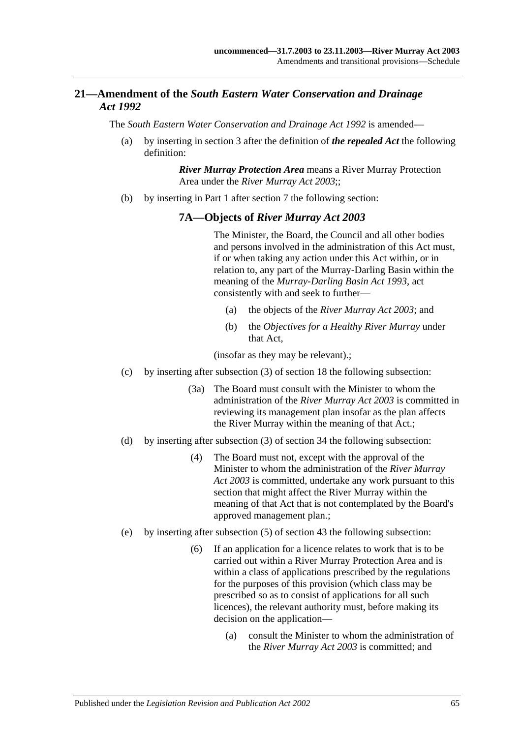# **21—Amendment of the** *South Eastern Water Conservation and Drainage Act 1992*

The *[South Eastern Water Conservation and Drainage Act](http://www.legislation.sa.gov.au/index.aspx?action=legref&type=act&legtitle=South%20Eastern%20Water%20Conservation%20and%20Drainage%20Act%201992) 1992* is amended—

(a) by inserting in section 3 after the definition of *the repealed Act* the following definition:

> *River Murray Protection Area* means a River Murray Protection Area under the *[River Murray Act](http://www.legislation.sa.gov.au/index.aspx?action=legref&type=act&legtitle=River%20Murray%20Act%202003) 2003*;;

(b) by inserting in Part 1 after section 7 the following section:

## **7A—Objects of** *River Murray Act 2003*

The Minister, the Board, the Council and all other bodies and persons involved in the administration of this Act must, if or when taking any action under this Act within, or in relation to, any part of the Murray-Darling Basin within the meaning of the *[Murray-Darling Basin Act](http://www.legislation.sa.gov.au/index.aspx?action=legref&type=act&legtitle=Murray-Darling%20Basin%20Act%201993) 1993*, act consistently with and seek to further—

- (a) the objects of the *[River Murray Act](http://www.legislation.sa.gov.au/index.aspx?action=legref&type=act&legtitle=River%20Murray%20Act%202003) 2003*; and
- (b) the *Objectives for a Healthy River Murray* under that Act,

(insofar as they may be relevant).;

- (c) by inserting after subsection (3) of section 18 the following subsection:
	- (3a) The Board must consult with the Minister to whom the administration of the *[River Murray Act](http://www.legislation.sa.gov.au/index.aspx?action=legref&type=act&legtitle=River%20Murray%20Act%202003) 2003* is committed in reviewing its management plan insofar as the plan affects the River Murray within the meaning of that Act.;
- (d) by inserting after subsection (3) of section 34 the following subsection:
	- (4) The Board must not, except with the approval of the Minister to whom the administration of the *[River Murray](http://www.legislation.sa.gov.au/index.aspx?action=legref&type=act&legtitle=River%20Murray%20Act%202003)  Act [2003](http://www.legislation.sa.gov.au/index.aspx?action=legref&type=act&legtitle=River%20Murray%20Act%202003)* is committed, undertake any work pursuant to this section that might affect the River Murray within the meaning of that Act that is not contemplated by the Board's approved management plan.;
- (e) by inserting after subsection (5) of section 43 the following subsection:
	- (6) If an application for a licence relates to work that is to be carried out within a River Murray Protection Area and is within a class of applications prescribed by the regulations for the purposes of this provision (which class may be prescribed so as to consist of applications for all such licences), the relevant authority must, before making its decision on the application—
		- (a) consult the Minister to whom the administration of the *[River Murray Act](http://www.legislation.sa.gov.au/index.aspx?action=legref&type=act&legtitle=River%20Murray%20Act%202003) 2003* is committed; and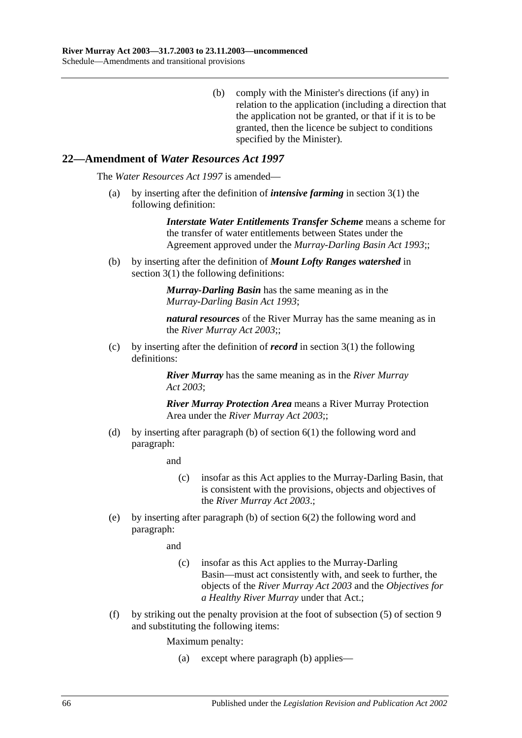(b) comply with the Minister's directions (if any) in relation to the application (including a direction that the application not be granted, or that if it is to be granted, then the licence be subject to conditions specified by the Minister).

## **22—Amendment of** *Water Resources Act 1997*

The *[Water Resources Act](http://www.legislation.sa.gov.au/index.aspx?action=legref&type=act&legtitle=Water%20Resources%20Act%201997) 1997* is amended—

(a) by inserting after the definition of *intensive farming* in section 3(1) the following definition:

> *Interstate Water Entitlements Transfer Scheme* means a scheme for the transfer of water entitlements between States under the Agreement approved under the *[Murray-Darling Basin Act](http://www.legislation.sa.gov.au/index.aspx?action=legref&type=act&legtitle=Murray-Darling%20Basin%20Act%201993) 1993*;;

(b) by inserting after the definition of *Mount Lofty Ranges watershed* in section 3(1) the following definitions:

> *Murray-Darling Basin* has the same meaning as in the *[Murray-Darling Basin Act](http://www.legislation.sa.gov.au/index.aspx?action=legref&type=act&legtitle=Murray-Darling%20Basin%20Act%201993) 1993*;

*natural resources* of the River Murray has the same meaning as in the *[River Murray Act](http://www.legislation.sa.gov.au/index.aspx?action=legref&type=act&legtitle=River%20Murray%20Act%202003) 2003*;;

(c) by inserting after the definition of *record* in section 3(1) the following definitions:

> *River Murray* has the same meaning as in the *[River Murray](http://www.legislation.sa.gov.au/index.aspx?action=legref&type=act&legtitle=River%20Murray%20Act%202003)  Act [2003](http://www.legislation.sa.gov.au/index.aspx?action=legref&type=act&legtitle=River%20Murray%20Act%202003)*;

*River Murray Protection Area* means a River Murray Protection Area under the *[River Murray Act](http://www.legislation.sa.gov.au/index.aspx?action=legref&type=act&legtitle=River%20Murray%20Act%202003) 2003*;;

(d) by inserting after paragraph (b) of section 6(1) the following word and paragraph:

and

- (c) insofar as this Act applies to the Murray-Darling Basin, that is consistent with the provisions, objects and objectives of the *[River Murray Act](http://www.legislation.sa.gov.au/index.aspx?action=legref&type=act&legtitle=River%20Murray%20Act%202003) 2003*.;
- (e) by inserting after paragraph (b) of section 6(2) the following word and paragraph:

and

- (c) insofar as this Act applies to the Murray-Darling Basin—must act consistently with, and seek to further, the objects of the *[River Murray Act](http://www.legislation.sa.gov.au/index.aspx?action=legref&type=act&legtitle=River%20Murray%20Act%202003) 2003* and the *Objectives for a Healthy River Murray* under that Act.;
- (f) by striking out the penalty provision at the foot of subsection (5) of section 9 and substituting the following items:

Maximum penalty:

(a) except where paragraph (b) applies—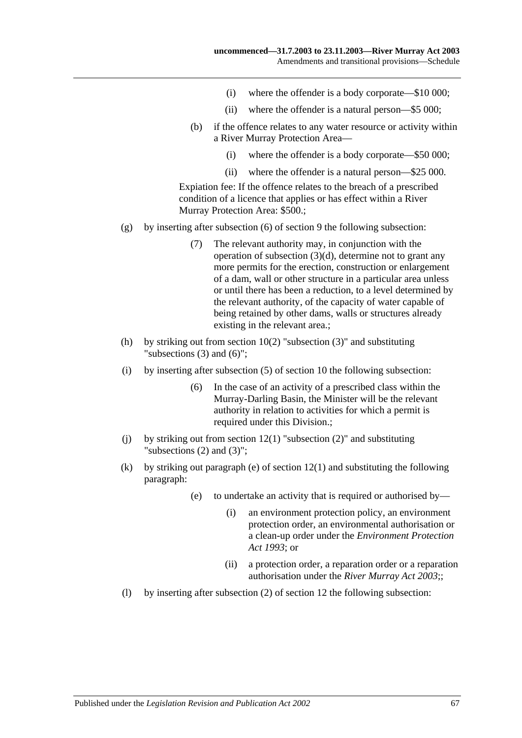- (i) where the offender is a body corporate—\$10 000;
- (ii) where the offender is a natural person—\$5 000;
- (b) if the offence relates to any water resource or activity within a River Murray Protection Area—
	- (i) where the offender is a body corporate—\$50 000;
	- (ii) where the offender is a natural person—\$25 000.

Expiation fee: If the offence relates to the breach of a prescribed condition of a licence that applies or has effect within a River Murray Protection Area: \$500.;

- (g) by inserting after subsection (6) of section 9 the following subsection:
	- (7) The relevant authority may, in conjunction with the operation of subsection (3)(d), determine not to grant any more permits for the erection, construction or enlargement of a dam, wall or other structure in a particular area unless or until there has been a reduction, to a level determined by the relevant authority, of the capacity of water capable of being retained by other dams, walls or structures already existing in the relevant area.;
- (h) by striking out from section  $10(2)$  "subsection  $(3)$ " and substituting "subsections (3) and (6)";
- (i) by inserting after subsection (5) of section 10 the following subsection:
	- (6) In the case of an activity of a prescribed class within the Murray-Darling Basin, the Minister will be the relevant authority in relation to activities for which a permit is required under this Division.;
- (i) by striking out from section  $12(1)$  "subsection  $(2)$ " and substituting "subsections (2) and (3)";
- (k) by striking out paragraph (e) of section 12(1) and substituting the following paragraph:
	- (e) to undertake an activity that is required or authorised by—
		- (i) an environment protection policy, an environment protection order, an environmental authorisation or a clean-up order under the *[Environment Protection](http://www.legislation.sa.gov.au/index.aspx?action=legref&type=act&legtitle=Environment%20Protection%20Act%201993)  Act [1993](http://www.legislation.sa.gov.au/index.aspx?action=legref&type=act&legtitle=Environment%20Protection%20Act%201993)*; or
		- (ii) a protection order, a reparation order or a reparation authorisation under the *[River Murray Act](http://www.legislation.sa.gov.au/index.aspx?action=legref&type=act&legtitle=River%20Murray%20Act%202003) 2003*;;
- (l) by inserting after subsection (2) of section 12 the following subsection: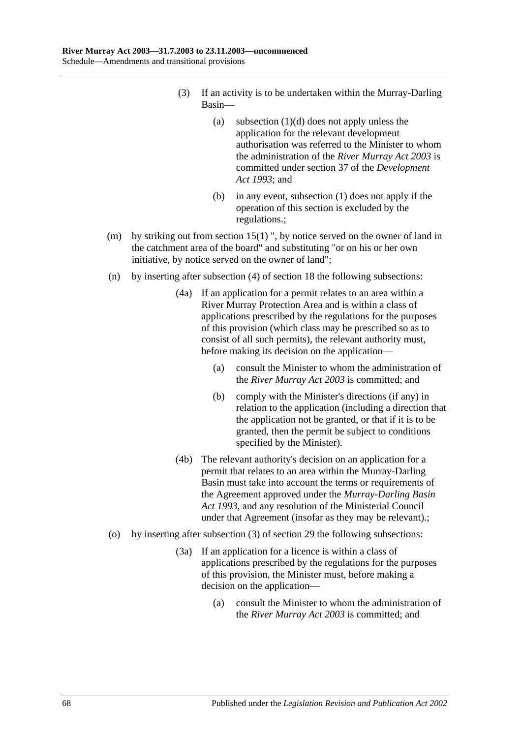- (3) If an activity is to be undertaken within the Murray-Darling Basin—
	- (a) subsection  $(1)(d)$  does not apply unless the application for the relevant development authorisation was referred to the Minister to whom the administration of the *[River Murray Act](http://www.legislation.sa.gov.au/index.aspx?action=legref&type=act&legtitle=River%20Murray%20Act%202003) 2003* is committed under section 37 of the *[Development](http://www.legislation.sa.gov.au/index.aspx?action=legref&type=act&legtitle=Development%20Act%201993)  Act [1993](http://www.legislation.sa.gov.au/index.aspx?action=legref&type=act&legtitle=Development%20Act%201993)*; and
	- (b) in any event, subsection (1) does not apply if the operation of this section is excluded by the regulations.;
- (m) by striking out from section 15(1) ", by notice served on the owner of land in the catchment area of the board" and substituting "or on his or her own initiative, by notice served on the owner of land";
- (n) by inserting after subsection (4) of section 18 the following subsections:
	- (4a) If an application for a permit relates to an area within a River Murray Protection Area and is within a class of applications prescribed by the regulations for the purposes of this provision (which class may be prescribed so as to consist of all such permits), the relevant authority must, before making its decision on the application—
		- (a) consult the Minister to whom the administration of the *[River Murray Act](http://www.legislation.sa.gov.au/index.aspx?action=legref&type=act&legtitle=River%20Murray%20Act%202003) 2003* is committed; and
		- (b) comply with the Minister's directions (if any) in relation to the application (including a direction that the application not be granted, or that if it is to be granted, then the permit be subject to conditions specified by the Minister).
	- (4b) The relevant authority's decision on an application for a permit that relates to an area within the Murray-Darling Basin must take into account the terms or requirements of the Agreement approved under the *[Murray-Darling Basin](http://www.legislation.sa.gov.au/index.aspx?action=legref&type=act&legtitle=Murray-Darling%20Basin%20Act%201993)  Act [1993](http://www.legislation.sa.gov.au/index.aspx?action=legref&type=act&legtitle=Murray-Darling%20Basin%20Act%201993)*, and any resolution of the Ministerial Council under that Agreement (insofar as they may be relevant).;
- (o) by inserting after subsection (3) of section 29 the following subsections:
	- (3a) If an application for a licence is within a class of applications prescribed by the regulations for the purposes of this provision, the Minister must, before making a decision on the application—
		- (a) consult the Minister to whom the administration of the *[River Murray Act](http://www.legislation.sa.gov.au/index.aspx?action=legref&type=act&legtitle=River%20Murray%20Act%202003) 2003* is committed; and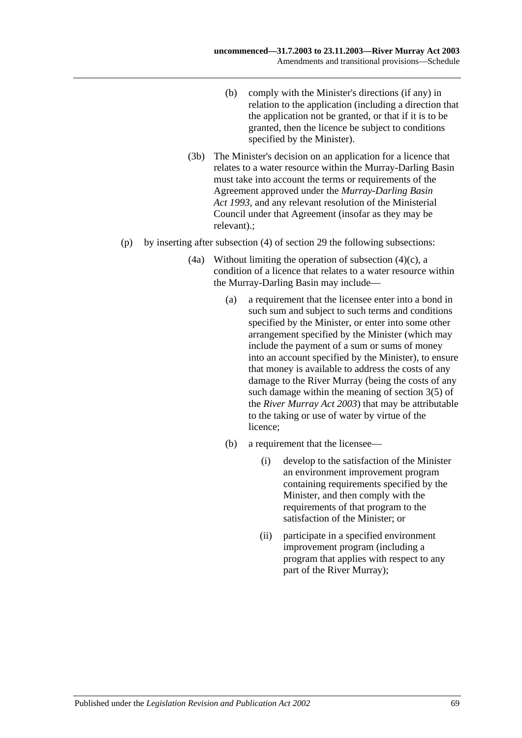- (b) comply with the Minister's directions (if any) in relation to the application (including a direction that the application not be granted, or that if it is to be granted, then the licence be subject to conditions specified by the Minister).
- (3b) The Minister's decision on an application for a licence that relates to a water resource within the Murray-Darling Basin must take into account the terms or requirements of the Agreement approved under the *[Murray-Darling Basin](http://www.legislation.sa.gov.au/index.aspx?action=legref&type=act&legtitle=Murray-Darling%20Basin%20Act%201993)  Act [1993](http://www.legislation.sa.gov.au/index.aspx?action=legref&type=act&legtitle=Murray-Darling%20Basin%20Act%201993)*, and any relevant resolution of the Ministerial Council under that Agreement (insofar as they may be relevant).;
- (p) by inserting after subsection (4) of section 29 the following subsections:
	- (4a) Without limiting the operation of subsection  $(4)(c)$ , a condition of a licence that relates to a water resource within the Murray-Darling Basin may include—
		- (a) a requirement that the licensee enter into a bond in such sum and subject to such terms and conditions specified by the Minister, or enter into some other arrangement specified by the Minister (which may include the payment of a sum or sums of money into an account specified by the Minister), to ensure that money is available to address the costs of any damage to the River Murray (being the costs of any such damage within the meaning of section 3(5) of the *[River Murray Act](http://www.legislation.sa.gov.au/index.aspx?action=legref&type=act&legtitle=River%20Murray%20Act%202003) 2003*) that may be attributable to the taking or use of water by virtue of the licence;
		- (b) a requirement that the licensee—
			- (i) develop to the satisfaction of the Minister an environment improvement program containing requirements specified by the Minister, and then comply with the requirements of that program to the satisfaction of the Minister; or
			- (ii) participate in a specified environment improvement program (including a program that applies with respect to any part of the River Murray);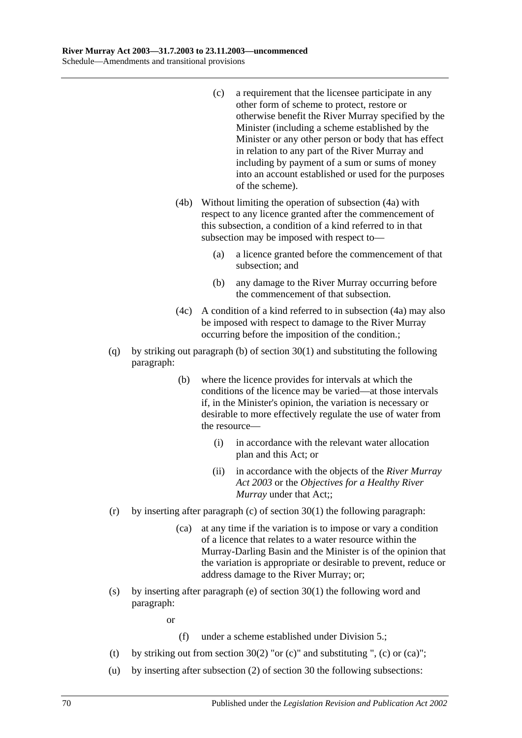- (c) a requirement that the licensee participate in any other form of scheme to protect, restore or otherwise benefit the River Murray specified by the Minister (including a scheme established by the Minister or any other person or body that has effect in relation to any part of the River Murray and including by payment of a sum or sums of money into an account established or used for the purposes of the scheme).
- (4b) Without limiting the operation of subsection (4a) with respect to any licence granted after the commencement of this subsection, a condition of a kind referred to in that subsection may be imposed with respect to—
	- (a) a licence granted before the commencement of that subsection; and
	- (b) any damage to the River Murray occurring before the commencement of that subsection.
- (4c) A condition of a kind referred to in subsection (4a) may also be imposed with respect to damage to the River Murray occurring before the imposition of the condition.;
- (q) by striking out paragraph (b) of section 30(1) and substituting the following paragraph:
	- (b) where the licence provides for intervals at which the conditions of the licence may be varied—at those intervals if, in the Minister's opinion, the variation is necessary or desirable to more effectively regulate the use of water from the resource—
		- (i) in accordance with the relevant water allocation plan and this Act; or
		- (ii) in accordance with the objects of the *[River Murray](http://www.legislation.sa.gov.au/index.aspx?action=legref&type=act&legtitle=River%20Murray%20Act%202003)  Act [2003](http://www.legislation.sa.gov.au/index.aspx?action=legref&type=act&legtitle=River%20Murray%20Act%202003)* or the *Objectives for a Healthy River Murray* under that Act;;
- (r) by inserting after paragraph (c) of section  $30(1)$  the following paragraph:
	- (ca) at any time if the variation is to impose or vary a condition of a licence that relates to a water resource within the Murray-Darling Basin and the Minister is of the opinion that the variation is appropriate or desirable to prevent, reduce or address damage to the River Murray; or;
- (s) by inserting after paragraph (e) of section 30(1) the following word and paragraph:

or

- (f) under a scheme established under Division 5.;
- (t) by striking out from section 30(2) "or (c)" and substituting ", (c) or (ca)";
- (u) by inserting after subsection (2) of section 30 the following subsections: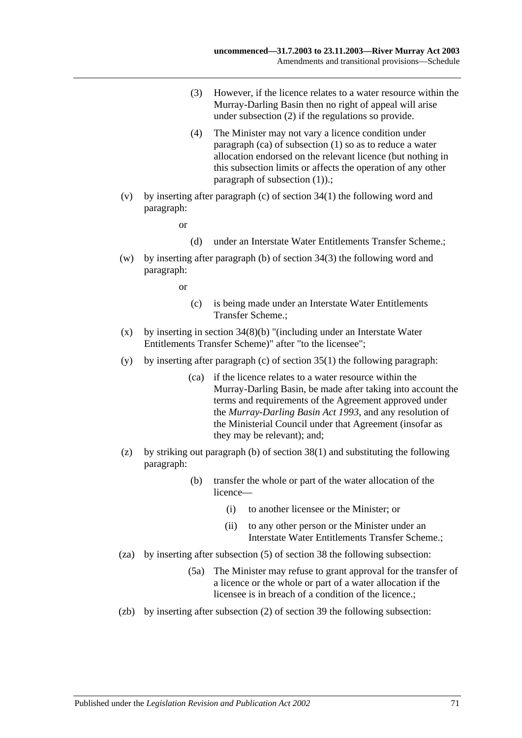- (3) However, if the licence relates to a water resource within the Murray-Darling Basin then no right of appeal will arise under subsection (2) if the regulations so provide.
- (4) The Minister may not vary a licence condition under paragraph (ca) of subsection (1) so as to reduce a water allocation endorsed on the relevant licence (but nothing in this subsection limits or affects the operation of any other paragraph of subsection (1)).;
- (v) by inserting after paragraph (c) of section 34(1) the following word and paragraph:

or

- (d) under an Interstate Water Entitlements Transfer Scheme.;
- (w) by inserting after paragraph (b) of section 34(3) the following word and paragraph:

or

- (c) is being made under an Interstate Water Entitlements Transfer Scheme.;
- (x) by inserting in section  $34(8)(b)$  "(including under an Interstate Water Entitlements Transfer Scheme)" after "to the licensee";
- (y) by inserting after paragraph (c) of section  $35(1)$  the following paragraph:
	- (ca) if the licence relates to a water resource within the Murray-Darling Basin, be made after taking into account the terms and requirements of the Agreement approved under the *[Murray-Darling Basin Act](http://www.legislation.sa.gov.au/index.aspx?action=legref&type=act&legtitle=Murray-Darling%20Basin%20Act%201993) 1993*, and any resolution of the Ministerial Council under that Agreement (insofar as they may be relevant); and;
- (z) by striking out paragraph (b) of section 38(1) and substituting the following paragraph:
	- (b) transfer the whole or part of the water allocation of the licence—
		- (i) to another licensee or the Minister; or
		- (ii) to any other person or the Minister under an Interstate Water Entitlements Transfer Scheme.;
- (za) by inserting after subsection (5) of section 38 the following subsection:
	- (5a) The Minister may refuse to grant approval for the transfer of a licence or the whole or part of a water allocation if the licensee is in breach of a condition of the licence.;
- (zb) by inserting after subsection (2) of section 39 the following subsection: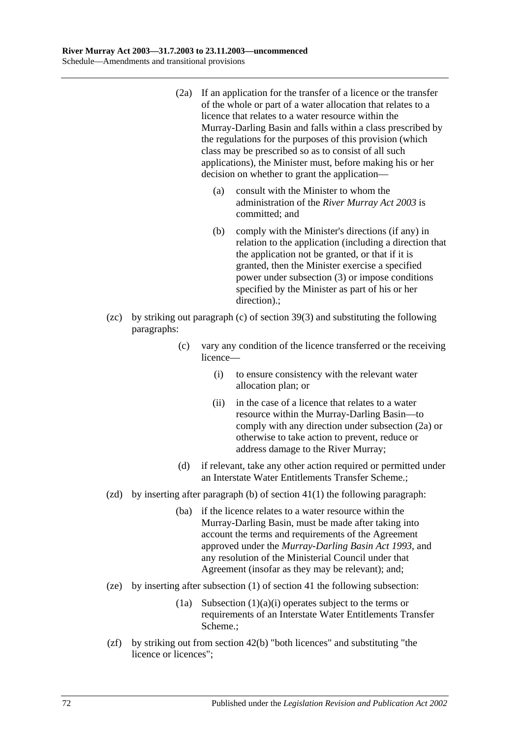- (2a) If an application for the transfer of a licence or the transfer of the whole or part of a water allocation that relates to a licence that relates to a water resource within the Murray-Darling Basin and falls within a class prescribed by the regulations for the purposes of this provision (which class may be prescribed so as to consist of all such applications), the Minister must, before making his or her decision on whether to grant the application—
	- (a) consult with the Minister to whom the administration of the *[River Murray Act](http://www.legislation.sa.gov.au/index.aspx?action=legref&type=act&legtitle=River%20Murray%20Act%202003) 2003* is committed; and
	- (b) comply with the Minister's directions (if any) in relation to the application (including a direction that the application not be granted, or that if it is granted, then the Minister exercise a specified power under subsection (3) or impose conditions specified by the Minister as part of his or her direction).;
- (zc) by striking out paragraph (c) of section 39(3) and substituting the following paragraphs:
	- (c) vary any condition of the licence transferred or the receiving licence—
		- (i) to ensure consistency with the relevant water allocation plan; or
		- (ii) in the case of a licence that relates to a water resource within the Murray-Darling Basin—to comply with any direction under subsection (2a) or otherwise to take action to prevent, reduce or address damage to the River Murray;
	- (d) if relevant, take any other action required or permitted under an Interstate Water Entitlements Transfer Scheme.;
- (zd) by inserting after paragraph (b) of section  $41(1)$  the following paragraph:
	- (ba) if the licence relates to a water resource within the Murray-Darling Basin, must be made after taking into account the terms and requirements of the Agreement approved under the *[Murray-Darling Basin Act](http://www.legislation.sa.gov.au/index.aspx?action=legref&type=act&legtitle=Murray-Darling%20Basin%20Act%201993) 1993*, and any resolution of the Ministerial Council under that Agreement (insofar as they may be relevant); and;
- (ze) by inserting after subsection (1) of section 41 the following subsection:
	- (1a) Subsection  $(1)(a)(i)$  operates subject to the terms or requirements of an Interstate Water Entitlements Transfer Scheme.;
- (zf) by striking out from section 42(b) "both licences" and substituting "the licence or licences";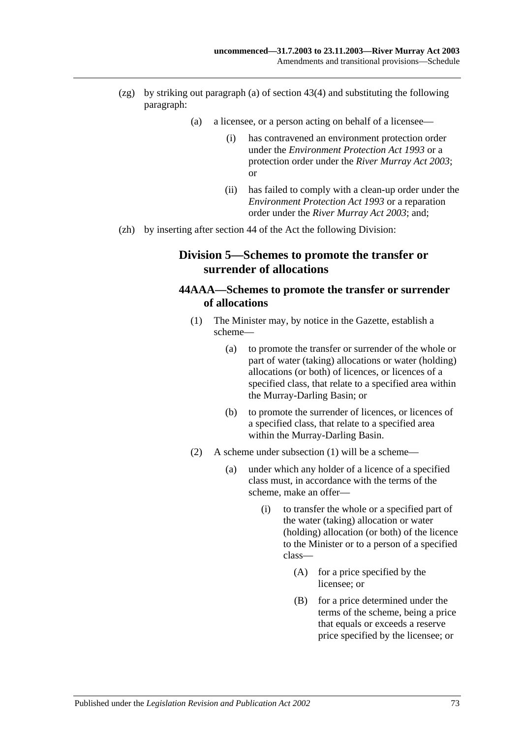- (zg) by striking out paragraph (a) of section 43(4) and substituting the following paragraph:
	- (a) a licensee, or a person acting on behalf of a licensee—
		- (i) has contravened an environment protection order under the *[Environment Protection Act](http://www.legislation.sa.gov.au/index.aspx?action=legref&type=act&legtitle=Environment%20Protection%20Act%201993) 1993* or a protection order under the *[River Murray Act](http://www.legislation.sa.gov.au/index.aspx?action=legref&type=act&legtitle=River%20Murray%20Act%202003) 2003*; or
		- (ii) has failed to comply with a clean-up order under the *[Environment Protection Act](http://www.legislation.sa.gov.au/index.aspx?action=legref&type=act&legtitle=Environment%20Protection%20Act%201993) 1993* or a reparation order under the *[River Murray Act](http://www.legislation.sa.gov.au/index.aspx?action=legref&type=act&legtitle=River%20Murray%20Act%202003) 2003*; and;
- (zh) by inserting after section 44 of the Act the following Division:

### **Division 5—Schemes to promote the transfer or surrender of allocations**

#### **44AAA—Schemes to promote the transfer or surrender of allocations**

- (1) The Minister may, by notice in the Gazette, establish a scheme—
	- (a) to promote the transfer or surrender of the whole or part of water (taking) allocations or water (holding) allocations (or both) of licences, or licences of a specified class, that relate to a specified area within the Murray-Darling Basin; or
	- (b) to promote the surrender of licences, or licences of a specified class, that relate to a specified area within the Murray-Darling Basin.
- (2) A scheme under subsection (1) will be a scheme—
	- (a) under which any holder of a licence of a specified class must, in accordance with the terms of the scheme, make an offer—
		- (i) to transfer the whole or a specified part of the water (taking) allocation or water (holding) allocation (or both) of the licence to the Minister or to a person of a specified class—
			- (A) for a price specified by the licensee; or
			- (B) for a price determined under the terms of the scheme, being a price that equals or exceeds a reserve price specified by the licensee; or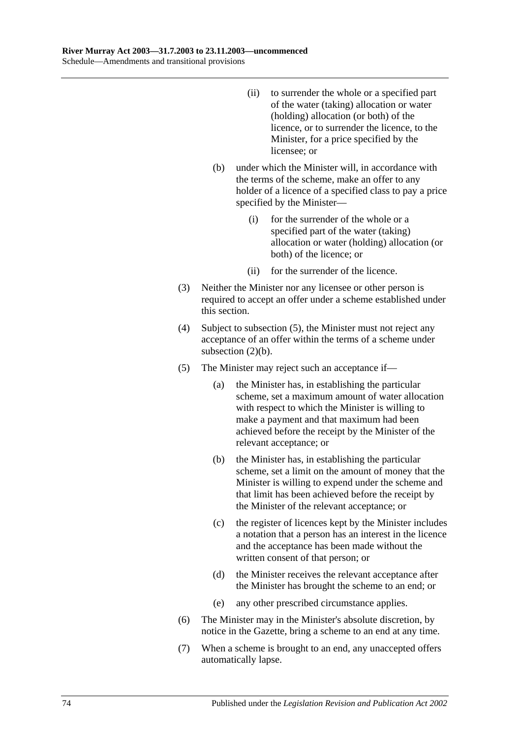- (ii) to surrender the whole or a specified part of the water (taking) allocation or water (holding) allocation (or both) of the licence, or to surrender the licence, to the Minister, for a price specified by the licensee; or
- (b) under which the Minister will, in accordance with the terms of the scheme, make an offer to any holder of a licence of a specified class to pay a price specified by the Minister—
	- (i) for the surrender of the whole or a specified part of the water (taking) allocation or water (holding) allocation (or both) of the licence; or
	- (ii) for the surrender of the licence.
- (3) Neither the Minister nor any licensee or other person is required to accept an offer under a scheme established under this section.
- (4) Subject to subsection (5), the Minister must not reject any acceptance of an offer within the terms of a scheme under subsection (2)(b).
- (5) The Minister may reject such an acceptance if—
	- (a) the Minister has, in establishing the particular scheme, set a maximum amount of water allocation with respect to which the Minister is willing to make a payment and that maximum had been achieved before the receipt by the Minister of the relevant acceptance; or
	- (b) the Minister has, in establishing the particular scheme, set a limit on the amount of money that the Minister is willing to expend under the scheme and that limit has been achieved before the receipt by the Minister of the relevant acceptance; or
	- (c) the register of licences kept by the Minister includes a notation that a person has an interest in the licence and the acceptance has been made without the written consent of that person; or
	- (d) the Minister receives the relevant acceptance after the Minister has brought the scheme to an end; or
	- (e) any other prescribed circumstance applies.
- (6) The Minister may in the Minister's absolute discretion, by notice in the Gazette, bring a scheme to an end at any time.
- (7) When a scheme is brought to an end, any unaccepted offers automatically lapse.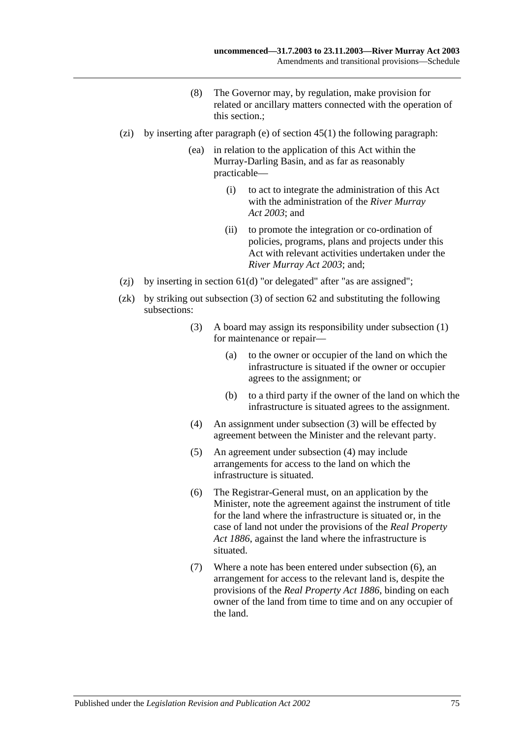- (8) The Governor may, by regulation, make provision for related or ancillary matters connected with the operation of this section.;
- (zi) by inserting after paragraph (e) of section  $45(1)$  the following paragraph:
	- (ea) in relation to the application of this Act within the Murray-Darling Basin, and as far as reasonably practicable—
		- (i) to act to integrate the administration of this Act with the administration of the *[River Murray](http://www.legislation.sa.gov.au/index.aspx?action=legref&type=act&legtitle=River%20Murray%20Act%202003)  Act [2003](http://www.legislation.sa.gov.au/index.aspx?action=legref&type=act&legtitle=River%20Murray%20Act%202003)*; and
		- (ii) to promote the integration or co-ordination of policies, programs, plans and projects under this Act with relevant activities undertaken under the *[River Murray Act](http://www.legislation.sa.gov.au/index.aspx?action=legref&type=act&legtitle=River%20Murray%20Act%202003) 2003*; and;
- (zj) by inserting in section  $61(d)$  "or delegated" after "as are assigned";
- (zk) by striking out subsection (3) of section 62 and substituting the following subsections:
	- (3) A board may assign its responsibility under subsection (1) for maintenance or repair—
		- (a) to the owner or occupier of the land on which the infrastructure is situated if the owner or occupier agrees to the assignment; or
		- (b) to a third party if the owner of the land on which the infrastructure is situated agrees to the assignment.
	- (4) An assignment under subsection (3) will be effected by agreement between the Minister and the relevant party.
	- (5) An agreement under subsection (4) may include arrangements for access to the land on which the infrastructure is situated.
	- (6) The Registrar-General must, on an application by the Minister, note the agreement against the instrument of title for the land where the infrastructure is situated or, in the case of land not under the provisions of the *[Real Property](http://www.legislation.sa.gov.au/index.aspx?action=legref&type=act&legtitle=Real%20Property%20Act%201886)  Act [1886](http://www.legislation.sa.gov.au/index.aspx?action=legref&type=act&legtitle=Real%20Property%20Act%201886)*, against the land where the infrastructure is situated.
	- (7) Where a note has been entered under subsection (6), an arrangement for access to the relevant land is, despite the provisions of the *[Real Property Act](http://www.legislation.sa.gov.au/index.aspx?action=legref&type=act&legtitle=Real%20Property%20Act%201886) 1886*, binding on each owner of the land from time to time and on any occupier of the land.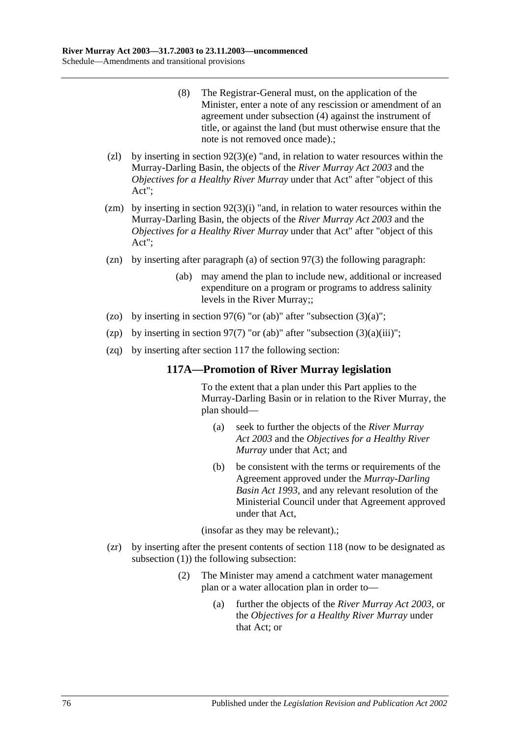- (8) The Registrar-General must, on the application of the Minister, enter a note of any rescission or amendment of an agreement under subsection (4) against the instrument of title, or against the land (but must otherwise ensure that the note is not removed once made).;
- (zl) by inserting in section  $92(3)(e)$  "and, in relation to water resources within the Murray-Darling Basin, the objects of the *[River Murray](http://www.legislation.sa.gov.au/index.aspx?action=legref&type=act&legtitle=River%20Murray%20Act%202003) Act 2003* and the *Objectives for a Healthy River Murray* under that Act" after "object of this Act";
- (zm) by inserting in section  $92(3)(i)$  "and, in relation to water resources within the Murray-Darling Basin, the objects of the *[River Murray Act](http://www.legislation.sa.gov.au/index.aspx?action=legref&type=act&legtitle=River%20Murray%20Act%202003) 2003* and the *Objectives for a Healthy River Murray* under that Act" after "object of this Act";
- (zn) by inserting after paragraph (a) of section 97(3) the following paragraph:
	- (ab) may amend the plan to include new, additional or increased expenditure on a program or programs to address salinity levels in the River Murray;;
- (zo) by inserting in section 97(6) "or (ab)" after "subsection  $(3)(a)$ ";
- (zp) by inserting in section 97(7) "or (ab)" after "subsection  $(3)(a)(iii)$ ";
- (zq) by inserting after section 117 the following section:

#### **117A—Promotion of River Murray legislation**

To the extent that a plan under this Part applies to the Murray-Darling Basin or in relation to the River Murray, the plan should—

- (a) seek to further the objects of the *[River Murray](http://www.legislation.sa.gov.au/index.aspx?action=legref&type=act&legtitle=River%20Murray%20Act%202003)  Act [2003](http://www.legislation.sa.gov.au/index.aspx?action=legref&type=act&legtitle=River%20Murray%20Act%202003)* and the *Objectives for a Healthy River Murray* under that Act; and
- (b) be consistent with the terms or requirements of the Agreement approved under the *[Murray-Darling](http://www.legislation.sa.gov.au/index.aspx?action=legref&type=act&legtitle=Murray-Darling%20Basin%20Act%201993)  [Basin Act](http://www.legislation.sa.gov.au/index.aspx?action=legref&type=act&legtitle=Murray-Darling%20Basin%20Act%201993) 1993*, and any relevant resolution of the Ministerial Council under that Agreement approved under that Act,

(insofar as they may be relevant).;

- (zr) by inserting after the present contents of section 118 (now to be designated as subsection (1)) the following subsection:
	- (2) The Minister may amend a catchment water management plan or a water allocation plan in order to—
		- (a) further the objects of the *[River Murray Act](http://www.legislation.sa.gov.au/index.aspx?action=legref&type=act&legtitle=River%20Murray%20Act%202003) 2003*, or the *Objectives for a Healthy River Murray* under that Act; or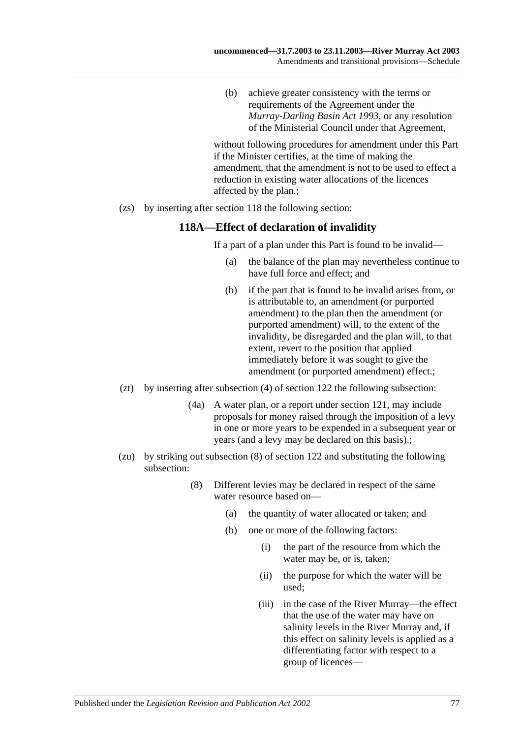(b) achieve greater consistency with the terms or requirements of the Agreement under the *[Murray-Darling Basin Act](http://www.legislation.sa.gov.au/index.aspx?action=legref&type=act&legtitle=Murray-Darling%20Basin%20Act%201993) 1993*, or any resolution of the Ministerial Council under that Agreement,

without following procedures for amendment under this Part if the Minister certifies, at the time of making the amendment, that the amendment is not to be used to effect a reduction in existing water allocations of the licences affected by the plan.;

(zs) by inserting after section 118 the following section:

#### **118A—Effect of declaration of invalidity**

If a part of a plan under this Part is found to be invalid—

- (a) the balance of the plan may nevertheless continue to have full force and effect; and
- (b) if the part that is found to be invalid arises from, or is attributable to, an amendment (or purported amendment) to the plan then the amendment (or purported amendment) will, to the extent of the invalidity, be disregarded and the plan will, to that extent, revert to the position that applied immediately before it was sought to give the amendment (or purported amendment) effect.;
- (zt) by inserting after subsection (4) of section 122 the following subsection:
	- (4a) A water plan, or a report under section 121, may include proposals for money raised through the imposition of a levy in one or more years to be expended in a subsequent year or years (and a levy may be declared on this basis).;
- (zu) by striking out subsection (8) of section 122 and substituting the following subsection:
	- (8) Different levies may be declared in respect of the same water resource based on—
		- (a) the quantity of water allocated or taken; and
		- (b) one or more of the following factors:
			- (i) the part of the resource from which the water may be, or is, taken;
			- (ii) the purpose for which the water will be used;
			- (iii) in the case of the River Murray—the effect that the use of the water may have on salinity levels in the River Murray and, if this effect on salinity levels is applied as a differentiating factor with respect to a group of licences—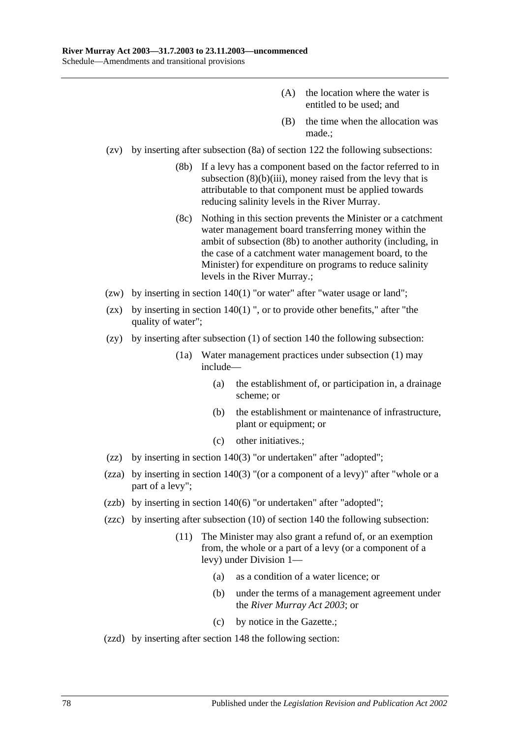- (A) the location where the water is entitled to be used; and
- (B) the time when the allocation was made.;
- (zv) by inserting after subsection (8a) of section 122 the following subsections:
	- (8b) If a levy has a component based on the factor referred to in subsection  $(8)(b)(iii)$ , money raised from the levy that is attributable to that component must be applied towards reducing salinity levels in the River Murray.
	- (8c) Nothing in this section prevents the Minister or a catchment water management board transferring money within the ambit of subsection (8b) to another authority (including, in the case of a catchment water management board, to the Minister) for expenditure on programs to reduce salinity levels in the River Murray.;
- (zw) by inserting in section 140(1) "or water" after "water usage or land";
- (zx) by inserting in section  $140(1)$  ", or to provide other benefits," after "the quality of water":
- (zy) by inserting after subsection (1) of section 140 the following subsection:
	- (1a) Water management practices under subsection (1) may include—
		- (a) the establishment of, or participation in, a drainage scheme; or
		- (b) the establishment or maintenance of infrastructure, plant or equipment; or
		- (c) other initiatives.;
- (zz) by inserting in section 140(3) "or undertaken" after "adopted";
- (zza) by inserting in section 140(3) "(or a component of a levy)" after "whole or a part of a levy";
- (zzb) by inserting in section 140(6) "or undertaken" after "adopted";
- (zzc) by inserting after subsection (10) of section 140 the following subsection:
	- (11) The Minister may also grant a refund of, or an exemption from, the whole or a part of a levy (or a component of a levy) under Division 1—
		- (a) as a condition of a water licence; or
		- (b) under the terms of a management agreement under the *[River Murray Act](http://www.legislation.sa.gov.au/index.aspx?action=legref&type=act&legtitle=River%20Murray%20Act%202003) 2003*; or
		- (c) by notice in the Gazette.;
- (zzd) by inserting after section 148 the following section: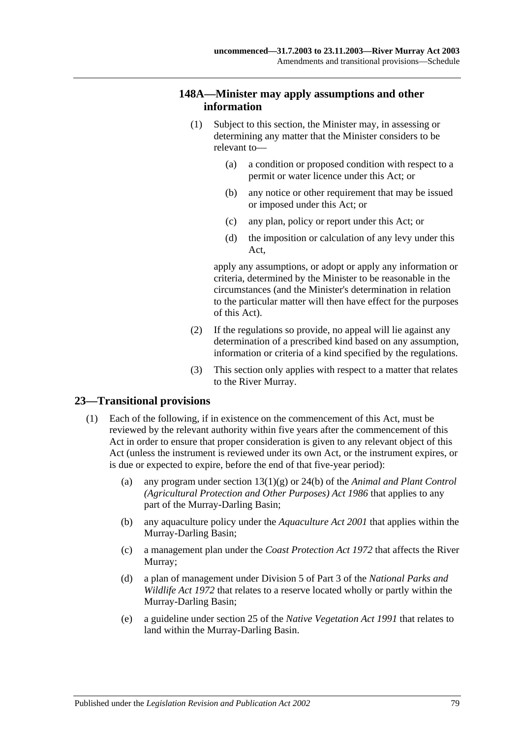#### **148A—Minister may apply assumptions and other information**

- (1) Subject to this section, the Minister may, in assessing or determining any matter that the Minister considers to be relevant to—
	- (a) a condition or proposed condition with respect to a permit or water licence under this Act; or
	- (b) any notice or other requirement that may be issued or imposed under this Act; or
	- (c) any plan, policy or report under this Act; or
	- (d) the imposition or calculation of any levy under this Act,

apply any assumptions, or adopt or apply any information or criteria, determined by the Minister to be reasonable in the circumstances (and the Minister's determination in relation to the particular matter will then have effect for the purposes of this Act).

- (2) If the regulations so provide, no appeal will lie against any determination of a prescribed kind based on any assumption, information or criteria of a kind specified by the regulations.
- (3) This section only applies with respect to a matter that relates to the River Murray.

#### **23—Transitional provisions**

- (1) Each of the following, if in existence on the commencement of this Act, must be reviewed by the relevant authority within five years after the commencement of this Act in order to ensure that proper consideration is given to any relevant object of this Act (unless the instrument is reviewed under its own Act, or the instrument expires, or is due or expected to expire, before the end of that five-year period):
	- (a) any program under section 13(1)(g) or 24(b) of the *[Animal and Plant Control](http://www.legislation.sa.gov.au/index.aspx?action=legref&type=act&legtitle=Animal%20and%20Plant%20Control%20(Agricultural%20Protection%20and%20Other%20Purposes)%20Act%201986)  [\(Agricultural Protection and Other Purposes\) Act](http://www.legislation.sa.gov.au/index.aspx?action=legref&type=act&legtitle=Animal%20and%20Plant%20Control%20(Agricultural%20Protection%20and%20Other%20Purposes)%20Act%201986) 1986* that applies to any part of the Murray-Darling Basin;
	- (b) any aquaculture policy under the *[Aquaculture Act](http://www.legislation.sa.gov.au/index.aspx?action=legref&type=act&legtitle=Aquaculture%20Act%202001) 2001* that applies within the Murray-Darling Basin;
	- (c) a management plan under the *[Coast Protection Act](http://www.legislation.sa.gov.au/index.aspx?action=legref&type=act&legtitle=Coast%20Protection%20Act%201972) 1972* that affects the River Murray;
	- (d) a plan of management under Division 5 of Part 3 of the *[National Parks and](http://www.legislation.sa.gov.au/index.aspx?action=legref&type=act&legtitle=National%20Parks%20and%20Wildlife%20Act%201972)  [Wildlife Act](http://www.legislation.sa.gov.au/index.aspx?action=legref&type=act&legtitle=National%20Parks%20and%20Wildlife%20Act%201972) 1972* that relates to a reserve located wholly or partly within the Murray-Darling Basin;
	- (e) a guideline under section 25 of the *[Native Vegetation Act](http://www.legislation.sa.gov.au/index.aspx?action=legref&type=act&legtitle=Native%20Vegetation%20Act%201991) 1991* that relates to land within the Murray-Darling Basin.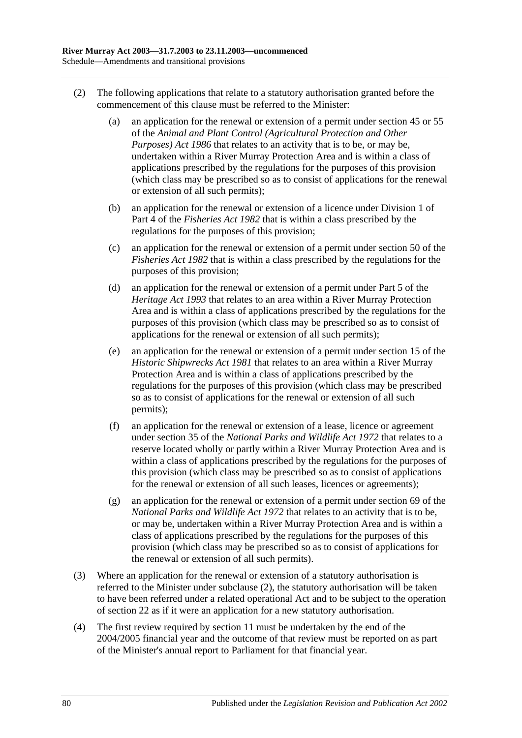- <span id="page-79-0"></span>(2) The following applications that relate to a statutory authorisation granted before the commencement of this clause must be referred to the Minister:
	- (a) an application for the renewal or extension of a permit under section 45 or 55 of the *[Animal and Plant Control \(Agricultural Protection and Other](http://www.legislation.sa.gov.au/index.aspx?action=legref&type=act&legtitle=Animal%20and%20Plant%20Control%20(Agricultural%20Protection%20and%20Other%20Purposes)%20Act%201986)  [Purposes\) Act](http://www.legislation.sa.gov.au/index.aspx?action=legref&type=act&legtitle=Animal%20and%20Plant%20Control%20(Agricultural%20Protection%20and%20Other%20Purposes)%20Act%201986) 1986* that relates to an activity that is to be, or may be, undertaken within a River Murray Protection Area and is within a class of applications prescribed by the regulations for the purposes of this provision (which class may be prescribed so as to consist of applications for the renewal or extension of all such permits);
	- (b) an application for the renewal or extension of a licence under Division 1 of Part 4 of the *[Fisheries Act](http://www.legislation.sa.gov.au/index.aspx?action=legref&type=act&legtitle=Fisheries%20Act%201982) 1982* that is within a class prescribed by the regulations for the purposes of this provision;
	- (c) an application for the renewal or extension of a permit under section 50 of the *[Fisheries Act](http://www.legislation.sa.gov.au/index.aspx?action=legref&type=act&legtitle=Fisheries%20Act%201982) 1982* that is within a class prescribed by the regulations for the purposes of this provision;
	- (d) an application for the renewal or extension of a permit under Part 5 of the *[Heritage Act](http://www.legislation.sa.gov.au/index.aspx?action=legref&type=act&legtitle=Heritage%20Act%201993) 1993* that relates to an area within a River Murray Protection Area and is within a class of applications prescribed by the regulations for the purposes of this provision (which class may be prescribed so as to consist of applications for the renewal or extension of all such permits);
	- (e) an application for the renewal or extension of a permit under section 15 of the *[Historic Shipwrecks Act](http://www.legislation.sa.gov.au/index.aspx?action=legref&type=act&legtitle=Historic%20Shipwrecks%20Act%201981) 1981* that relates to an area within a River Murray Protection Area and is within a class of applications prescribed by the regulations for the purposes of this provision (which class may be prescribed so as to consist of applications for the renewal or extension of all such permits);
	- (f) an application for the renewal or extension of a lease, licence or agreement under section 35 of the *[National Parks and Wildlife Act](http://www.legislation.sa.gov.au/index.aspx?action=legref&type=act&legtitle=National%20Parks%20and%20Wildlife%20Act%201972) 1972* that relates to a reserve located wholly or partly within a River Murray Protection Area and is within a class of applications prescribed by the regulations for the purposes of this provision (which class may be prescribed so as to consist of applications for the renewal or extension of all such leases, licences or agreements);
	- (g) an application for the renewal or extension of a permit under section 69 of the *[National Parks and Wildlife Act](http://www.legislation.sa.gov.au/index.aspx?action=legref&type=act&legtitle=National%20Parks%20and%20Wildlife%20Act%201972) 1972* that relates to an activity that is to be, or may be, undertaken within a River Murray Protection Area and is within a class of applications prescribed by the regulations for the purposes of this provision (which class may be prescribed so as to consist of applications for the renewal or extension of all such permits).
- (3) Where an application for the renewal or extension of a statutory authorisation is referred to the Minister under [subclause](#page-79-0) (2), the statutory authorisation will be taken to have been referred under a related operational Act and to be subject to the operation of [section](#page-20-0) 22 as if it were an application for a new statutory authorisation.
- (4) The first review required by [section](#page-12-0) 11 must be undertaken by the end of the 2004/2005 financial year and the outcome of that review must be reported on as part of the Minister's annual report to Parliament for that financial year.